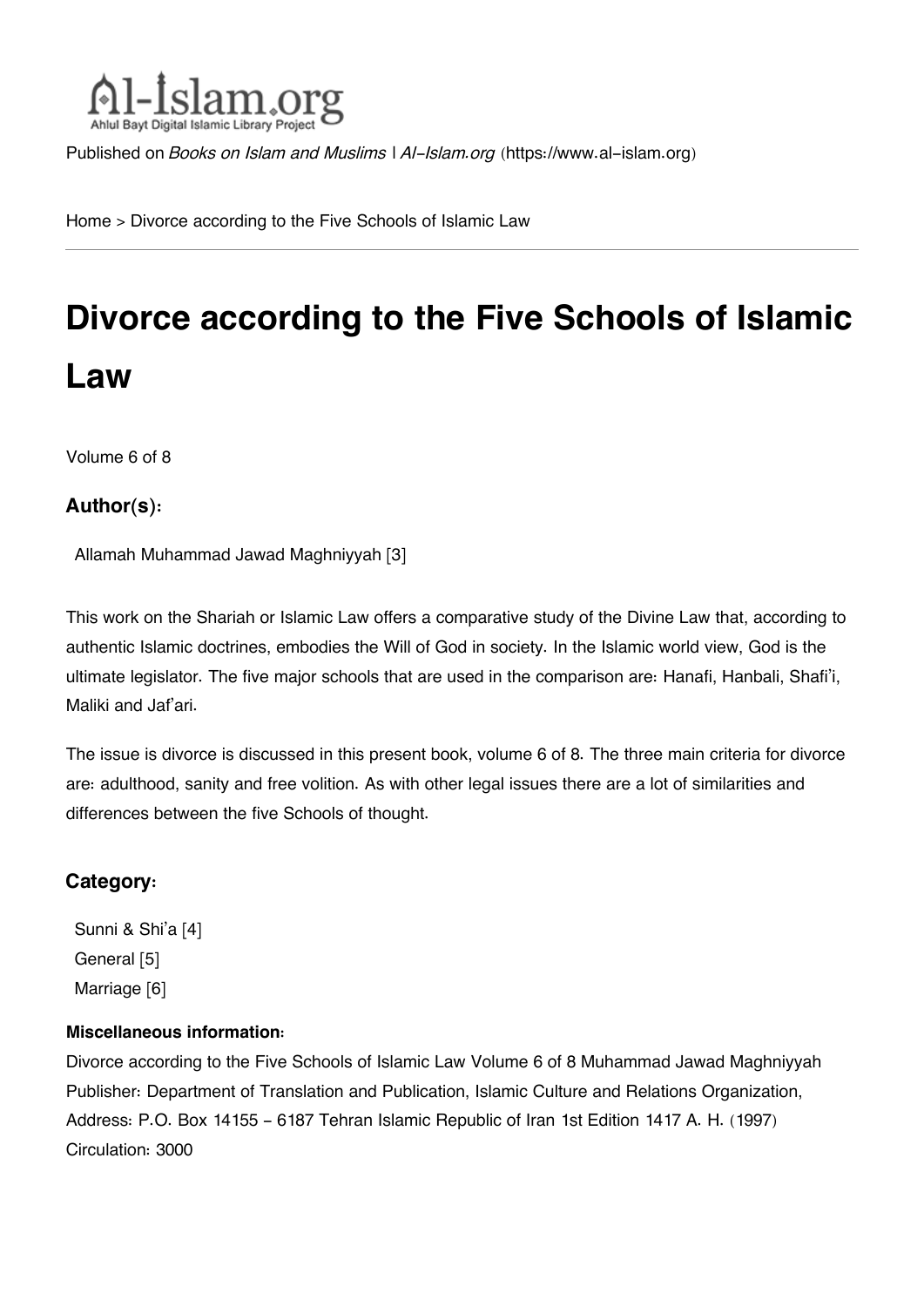

Published on *Books on Islam and Muslims | Al-Islam.org* [\(https://www.al-islam.org](https://www.al-islam.org))

[Home](https://www.al-islam.org/) > Divorce according to the Five Schools of Islamic Law

# **Divorce according to the Five Schools of Islamic Law**

Volume 6 of 8

#### **Author(s):**

[Allamah Muhammad Jawad Maghniyyah](https://www.al-islam.org/person/allamah-muhammad-jawad-maghniyyah) [3]

This work on the Shariah or Islamic Law offers a comparative study of the Divine Law that, according to authentic Islamic doctrines, embodies the Will of God in society. In the Islamic world view, God is the ultimate legislator. The five major schools that are used in the comparison are: Hanafi, Hanbali, Shafi'i, Maliki and Jaf'ari.

The issue is divorce is discussed in this present book, volume 6 of 8. The three main criteria for divorce are: adulthood, sanity and free volition. As with other legal issues there are a lot of similarities and differences between the five Schools of thought.

### **Category:**

[Sunni & Shi'a](https://www.al-islam.org/library/sunni-shia) [4] [General](https://www.al-islam.org/library/general-laws-worship) [5] [Marriage](https://www.al-islam.org/library/marriage) [6]

#### **Miscellaneous information:**

Divorce according to the Five Schools of Islamic Law Volume 6 of 8 Muhammad Jawad Maghniyyah Publisher: Department of Translation and Publication, Islamic Culture and Relations Organization, Address: P.O. Box 14155 - 6187 Tehran Islamic Republic of Iran 1st Edition 1417 A. H. (1997) Circulation: 3000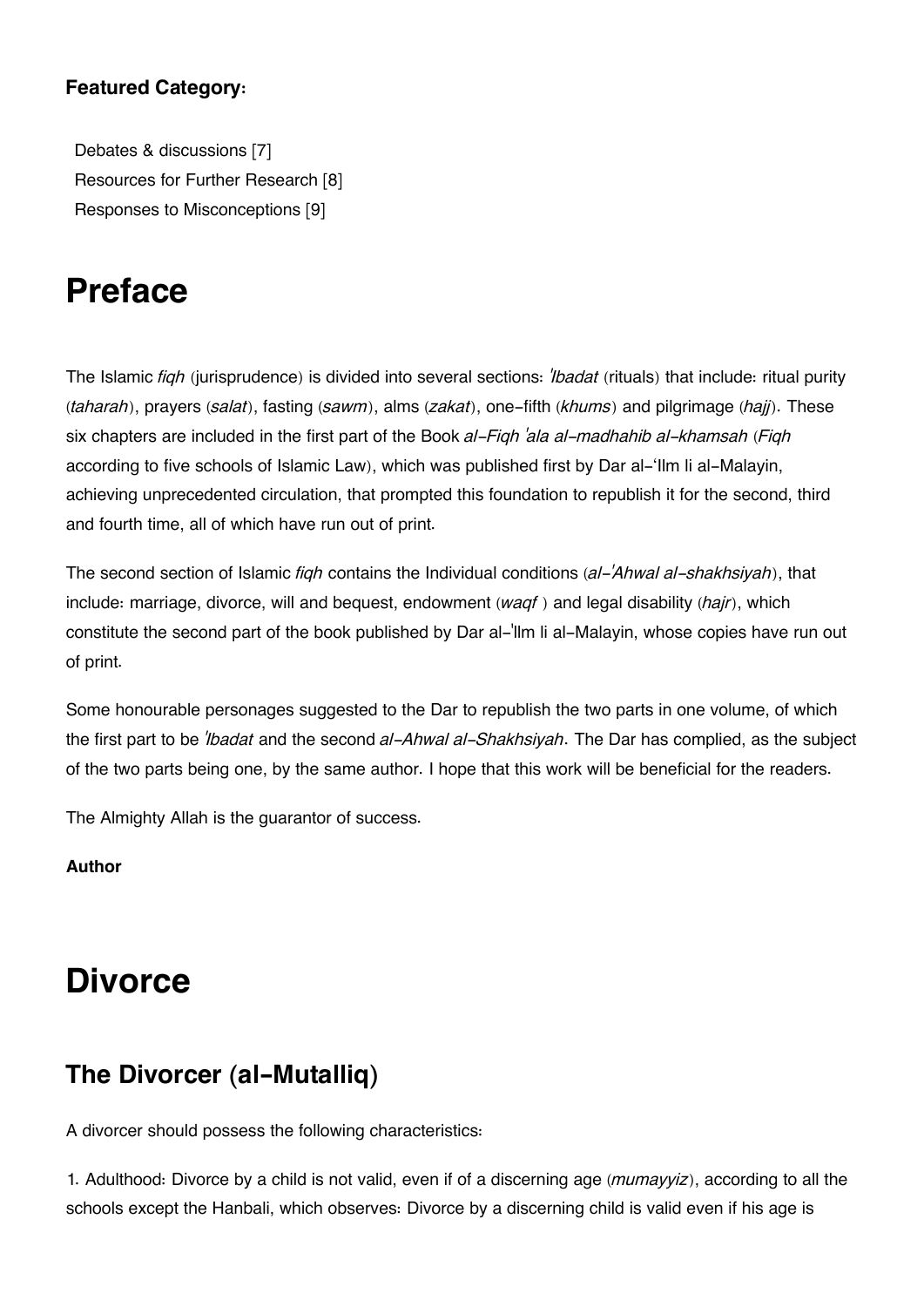### **Featured Category:**

[Debates & discussions](https://www.al-islam.org/feature/debates-discussions) [7] [Resources for Further Research](https://www.al-islam.org/feature/resources-further-research) [8] [Responses to Misconceptions](https://www.al-islam.org/feature/responses-misconceptions) [9]

## **Preface**

The Islamic *fiqh* (jurisprudence) is divided into several sections: *'Ibadat* (rituals) that include: ritual purity (*taharah*), prayers (*salat*), fasting (*sawm*), alms (*zakat*), one-fifth (*khums*) and pilgrimage (*hajj*). These six chapters are included in the first part of the Book *al-Fiqh 'ala al-madhahib al-khamsah* (*Fiqh* according to five schools of Islamic Law), which was published first by Dar al-'Ilm li al-Malayin, achieving unprecedented circulation, that prompted this foundation to republish it for the second, third and fourth time, all of which have run out of print.

The second section of Islamic *fiqh* contains the Individual conditions (*al-'Ahwal al-shakhsiyah*), that include: marriage, divorce, will and bequest, endowment (*waqf* ) and legal disability (*hajr*), which constitute the second part of the book published by Dar al-'llm li al-Malayin, whose copies have run out of print.

Some honourable personages suggested to the Dar to republish the two parts in one volume, of which the first part to be *'Ibadat* and the second *al-Ahwal al-Shakhsiyah*. The Dar has complied, as the subject of the two parts being one, by the same author. I hope that this work will be beneficial for the readers.

The Almighty Allah is the guarantor of success.

#### **Author**

## **Divorce**

## **[The Divorcer \(al-Mutalliq\)](#page--1-0)**

A divorcer should possess the following characteristics:

1. Adulthood: Divorce by a child is not valid, even if of a discerning age (*mumayyiz*), according to all the schools except the Hanbali, which observes: Divorce by a discerning child is valid even if his age is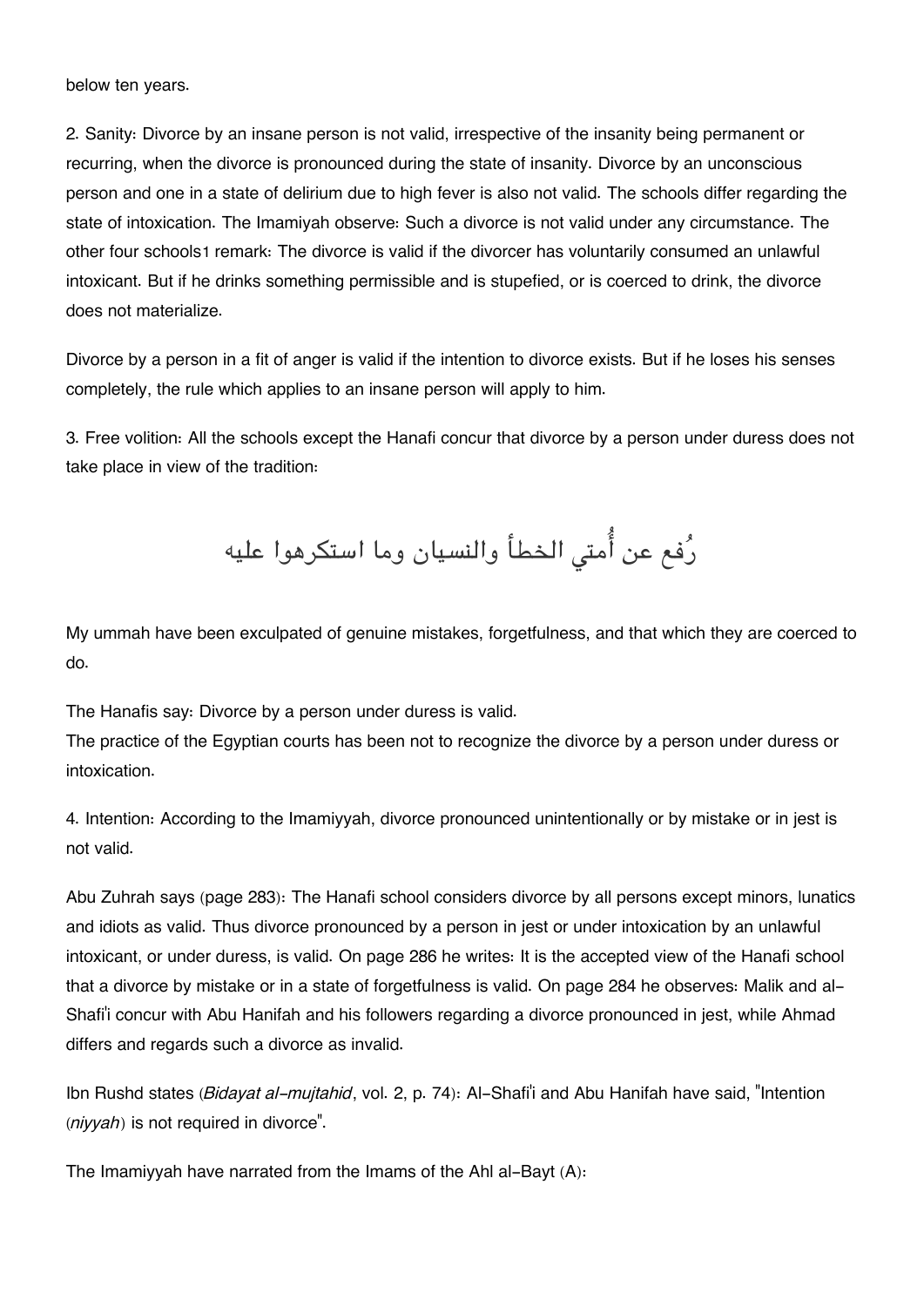below ten years.

2. Sanity: Divorce by an insane person is not valid, irrespective of the insanity being permanent or recurring, when the divorce is pronounced during the state of insanity. Divorce by an unconscious person and one in a state of delirium due to high fever is also not valid. The schools differ regarding the state of intoxication. The Imamiyah observe: Such a divorce is not valid under any circumstance. The other four schools[1](#page--1-0) remark: The divorce is valid if the divorcer has voluntarily consumed an unlawful intoxicant. But if he drinks something permissible and is stupefied, or is coerced to drink, the divorce does not materialize.

Divorce by a person in a fit of anger is valid if the intention to divorce exists. But if he loses his senses completely, the rule which applies to an insane person will apply to him.

3. Free volition: All the schools except the Hanafi concur that divorce by a person under duress does not take place in view of the tradition:

رُفع عن أُمتى الخطأ والنسيان وما استكرهوا عليه

My ummah have been exculpated of genuine mistakes, forgetfulness, and that which they are coerced to do.

The Hanafis say: Divorce by a person under duress is valid.

The practice of the Egyptian courts has been not to recognize the divorce by a person under duress or intoxication.

4. Intention: According to the Imamiyyah, divorce pronounced unintentionally or by mistake or in jest is not valid.

Abu Zuhrah says (page 283): The Hanafi school considers divorce by all persons except minors, lunatics and idiots as valid. Thus divorce pronounced by a person in jest or under intoxication by an unlawful intoxicant, or under duress, is valid. On page 286 he writes: It is the accepted view of the Hanafi school that a divorce by mistake or in a state of forgetfulness is valid. On page 284 he observes: Malik and al-Shafi'i concur with Abu Hanifah and his followers regarding a divorce pronounced in jest, while Ahmad differs and regards such a divorce as invalid.

Ibn Rushd states (*Bidayat al-mujtahid*, vol. 2, p. 74): Al-Shafi'i and Abu Hanifah have said, "Intention (*niyyah*) is not required in divorce".

The Imamiyyah have narrated from the Imams of the Ahl al-Bayt (A):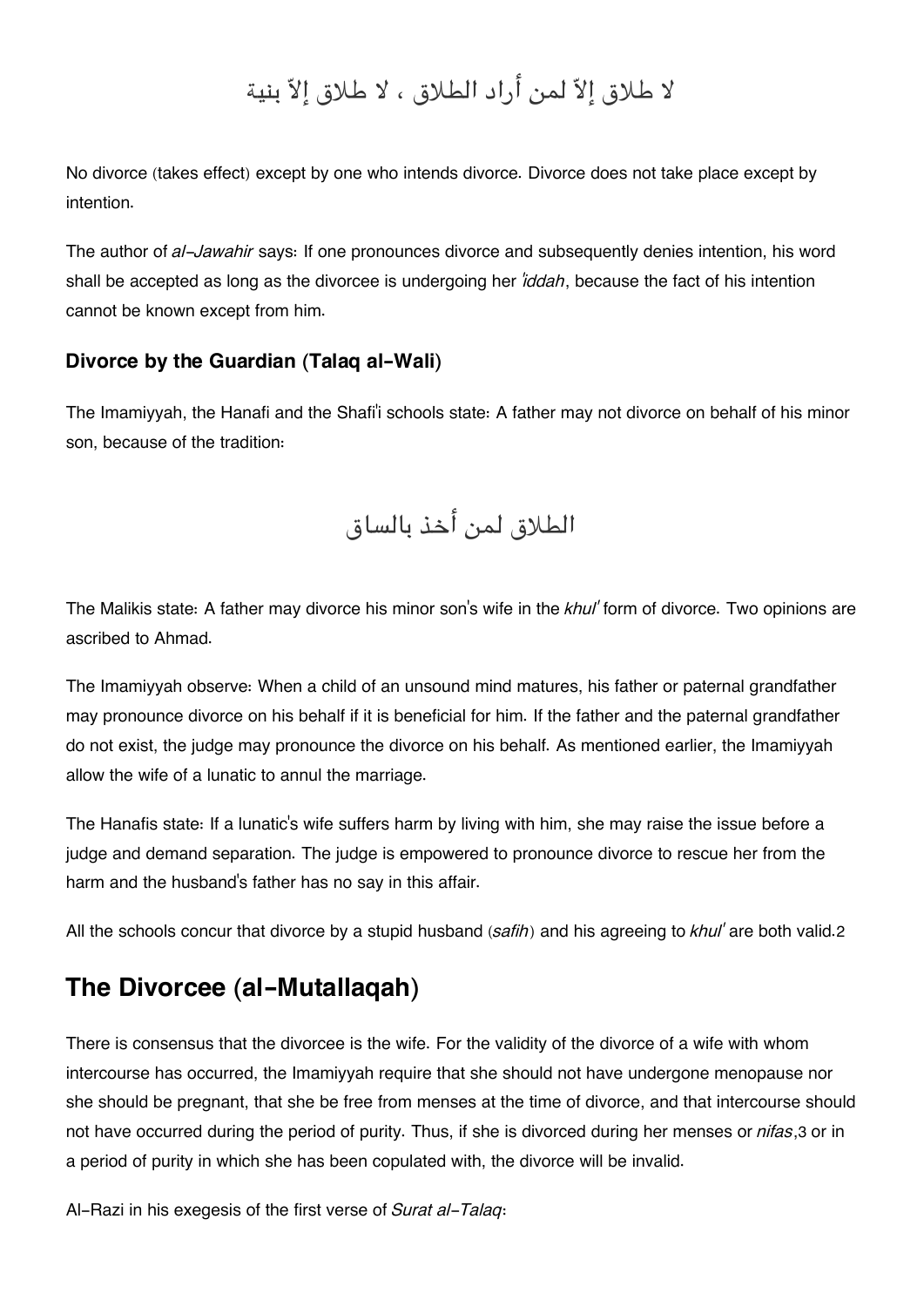## لا طلاق إلا لمن أراد الطلاق ، لا طلاق إلا بنية

No divorce (takes effect) except by one who intends divorce. Divorce does not take place except by intention.

The author of *al-Jawahir* says: If one pronounces divorce and subsequently denies intention, his word shall be accepted as long as the divorcee is undergoing her *'iddah*, because the fact of his intention cannot be known except from him.

### **[Divorce by the Guardian \(Talaq al-Wali\)](#page--1-0)**

The Imamiyyah, the Hanafi and the Shafi'i schools state: A father may not divorce on behalf of his minor son, because of the tradition:

## الطلاق لمن أخذ بالساق

The Malikis state: A father may divorce his minor son's wife in the *khul'* form of divorce. Two opinions are ascribed to Ahmad.

The Imamiyyah observe: When a child of an unsound mind matures, his father or paternal grandfather may pronounce divorce on his behalf if it is beneficial for him. If the father and the paternal grandfather do not exist, the judge may pronounce the divorce on his behalf. As mentioned earlier, the Imamiyyah allow the wife of a lunatic to annul the marriage.

The Hanafis state: If a lunatic's wife suffers harm by living with him, she may raise the issue before a judge and demand separation. The judge is empowered to pronounce divorce to rescue her from the harm and the husband's father has no say in this affair.

All the schools concur that divorce by a stupid husband (*safih*) and his agreeing to *khul'* are both valid.[2](#page--1-0)

## **[The Divorcee \(al-Mutallaqah\)](#page--1-0)**

There is consensus that the divorcee is the wife. For the validity of the divorce of a wife with whom intercourse has occurred, the Imamiyyah require that she should not have undergone menopause nor she should be pregnant, that she be free from menses at the time of divorce, and that intercourse should not have occurred during the period of purity. Thus, if she is divorced during her menses or *nifas*,[3](#page--1-0) or in a period of purity in which she has been copulated with, the divorce will be invalid.

Al-Razi in his exegesis of the first verse of *Surat al-Talaq*: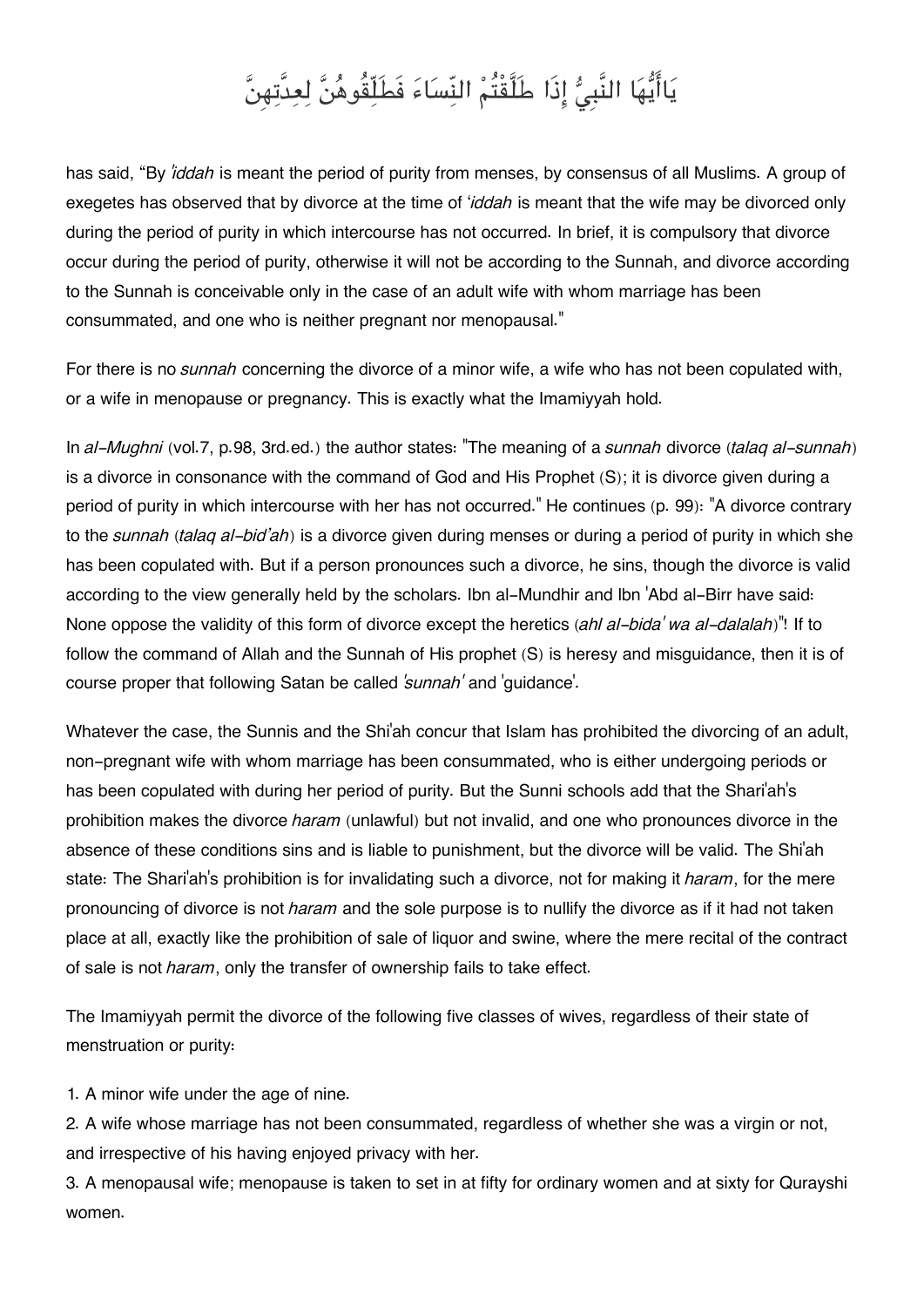# ياايها النَّبِ اذَا طَلَّقْتُم النّساء فَطَلّقُوهن لعدَّتهِن

has said, "By *'iddah* is meant the period of purity from menses, by consensus of all Muslims. A group of exegetes has observed that by divorce at the time of '*iddah* is meant that the wife may be divorced only during the period of purity in which intercourse has not occurred. In brief, it is compulsory that divorce occur during the period of purity, otherwise it will not be according to the Sunnah, and divorce according to the Sunnah is conceivable only in the case of an adult wife with whom marriage has been consummated, and one who is neither pregnant nor menopausal."

For there is no *sunnah* concerning the divorce of a minor wife, a wife who has not been copulated with, or a wife in menopause or pregnancy. This is exactly what the Imamiyyah hold.

In *al-Mughni* (vol.7, p.98, 3rd.ed.) the author states: "The meaning of a *sunnah* divorce (*talaq al-sunnah*) is a divorce in consonance with the command of God and His Prophet (S); it is divorce given during a period of purity in which intercourse with her has not occurred." He continues (p. 99): "A divorce contrary to the *sunnah* (*talaq al-bid'ah*) is a divorce given during menses or during a period of purity in which she has been copulated with. But if a person pronounces such a divorce, he sins, though the divorce is valid according to the view generally held by the scholars. Ibn al-Mundhir and lbn 'Abd al-Birr have said: None oppose the validity of this form of divorce except the heretics (*ahl al-bida' wa al-dalalah*)"! If to follow the command of Allah and the Sunnah of His prophet (S) is heresy and misguidance, then it is of course proper that following Satan be called *'sunnah'* and 'guidance'.

Whatever the case, the Sunnis and the Shi'ah concur that Islam has prohibited the divorcing of an adult, non-pregnant wife with whom marriage has been consummated, who is either undergoing periods or has been copulated with during her period of purity. But the Sunni schools add that the Shari'ah's prohibition makes the divorce *haram* (unlawful) but not invalid, and one who pronounces divorce in the absence of these conditions sins and is liable to punishment, but the divorce will be valid. The Shi'ah state: The Shari'ah's prohibition is for invalidating such a divorce, not for making it *haram*, for the mere pronouncing of divorce is not *haram* and the sole purpose is to nullify the divorce as if it had not taken place at all, exactly like the prohibition of sale of liquor and swine, where the mere recital of the contract of sale is not *haram*, only the transfer of ownership fails to take effect.

The Imamiyyah permit the divorce of the following five classes of wives, regardless of their state of menstruation or purity:

1. A minor wife under the age of nine.

2. A wife whose marriage has not been consummated, regardless of whether she was a virgin or not, and irrespective of his having enjoyed privacy with her.

3. A menopausal wife; menopause is taken to set in at fifty for ordinary women and at sixty for Qurayshi women.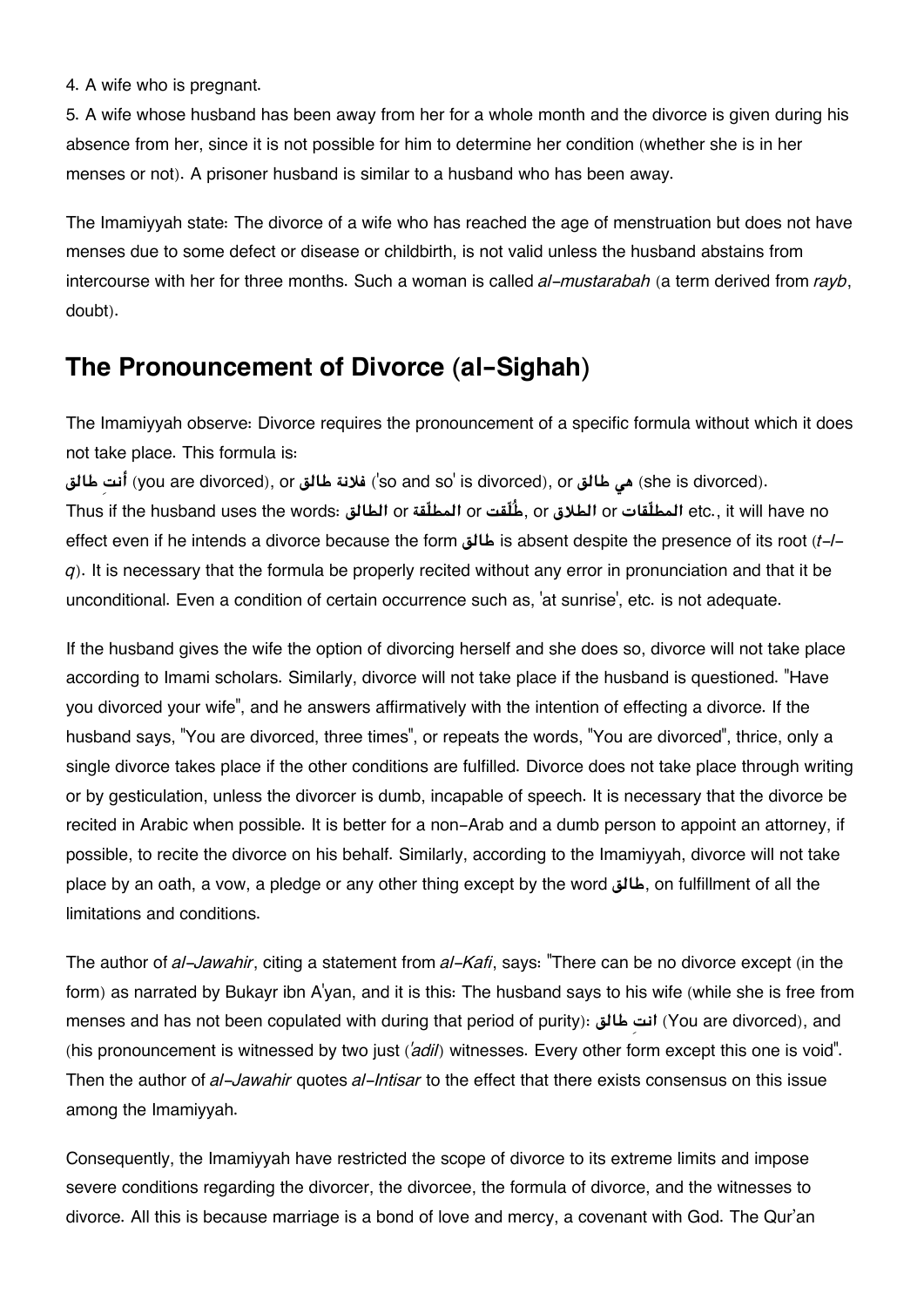4. A wife who is pregnant.

5. A wife whose husband has been away from her for a whole month and the divorce is given during his absence from her, since it is not possible for him to determine her condition (whether she is in her menses or not). A prisoner husband is similar to a husband who has been away.

The Imamiyyah state: The divorce of a wife who has reached the age of menstruation but does not have menses due to some defect or disease or childbirth, is not valid unless the husband abstains from intercourse with her for three months. Such a woman is called *al-mustarabah* (a term derived from *rayb*, doubt).

## **[The Pronouncement of Divorce \(al-Sighah\)](#page--1-0)**

The Imamiyyah observe: Divorce requires the pronouncement of a specific formula without which it does not take place. This formula is:

**طالق ِأنت**)you are divorced), or **طالق فلانة**') so and so' is divorced), or **طالق ه**) she is divorced). Thus if the husband uses the words: **الطالق** or **قةّالمطل** or **قتّلُط**, or **الطلاق** or **قاتّالمطل** etc., it will have no effect even if he intends a divorce because the form **طالق** is absent despite the presence of its root (*t-lq*). It is necessary that the formula be properly recited without any error in pronunciation and that it be

unconditional. Even a condition of certain occurrence such as, 'at sunrise', etc. is not adequate.

If the husband gives the wife the option of divorcing herself and she does so, divorce will not take place according to Imami scholars. Similarly, divorce will not take place if the husband is questioned. "Have you divorced your wife", and he answers affirmatively with the intention of effecting a divorce. If the husband says, "You are divorced, three times", or repeats the words, "You are divorced", thrice, only a single divorce takes place if the other conditions are fulfilled. Divorce does not take place through writing or by gesticulation, unless the divorcer is dumb, incapable of speech. It is necessary that the divorce be recited in Arabic when possible. It is better for a non-Arab and a dumb person to appoint an attorney, if possible, to recite the divorce on his behalf. Similarly, according to the Imamiyyah, divorce will not take place by an oath, a vow, a pledge or any other thing except by the word **طالق**, on fulfillment of all the limitations and conditions.

The author of *al-Jawahir*, citing a statement from *al-Kafi*, says: "There can be no divorce except (in the form) as narrated by Bukayr ibn A'yan, and it is this: The husband says to his wife (while she is free from menses and has not been copulated with during that period of purity): **طالق ِانت**) You are divorced), and (his pronouncement is witnessed by two just (*'adil*) witnesses. Every other form except this one is void". Then the author of *al-Jawahir* quotes *al-Intisar* to the effect that there exists consensus on this issue among the Imamiyyah.

Consequently, the Imamiyyah have restricted the scope of divorce to its extreme limits and impose severe conditions regarding the divorcer, the divorcee, the formula of divorce, and the witnesses to divorce. All this is because marriage is a bond of love and mercy, a covenant with God. The Qur'an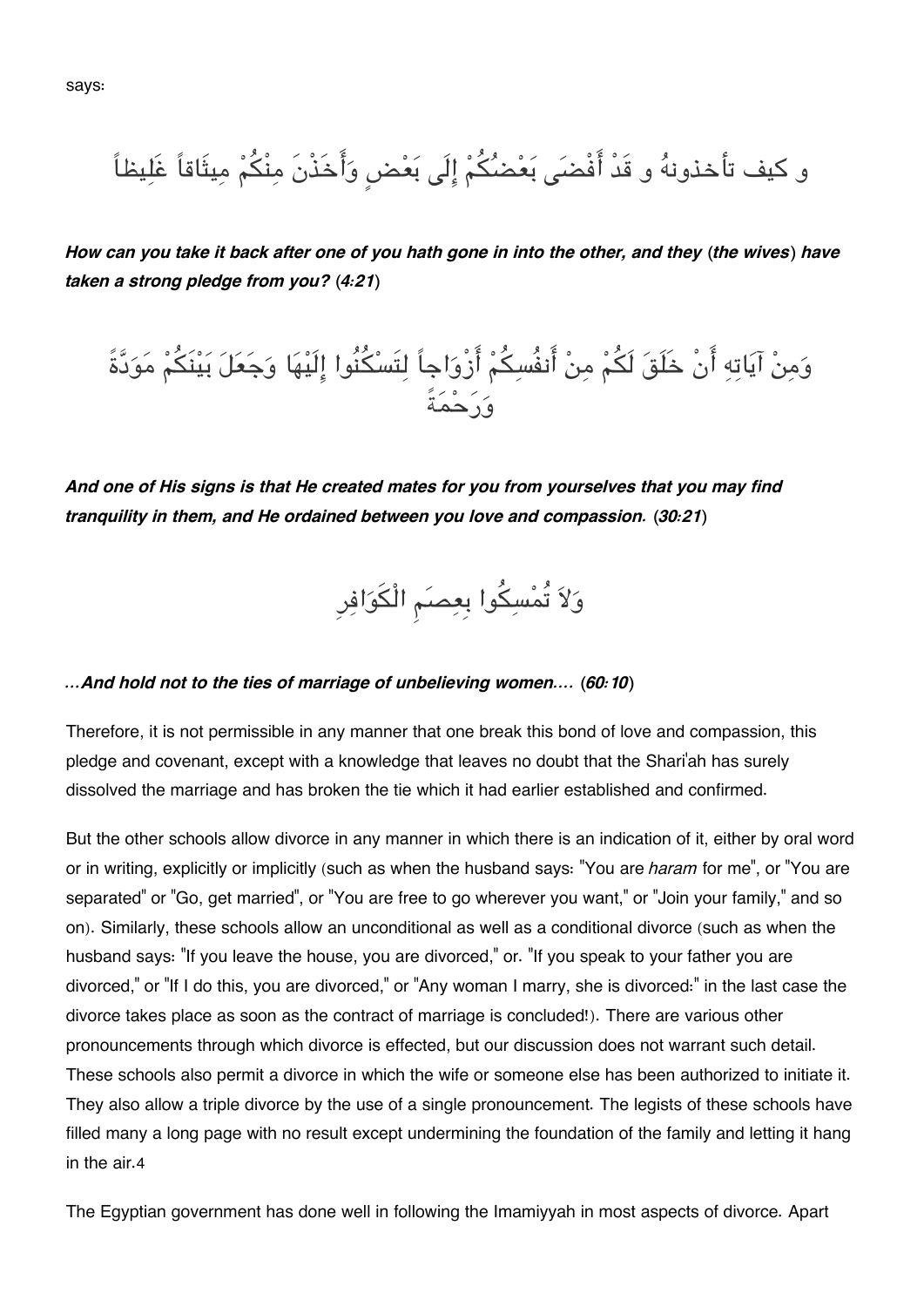و كيف تأخذونه و قَدْ افْض بعضم الَ بعضٍ واخَذْنَ منْم ميثَاقاً غَليظاً

*How can you take it back after one of you hath gone in into the other, and they (the wives) have taken a strong pledge from you? (4:21)*

ومن آياته انْ خَلَق لَم من انفُسم ازْواجاً لتَسنُوا الَيها وجعل بينَم مودةً ورحمةً

*And one of His signs is that He created mates for you from yourselves that you may find tranquility in them, and He ordained between you love and compassion. (30:21)*

وَلاَ تُمْسِكُوا بِعِصَمِ الْكَوَافِرِ

#### *...And hold not to the ties of marriage of unbelieving women.... (60:10)*

Therefore, it is not permissible in any manner that one break this bond of love and compassion, this pledge and covenant, except with a knowledge that leaves no doubt that the Shari'ah has surely dissolved the marriage and has broken the tie which it had earlier established and confirmed.

But the other schools allow divorce in any manner in which there is an indication of it, either by oral word or in writing, explicitly or implicitly (such as when the husband says: "You are *haram* for me", or "You are separated" or "Go, get married", or "You are free to go wherever you want," or "Join your family," and so on). Similarly, these schools allow an unconditional as well as a conditional divorce (such as when the husband says: "If you leave the house, you are divorced," or. "If you speak to your father you are divorced," or "If I do this, you are divorced," or "Any woman I marry, she is divorced:" in the last case the divorce takes place as soon as the contract of marriage is concluded!). There are various other pronouncements through which divorce is effected, but our discussion does not warrant such detail. These schools also permit a divorce in which the wife or someone else has been authorized to initiate it. They also allow a triple divorce by the use of a single pronouncement. The legists of these schools have filled many a long page with no result except undermining the foundation of the family and letting it hang in the air.[4](#page--1-0)

The Egyptian government has done well in following the Imamiyyah in most aspects of divorce. Apart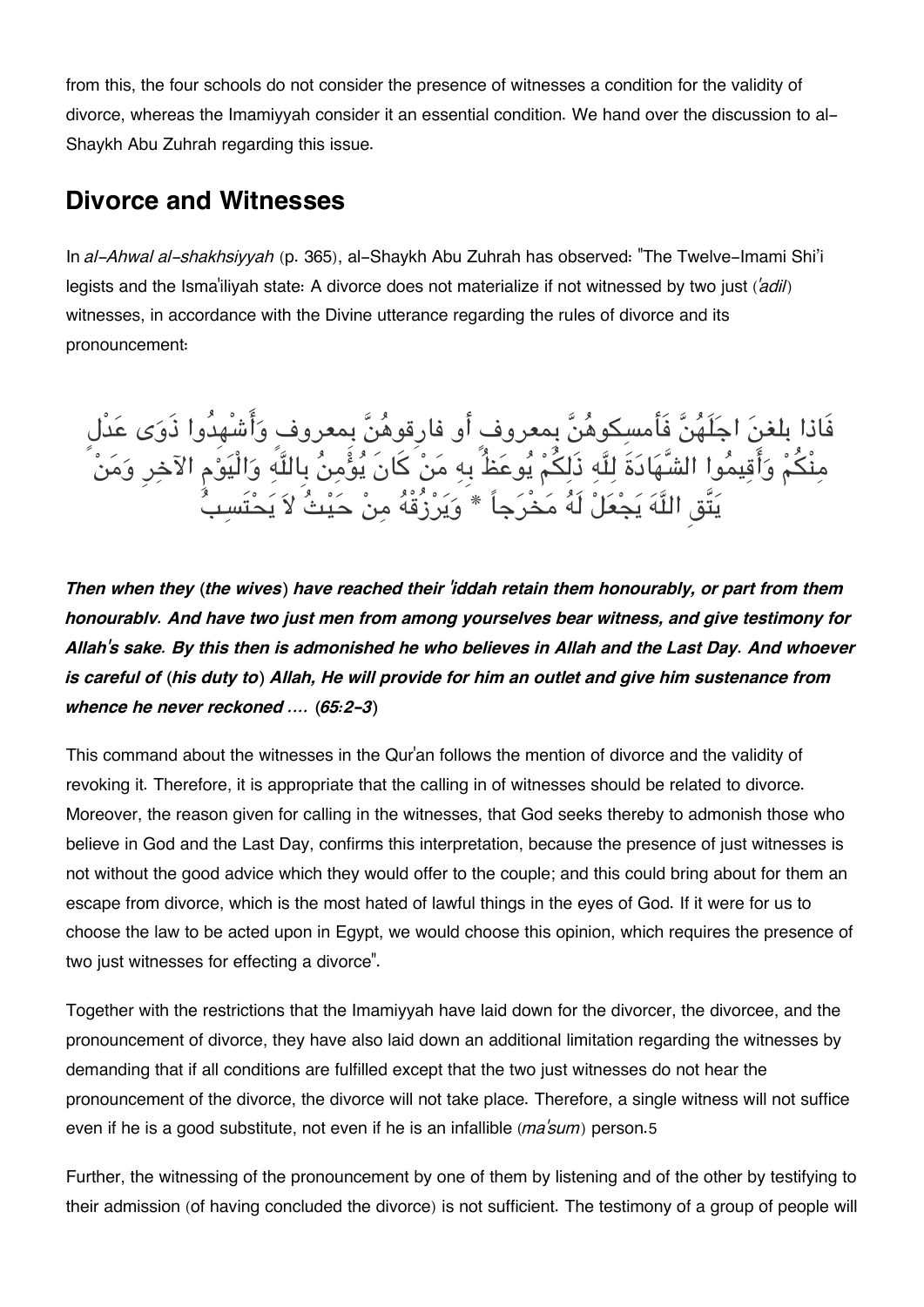from this, the four schools do not consider the presence of witnesses a condition for the validity of divorce, whereas the Imamiyyah consider it an essential condition. We hand over the discussion to al-Shaykh Abu Zuhrah regarding this issue.

### **[Divorce and Witnesses](#page--1-0)**

In *al-Ahwal al-shakhsiyyah* (p. 365), al-Shaykh Abu Zuhrah has observed: "The Twelve-Imami Shi'i legists and the Isma'iliyah state: A divorce does not materialize if not witnessed by two just (*'adil*) witnesses, in accordance with the Divine utterance regarding the rules of divorce and its pronouncement:

فَاذا بِلَغْنَ اجَلَهَنَّ فَأَمسِكُوهُنَّ بِمعروفٍ أو فَأَرِقوهُنَّ بِمعروفٍ وَأَشْهِدُوا ذَوَى عَدْلٍ مِنكُمْ وَأَقِيمُوا الشَّهَادَةَ لِلَّهِ ذَلِكُمْ يُوعَظُ بِهِ مَنْ كَانَ يُؤْمِنَ بِاللَّهِ وَالْيَوْمِ الآخِرِ وَمَنْ يتَّق اله يجعل لَه مخْرجاً \* ويرزُقْه من حيث لا يحتَسب

*Then when they (the wives) have reached their 'iddah retain them honourably, or part from them honourablv. And have two just men from among yourselves bear witness, and give testimony for Allah's sake. By this then is admonished he who believes in Allah and the Last Day. And whoever is careful of (his duty to) Allah, He will provide for him an outlet and give him sustenance from whence he never reckoned .... (65:2-3)*

This command about the witnesses in the Qur'an follows the mention of divorce and the validity of revoking it. Therefore, it is appropriate that the calling in of witnesses should be related to divorce. Moreover, the reason given for calling in the witnesses, that God seeks thereby to admonish those who believe in God and the Last Day, confirms this interpretation, because the presence of just witnesses is not without the good advice which they would offer to the couple; and this could bring about for them an escape from divorce, which is the most hated of lawful things in the eyes of God. If it were for us to choose the law to be acted upon in Egypt, we would choose this opinion, which requires the presence of two just witnesses for effecting a divorce".

Together with the restrictions that the Imamiyyah have laid down for the divorcer, the divorcee, and the pronouncement of divorce, they have also laid down an additional limitation regarding the witnesses by demanding that if all conditions are fulfilled except that the two just witnesses do not hear the pronouncement of the divorce, the divorce will not take place. Therefore, a single witness will not suffice even if he is a good substitute, not even if he is an infallible (*ma'sum*) person.[5](#page--1-0)

Further, the witnessing of the pronouncement by one of them by listening and of the other by testifying to their admission (of having concluded the divorce) is not sufficient. The testimony of a group of people will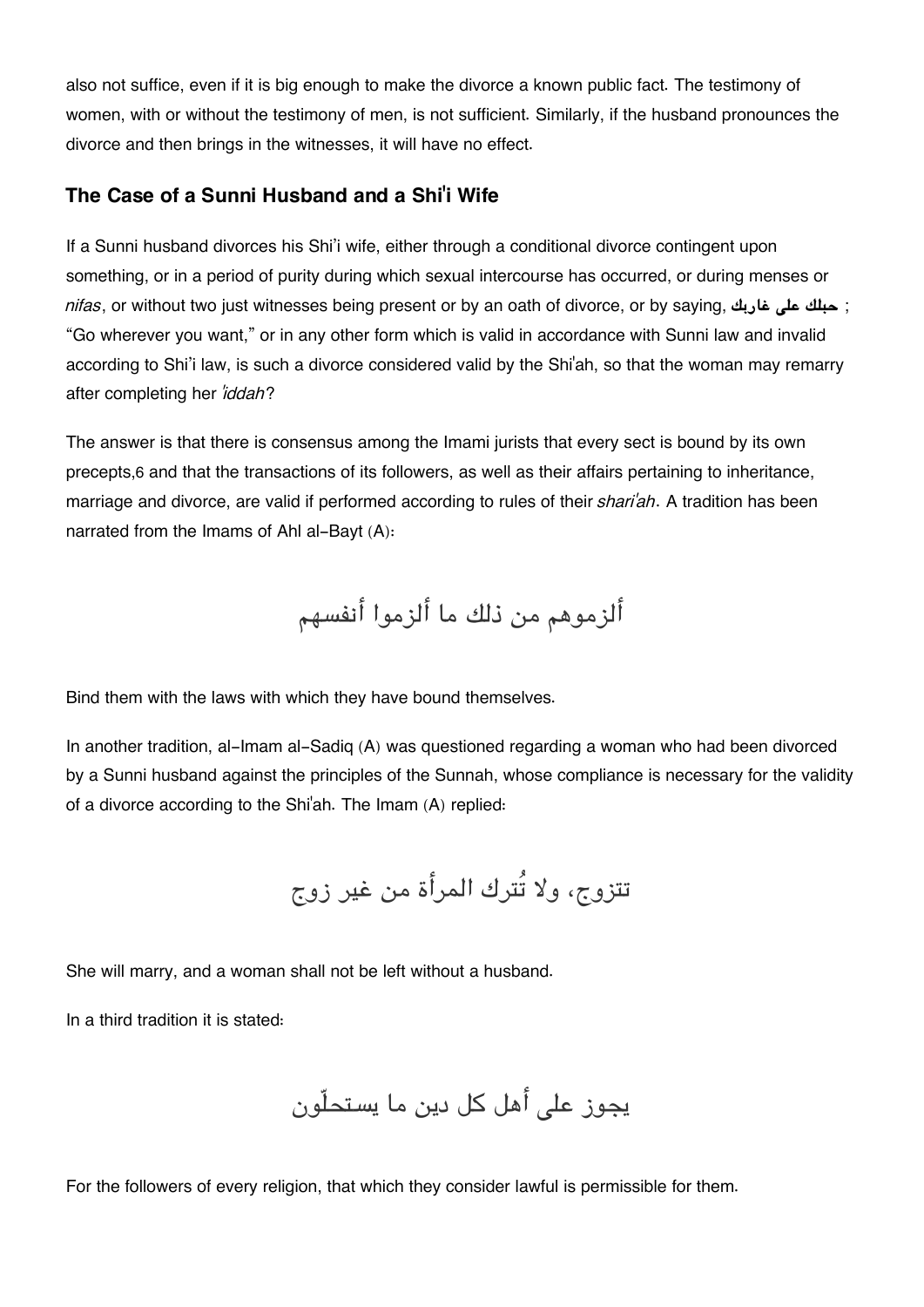also not suffice, even if it is big enough to make the divorce a known public fact. The testimony of women, with or without the testimony of men, is not sufficient. Similarly, if the husband pronounces the divorce and then brings in the witnesses, it will have no effect.

#### **[The Case of a Sunni Husband and a Shi](#page--1-0)'i Wife**

If a Sunni husband divorces his Shi'i wife, either through a conditional divorce contingent upon something, or in a period of purity during which sexual intercourse has occurred, or during menses or *nifas*, or without two just witnesses being present or by an oath of divorce, or by saying, **غاربك عل حبلك**; "Go wherever you want," or in any other form which is valid in accordance with Sunni law and invalid according to Shi'i law, is such a divorce considered valid by the Shi'ah, so that the woman may remarry after completing her *'iddah*?

The answer is that there is consensus among the Imami jurists that every sect is bound by its own precepts,[6](#page--1-0) and that the transactions of its followers, as well as their affairs pertaining to inheritance, marriage and divorce, are valid if performed according to rules of their *shari'ah*. A tradition has been narrated from the Imams of Ahl al-Bayt (A):

ألزموهم من ذلك ما ألزموا أنفسهم

Bind them with the laws with which they have bound themselves.

In another tradition, al-Imam al-Sadiq (A) was questioned regarding a woman who had been divorced by a Sunni husband against the principles of the Sunnah, whose compliance is necessary for the validity of a divorce according to the Shi'ah. The Imam (A) replied:

تتزوج، ولا تُترك المرأة من غير زوج

She will marry, and a woman shall not be left without a husband.

In a third tradition it is stated:

يجوز على أهل كل دين ما يستحلّون

For the followers of every religion, that which they consider lawful is permissible for them.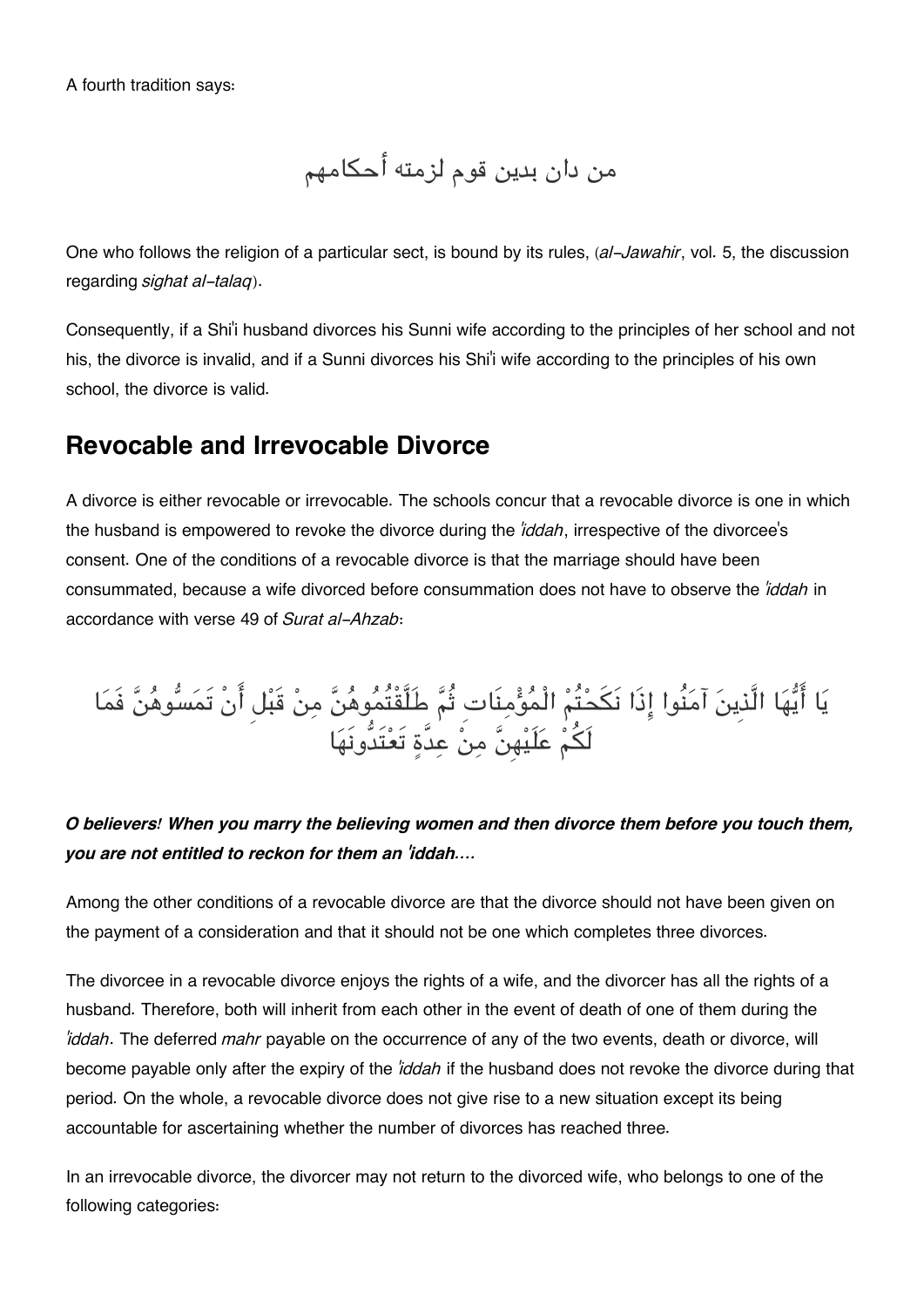من دان بدين قوم لزمته أحامهم

One who follows the religion of a particular sect, is bound by its rules, (*al-Jawahir*, vol. 5, the discussion regarding *sighat al-talaq*).

Consequently, if a Shi'i husband divorces his Sunni wife according to the principles of her school and not his, the divorce is invalid, and if a Sunni divorces his Shi'i wife according to the principles of his own school, the divorce is valid.

## **[Revocable and Irrevocable Divorce](#page--1-0)**

A divorce is either revocable or irrevocable. The schools concur that a revocable divorce is one in which the husband is empowered to revoke the divorce during the *'iddah*, irrespective of the divorcee's consent. One of the conditions of a revocable divorce is that the marriage should have been consummated, because a wife divorced before consummation does not have to observe the *'iddah* in accordance with verse 49 of *Surat al-Ahzab*:

# يا ايها الَّذِين آمنُوا اذَا نَحتُم الْمومنَاتِ ثُم طَلَّقْتُموهن من قَبل انْ تَمسوهن فَما لَم علَيهِن من عدَّة تَعتَدُّونَها

### *O believers! When you marry the believing women and then divorce them before you touch them, you are not entitled to reckon for them an 'iddah....*

Among the other conditions of a revocable divorce are that the divorce should not have been given on the payment of a consideration and that it should not be one which completes three divorces.

The divorcee in a revocable divorce enjoys the rights of a wife, and the divorcer has all the rights of a husband. Therefore, both will inherit from each other in the event of death of one of them during the *'iddah*. The deferred *mahr* payable on the occurrence of any of the two events, death or divorce, will become payable only after the expiry of the *'iddah* if the husband does not revoke the divorce during that period. On the whole, a revocable divorce does not give rise to a new situation except its being accountable for ascertaining whether the number of divorces has reached three.

In an irrevocable divorce, the divorcer may not return to the divorced wife, who belongs to one of the following categories: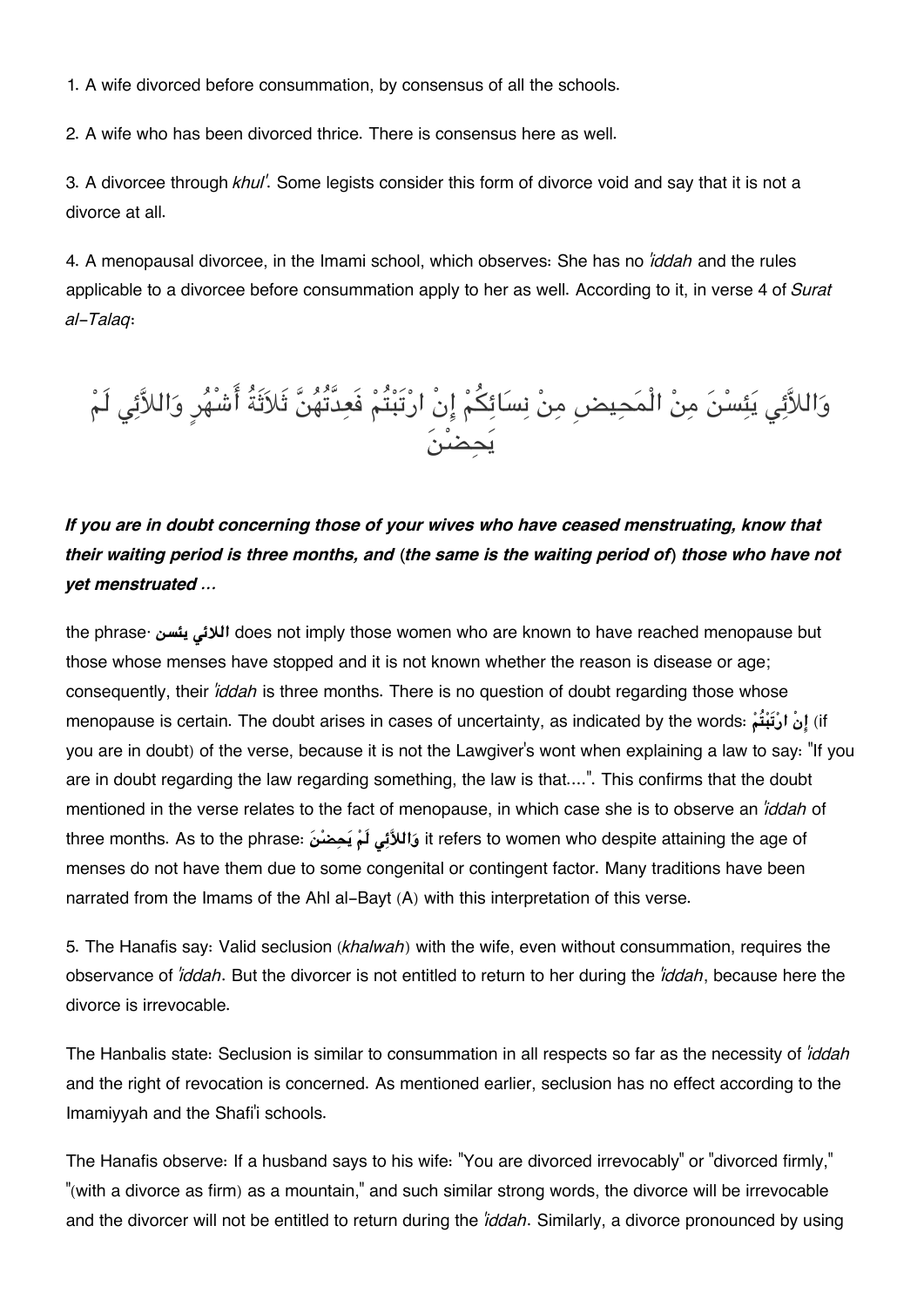1. A wife divorced before consummation, by consensus of all the schools.

2. A wife who has been divorced thrice. There is consensus here as well.

3. A divorcee through *khul'*. Some legists consider this form of divorce void and say that it is not a divorce at all.

4. A menopausal divorcee, in the Imami school, which observes: She has no *'iddah* and the rules applicable to a divorcee before consummation apply to her as well. According to it, in verse 4 of *Surat al-Talaq*:

وَاللاَّئِي يَئِسْنَ مِنْ الْمَحِيضِ مِنْ نِسَائِكُمْ إِنْ ارْتَبْتُمْ فَعِدَّتُهُنَّ ثَلاَثَةُ أَشْهُرٍ وَاللاَّئِي لَمْ يحضن

### *If you are in doubt concerning those of your wives who have ceased menstruating, know that their waiting period is three months, and (the same is the waiting period of) those who have not yet menstruated ...*

the phrase· **اللائى يئسن** does not imply those women who are known to have reached menopause but those whose menses have stopped and it is not known whether the reason is disease or age; consequently, their *'iddah* is three months. There is no question of doubt regarding those whose menopause is certain. The doubt arises in cases of uncertainty, as indicated by the words: **مُتبَتار ْنا**) if you are in doubt) of the verse, because it is not the Lawgiver's wont when explaining a law to say: "If you are in doubt regarding the law regarding something, the law is that....". This confirms that the doubt mentioned in the verse relates to the fact of menopause, in which case she is to observe an *'iddah* of three months. As to the phrase: **نضحي مَل ئاللاو** it refers to women who despite attaining the age of menses do not have them due to some congenital or contingent factor. Many traditions have been narrated from the Imams of the Ahl al-Bayt (A) with this interpretation of this verse.

5. The Hanafis say: Valid seclusion (*khalwah*) with the wife, even without consummation, requires the observance of *'iddah*. But the divorcer is not entitled to return to her during the *'iddah*, because here the divorce is irrevocable.

The Hanbalis state: Seclusion is similar to consummation in all respects so far as the necessity of *'iddah* and the right of revocation is concerned. As mentioned earlier, seclusion has no effect according to the Imamiyyah and the Shafi'i schools.

The Hanafis observe: If a husband says to his wife: "You are divorced irrevocably" or "divorced firmly," "(with a divorce as firm) as a mountain," and such similar strong words, the divorce will be irrevocable and the divorcer will not be entitled to return during the *'iddah*. Similarly, a divorce pronounced by using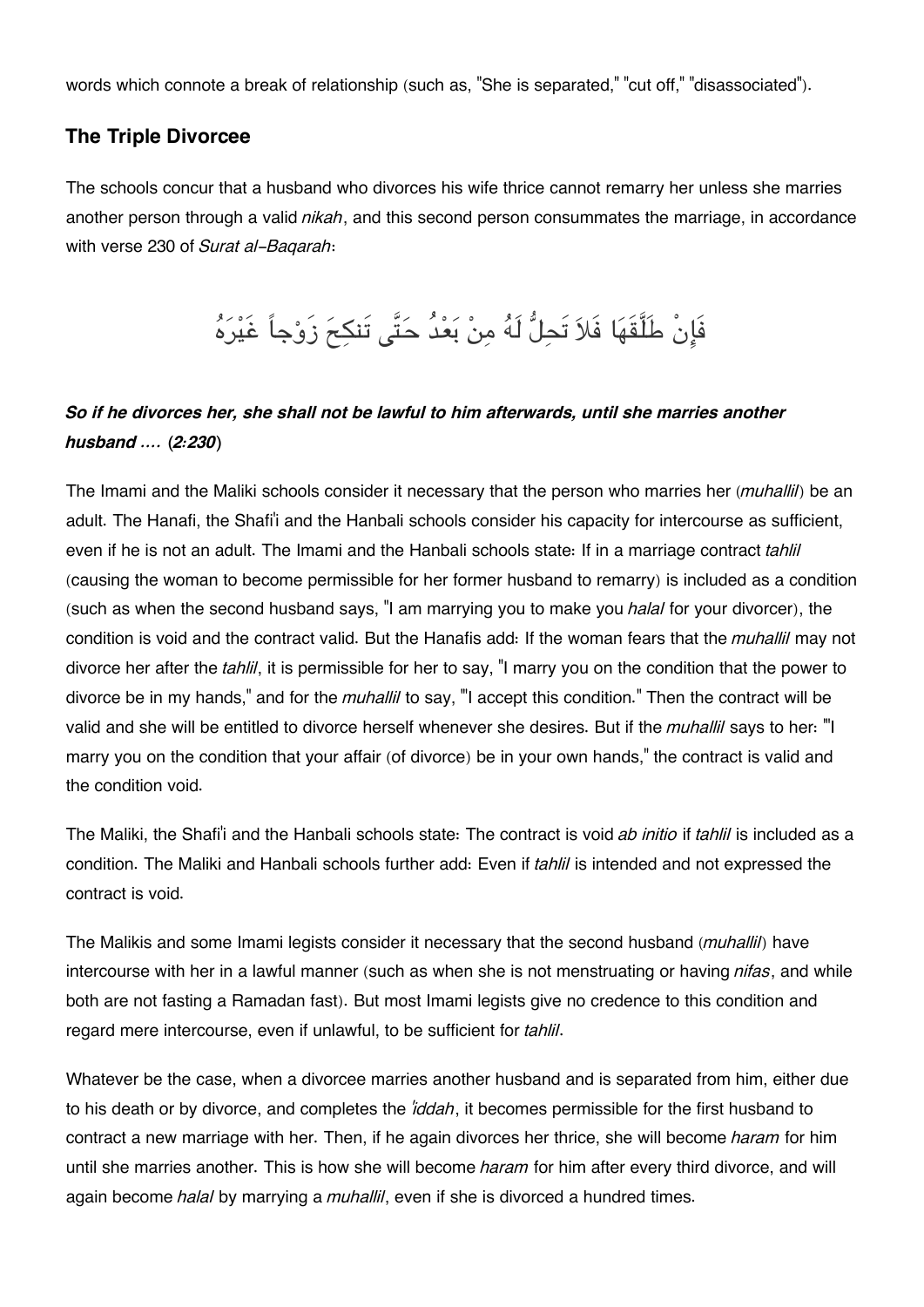words which connote a break of relationship (such as, "She is separated," "cut off," "disassociated").

#### **[The Triple Divorcee](#page--1-0)**

The schools concur that a husband who divorces his wife thrice cannot remarry her unless she marries another person through a valid *nikah*, and this second person consummates the marriage, in accordance with verse 230 of *Surat al-Baqarah*:

# فَإِنْ طَلَّقَهَا فَلاَ تَحِلُّ لَهُ مِنْ بَعْدُ حَتَّى تَنكِحَ زَوْجاً غَيْرَهُ

### *So if he divorces her, she shall not be lawful to him afterwards, until she marries another husband .... (2:230)*

The Imami and the Maliki schools consider it necessary that the person who marries her (*muhallil*) be an adult. The Hanafi, the Shafi'i and the Hanbali schools consider his capacity for intercourse as sufficient, even if he is not an adult. The Imami and the Hanbali schools state: If in a marriage contract *tahlil* (causing the woman to become permissible for her former husband to remarry) is included as a condition (such as when the second husband says, "I am marrying you to make you *halal* for your divorcer), the condition is void and the contract valid. But the Hanafis add: If the woman fears that the *muhallil* may not divorce her after the *tahlil*, it is permissible for her to say, "I marry you on the condition that the power to divorce be in my hands," and for the *muhallil* to say, '"I accept this condition." Then the contract will be valid and she will be entitled to divorce herself whenever she desires. But if the *muhallil* says to her: '"I marry you on the condition that your affair (of divorce) be in your own hands," the contract is valid and the condition void.

The Maliki, the Shafi'i and the Hanbali schools state: The contract is void *ab initio* if *tahlil* is included as a condition. The Maliki and Hanbali schools further add: Even if *tahlil* is intended and not expressed the contract is void.

The Malikis and some Imami legists consider it necessary that the second husband (*muhallil*) have intercourse with her in a lawful manner (such as when she is not menstruating or having *nifas*, and while both are not fasting a Ramadan fast). But most Imami legists give no credence to this condition and regard mere intercourse, even if unlawful, to be sufficient for *tahlil*.

Whatever be the case, when a divorcee marries another husband and is separated from him, either due to his death or by divorce, and completes the *'iddah*, it becomes permissible for the first husband to contract a new marriage with her. Then, if he again divorces her thrice, she will become *haram* for him until she marries another. This is how she will become *haram* for him after every third divorce, and will again become *halal* by marrying a *muhallil*, even if she is divorced a hundred times.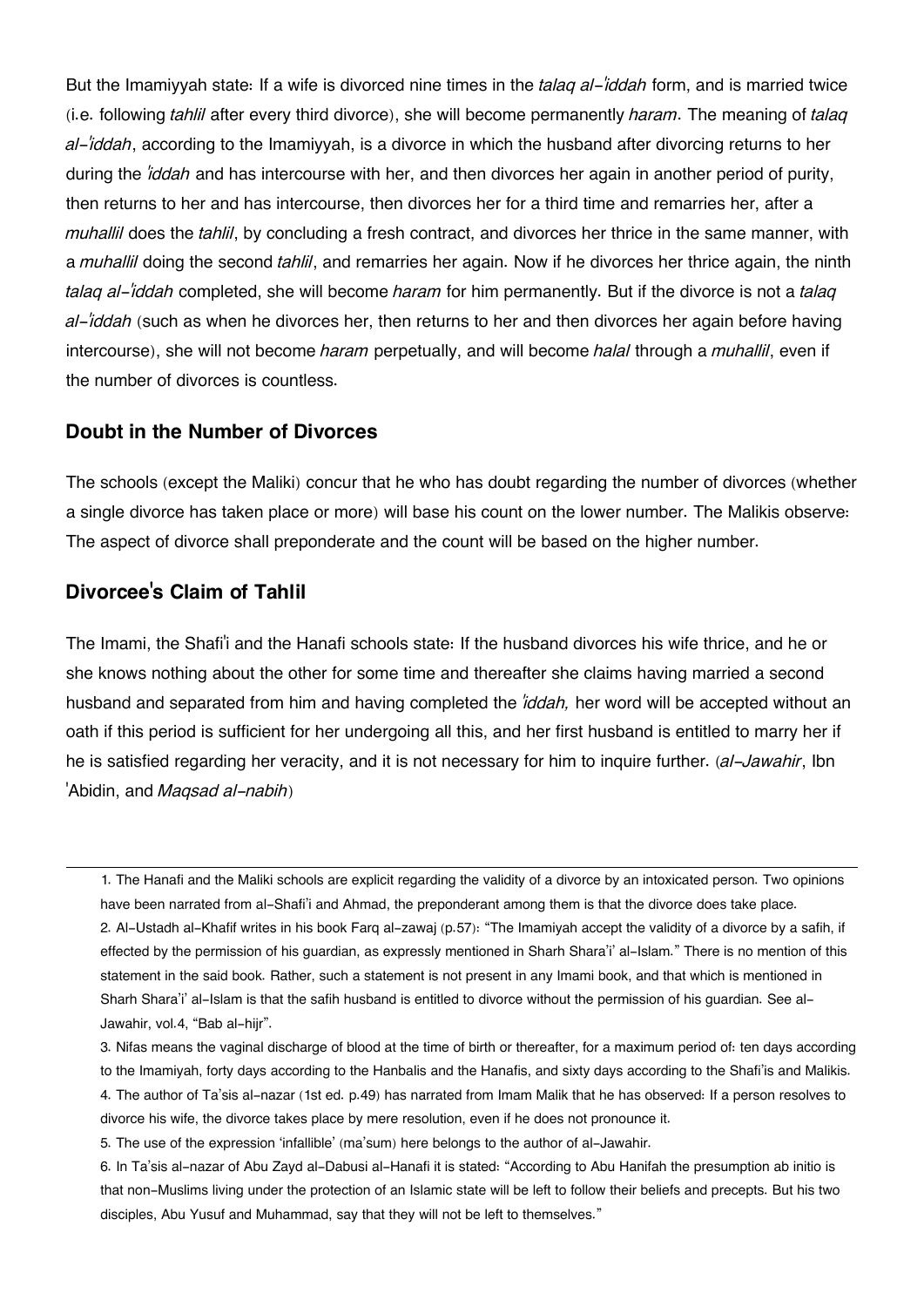But the Imamiyyah state: If a wife is divorced nine times in the *talaq al-'iddah* form, and is married twice (i.e. following *tahlil* after every third divorce), she will become permanently *haram*. The meaning of *talaq al-'iddah*, according to the Imamiyyah, is a divorce in which the husband after divorcing returns to her during the *'iddah* and has intercourse with her, and then divorces her again in another period of purity, then returns to her and has intercourse, then divorces her for a third time and remarries her, after a *muhallil* does the *tahlil*, by concluding a fresh contract, and divorces her thrice in the same manner, with a *muhallil* doing the second *tahlil*, and remarries her again. Now if he divorces her thrice again, the ninth *talaq al-'iddah* completed, she will become *haram* for him permanently. But if the divorce is not a *talaq al-'iddah* (such as when he divorces her, then returns to her and then divorces her again before having intercourse), she will not become *haram* perpetually, and will become *halal* through a *muhallil*, even if the number of divorces is countless.

#### **[Doubt in the Number of Divorces](#page--1-0)**

The schools (except the Maliki) concur that he who has doubt regarding the number of divorces (whether a single divorce has taken place or more) will base his count on the lower number. The Malikis observe: The aspect of divorce shall preponderate and the count will be based on the higher number.

#### **Divorcee['s Claim of Tahlil](#page--1-0)**

The Imami, the Shafi'i and the Hanafi schools state: If the husband divorces his wife thrice, and he or she knows nothing about the other for some time and thereafter she claims having married a second husband and separated from him and having completed the *'iddah,* her word will be accepted without an oath if this period is sufficient for her undergoing all this, and her first husband is entitled to marry her if he is satisfied regarding her veracity, and it is not necessary for him to inquire further. (*al-Jawahir*, Ibn 'Abidin, and *Maqsad al-nabih*)

[5.](#page--1-0) The use of the expression 'infallible' (ma'sum) here belongs to the author of al-Jawahir.

[<sup>1.</sup>](#page--1-0) The Hanafi and the Maliki schools are explicit regarding the validity of a divorce by an intoxicated person. Two opinions have been narrated from al-Shafi'i and Ahmad, the preponderant among them is that the divorce does take place. [2.](#page--1-0) Al-Ustadh al-Khafif writes in his book Farq al-zawaj (p.57): "The Imamiyah accept the validity of a divorce by a safih, if effected by the permission of his guardian, as expressly mentioned in Sharh Shara'i' al-Islam." There is no mention of this statement in the said book. Rather, such a statement is not present in any Imami book, and that which is mentioned in Sharh Shara'i' al-Islam is that the safih husband is entitled to divorce without the permission of his guardian. See al-Jawahir, vol.4, "Bab al-hijr".

[<sup>3.</sup>](#page--1-0) Nifas means the vaginal discharge of blood at the time of birth or thereafter, for a maximum period of: ten days according to the Imamiyah, forty days according to the Hanbalis and the Hanafis, and sixty days according to the Shafi'is and Malikis. [4.](#page--1-0) The author of Ta'sis al-nazar (1st ed. p.49) has narrated from Imam Malik that he has observed: If a person resolves to divorce his wife, the divorce takes place by mere resolution, even if he does not pronounce it.

[<sup>6.</sup>](#page--1-0) In Ta'sis al-nazar of Abu Zayd al-Dabusi al-Hanafi it is stated: "According to Abu Hanifah the presumption ab initio is that non-Muslims living under the protection of an Islamic state will be left to follow their beliefs and precepts. But his two disciples, Abu Yusuf and Muhammad, say that they will not be left to themselves."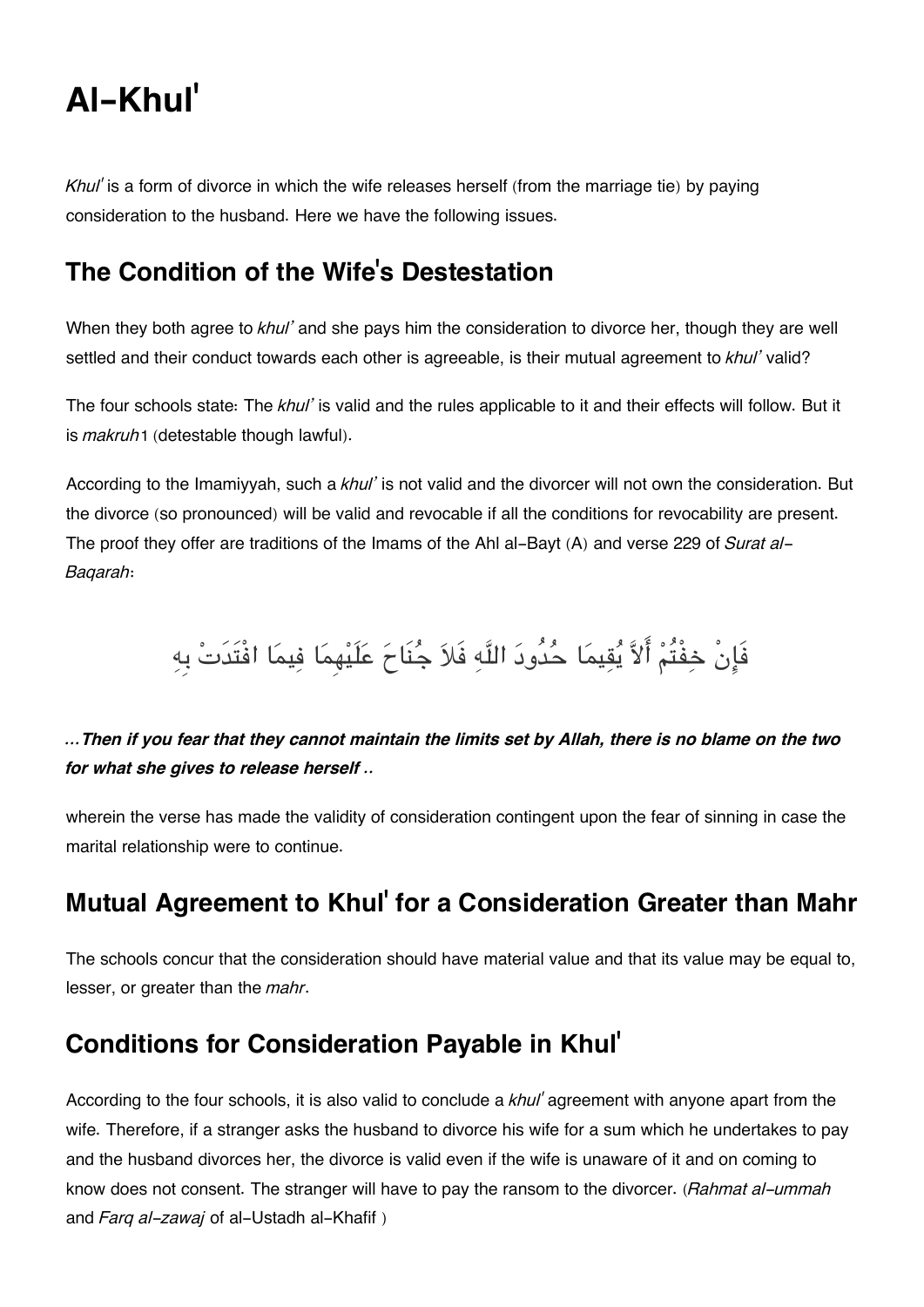# **Al-Khul'**

*Khul'* is a form of divorce in which the wife releases herself (from the marriage tie) by paying consideration to the husband. Here we have the following issues.

## **[The Condition of the Wife](#page--1-0)'s Destestation**

When they both agree to *khul'* and she pays him the consideration to divorce her, though they are well settled and their conduct towards each other is agreeable, is their mutual agreement to *khul'* valid?

The four schools state: The *khul'* is valid and the rules applicable to it and their effects will follow. But it is *makruh*[1](#page--1-0) (detestable though lawful).

According to the Imamiyyah, such a *khul'* is not valid and the divorcer will not own the consideration. But the divorce (so pronounced) will be valid and revocable if all the conditions for revocability are present. The proof they offer are traditions of the Imams of the Ahl al-Bayt (A) and verse 229 of *Surat al-Baqarah*:

فَإِنْ خِفْتُمْ أَلاَّ يُقِيمَا حُدُودَ اللَّهِ فَلاَ جُنَاحَ عَلَيْهِمَا فِيمَا افْتَدَتْ بِهِ

### *...Then if you fear that they cannot maintain the limits set by Allah, there is no blame on the two for what she gives to release herself ..*

wherein the verse has made the validity of consideration contingent upon the fear of sinning in case the marital relationship were to continue.

## **Mutual Agreement to Khul[' for a Consideration Greater than Mahr](#page--1-0)**

The schools concur that the consideration should have material value and that its value may be equal to, lesser, or greater than the *mahr*.

## **[Conditions for Consideration Payable in Khul](#page--1-0)'**

According to the four schools, it is also valid to conclude a *khul'* agreement with anyone apart from the wife. Therefore, if a stranger asks the husband to divorce his wife for a sum which he undertakes to pay and the husband divorces her, the divorce is valid even if the wife is unaware of it and on coming to know does not consent. The stranger will have to pay the ransom to the divorcer. (*Rahmat al-ummah* and *Farq al-zawaj* of al-Ustadh al-Khafif )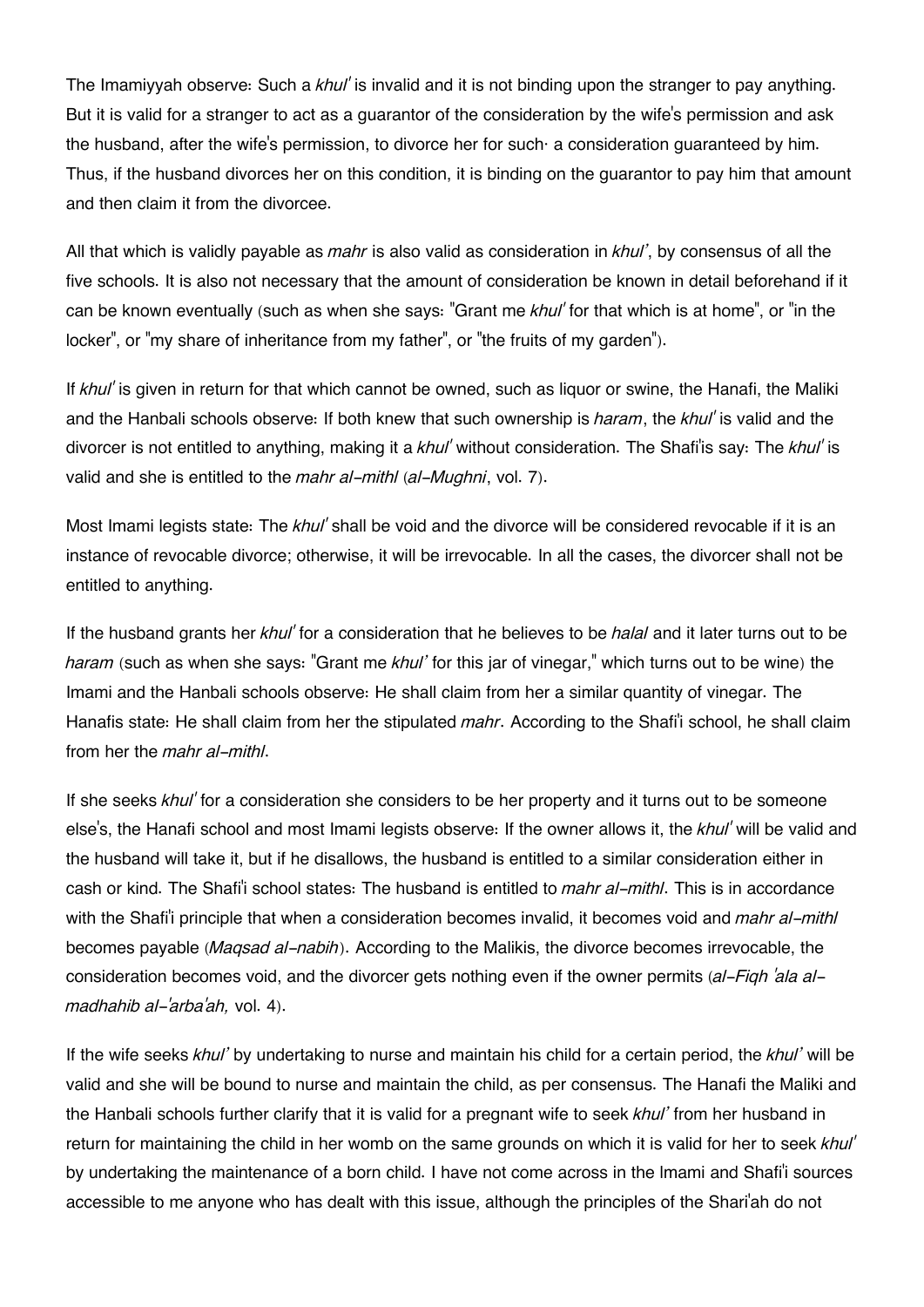The Imamiyyah observe: Such a *khul'* is invalid and it is not binding upon the stranger to pay anything. But it is valid for a stranger to act as a guarantor of the consideration by the wife's permission and ask the husband, after the wife's permission, to divorce her for such· a consideration guaranteed by him. Thus, if the husband divorces her on this condition, it is binding on the guarantor to pay him that amount and then claim it from the divorcee.

All that which is validly payable as *mahr* is also valid as consideration in *khul'*, by consensus of all the five schools. It is also not necessary that the amount of consideration be known in detail beforehand if it can be known eventually (such as when she says: "Grant me *khul'* for that which is at home", or "in the locker", or "my share of inheritance from my father", or "the fruits of my garden").

If *khul'* is given in return for that which cannot be owned, such as liquor or swine, the Hanafi, the Maliki and the Hanbali schools observe: If both knew that such ownership is *haram*, the *khul'* is valid and the divorcer is not entitled to anything, making it a *khul'* without consideration. The Shafi'is say: The *khul'* is valid and she is entitled to the *mahr al-mithl* (*al-Mughni*, vol. 7).

Most Imami legists state: The *khul'* shall be void and the divorce will be considered revocable if it is an instance of revocable divorce; otherwise, it will be irrevocable. In all the cases, the divorcer shall not be entitled to anything.

If the husband grants her *khul'* for a consideration that he believes to be *halal* and it later turns out to be *haram* (such as when she says: "Grant me *khul'* for this jar of vinegar," which turns out to be wine) the Imami and the Hanbali schools observe: He shall claim from her a similar quantity of vinegar. The Hanafis state: He shall claim from her the stipulated *mahr*. According to the Shafi'i school, he shall claim from her the *mahr al-mithl*.

If she seeks *khul'* for a consideration she considers to be her property and it turns out to be someone else's, the Hanafi school and most Imami legists observe: If the owner allows it, the *khul'* will be valid and the husband will take it, but if he disallows, the husband is entitled to a similar consideration either in cash or kind. The Shafi'i school states: The husband is entitled to *mahr al-mithl*. This is in accordance with the Shafi'i principle that when a consideration becomes invalid, it becomes void and *mahr al-mithl* becomes payable (*Maqsad al-nabih*). According to the Malikis, the divorce becomes irrevocable, the consideration becomes void, and the divorcer gets nothing even if the owner permits (*al-Fiqh 'ala almadhahib al-'arba'ah,* vol. 4).

If the wife seeks *khul'* by undertaking to nurse and maintain his child for a certain period, the *khul'* will be valid and she will be bound to nurse and maintain the child, as per consensus. The Hanafi the Maliki and the Hanbali schools further clarify that it is valid for a pregnant wife to seek *khul'* from her husband in return for maintaining the child in her womb on the same grounds on which it is valid for her to seek *khul'* by undertaking the maintenance of a born child. I have not come across in the lmami and Shafi'i sources accessible to me anyone who has dealt with this issue, although the principles of the Shari'ah do not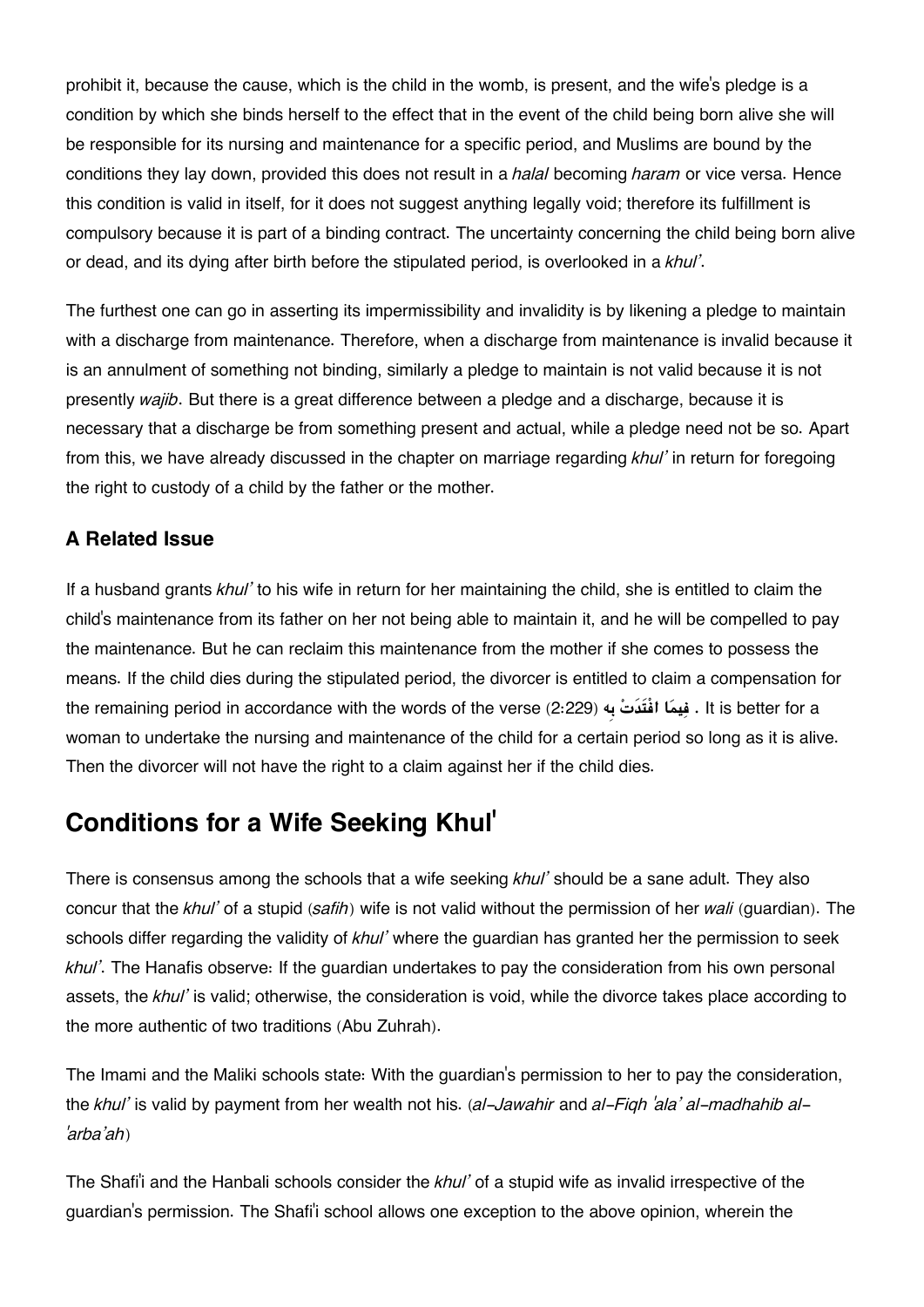prohibit it, because the cause, which is the child in the womb, is present, and the wife's pledge is a condition by which she binds herself to the effect that in the event of the child being born alive she will be responsible for its nursing and maintenance for a specific period, and Muslims are bound by the conditions they lay down, provided this does not result in a *halal* becoming *haram* or vice versa. Hence this condition is valid in itself, for it does not suggest anything legally void; therefore its fulfillment is compulsory because it is part of a binding contract. The uncertainty concerning the child being born alive or dead, and its dying after birth before the stipulated period, is overlooked in a *khul'*.

The furthest one can go in asserting its impermissibility and invalidity is by likening a pledge to maintain with a discharge from maintenance. Therefore, when a discharge from maintenance is invalid because it is an annulment of something not binding, similarly a pledge to maintain is not valid because it is not presently *wajib*. But there is a great difference between a pledge and a discharge, because it is necessary that a discharge be from something present and actual, while a pledge need not be so. Apart from this, we have already discussed in the chapter on marriage regarding *khul'* in return for foregoing the right to custody of a child by the father or the mother.

#### **[A Related Issue](#page--1-0)**

If a husband grants *khul'* to his wife in return for her maintaining the child, she is entitled to claim the child's maintenance from its father on her not being able to maintain it, and he will be compelled to pay the maintenance. But he can reclaim this maintenance from the mother if she comes to possess the means. If the child dies during the stipulated period, the divorcer is entitled to claim a compensation for the remaining period in accordance with the words of the verse (2:229) **هِب تَدَتْاف ايمف .** It is better for a woman to undertake the nursing and maintenance of the child for a certain period so long as it is alive. Then the divorcer will not have the right to a claim against her if the child dies.

## **[Conditions for a Wife Seeking Khul](#page--1-0)'**

There is consensus among the schools that a wife seeking *khul'* should be a sane adult. They also concur that the *khul'* of a stupid (*safih*) wife is not valid without the permission of her *wali* (guardian). The schools differ regarding the validity of *khul'* where the guardian has granted her the permission to seek *khul'*. The Hanafis observe: If the guardian undertakes to pay the consideration from his own personal assets, the *khul'* is valid; otherwise, the consideration is void, while the divorce takes place according to the more authentic of two traditions (Abu Zuhrah).

The Imami and the Maliki schools state: With the guardian's permission to her to pay the consideration, the *khul'* is valid by payment from her wealth not his. (*al-Jawahir* and *al-Fiqh 'ala' al-madhahib al- 'arba'ah*)

The Shafi'i and the Hanbali schools consider the *khul'* of a stupid wife as invalid irrespective of the guardian's permission. The Shafi'i school allows one exception to the above opinion, wherein the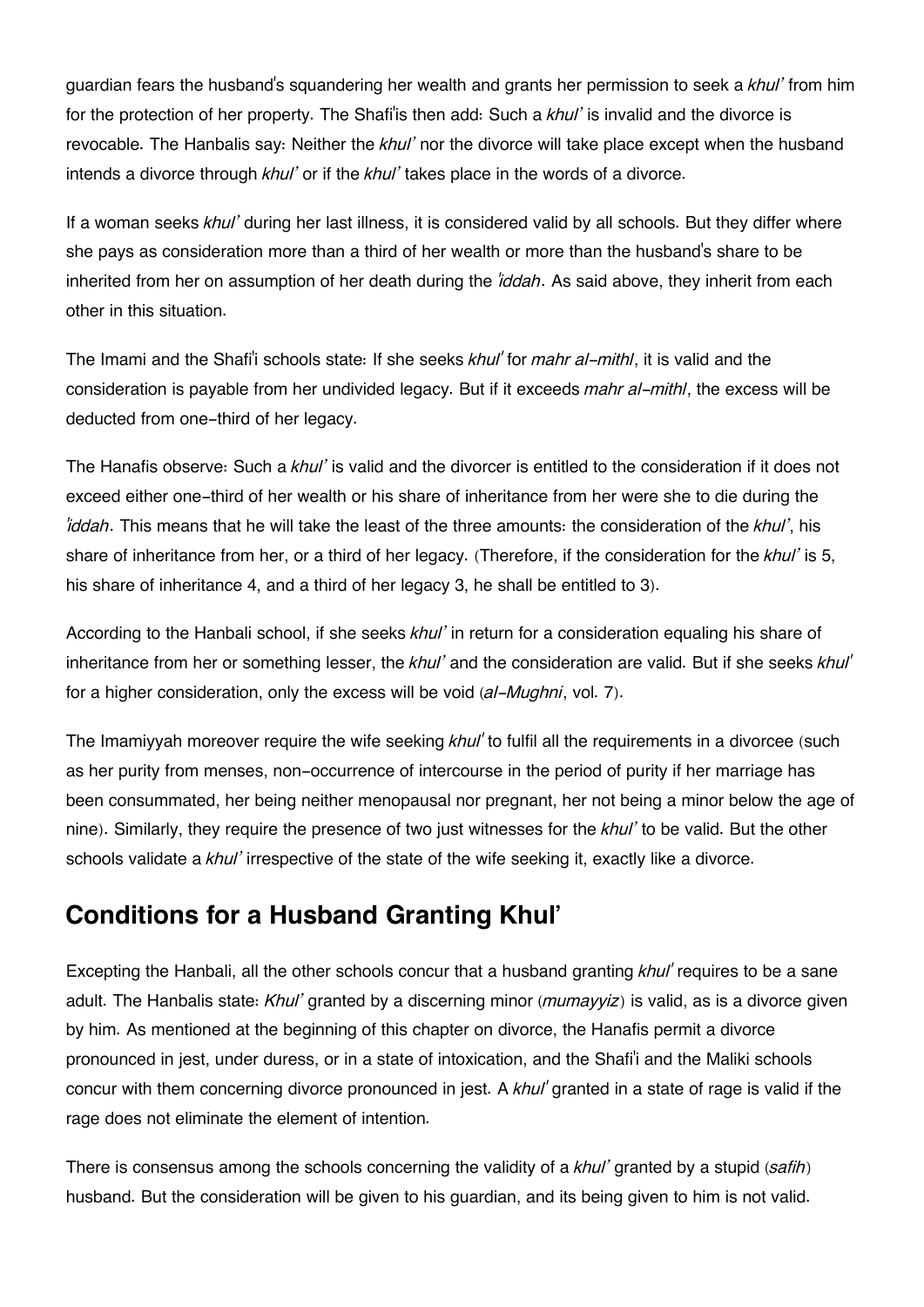guardian fears the husband's squandering her wealth and grants her permission to seek a *khul'* from him for the protection of her property. The Shafi'is then add: Such a *khul'* is invalid and the divorce is revocable. The Hanbalis say: Neither the *khul'* nor the divorce will take place except when the husband intends a divorce through *khul'* or if the *khul'* takes place in the words of a divorce.

If a woman seeks *khul'* during her last illness, it is considered valid by all schools. But they differ where she pays as consideration more than a third of her wealth or more than the husband's share to be inherited from her on assumption of her death during the *'iddah*. As said above, they inherit from each other in this situation.

The Imami and the Shafi'i schools state: If she seeks *khul'* for *mahr al-mithl*, it is valid and the consideration is payable from her undivided legacy. But if it exceeds *mahr al-mithl*, the excess will be deducted from one-third of her legacy.

The Hanafis observe: Such a *khul'* is valid and the divorcer is entitled to the consideration if it does not exceed either one-third of her wealth or his share of inheritance from her were she to die during the *'iddah*. This means that he will take the least of the three amounts: the consideration of the *khul'*, his share of inheritance from her, or a third of her legacy. (Therefore, if the consideration for the *khul'* is 5, his share of inheritance 4, and a third of her legacy 3, he shall be entitled to 3).

According to the Hanbali school, if she seeks *khul'* in return for a consideration equaling his share of inheritance from her or something lesser, the *khul'* and the consideration are valid. But if she seeks *khul'* for a higher consideration, only the excess will be void (*al-Mughni*, vol. 7).

The Imamiyyah moreover require the wife seeking *khul'* to fulfil all the requirements in a divorcee (such as her purity from menses, non-occurrence of intercourse in the period of purity if her marriage has been consummated, her being neither menopausal nor pregnant, her not being a minor below the age of nine). Similarly, they require the presence of two just witnesses for the *khul'* to be valid. But the other schools validate a *khul'* irrespective of the state of the wife seeking it, exactly like a divorce.

## **[Conditions for a Husband Granting Khul'](#page--1-0)**

Excepting the Hanbali, all the other schools concur that a husband granting *khul'* requires to be a sane adult. The Hanbalis state: *Khul'* granted by a discerning minor (*mumayyiz*) is valid, as is a divorce given by him. As mentioned at the beginning of this chapter on divorce, the Hanafis permit a divorce pronounced in jest, under duress, or in a state of intoxication, and the Shafi'i and the Maliki schools concur with them concerning divorce pronounced in jest. A *khul'* granted in a state of rage is valid if the rage does not eliminate the element of intention.

There is consensus among the schools concerning the validity of a *khul'* granted by a stupid (*safih*) husband. But the consideration will be given to his guardian, and its being given to him is not valid.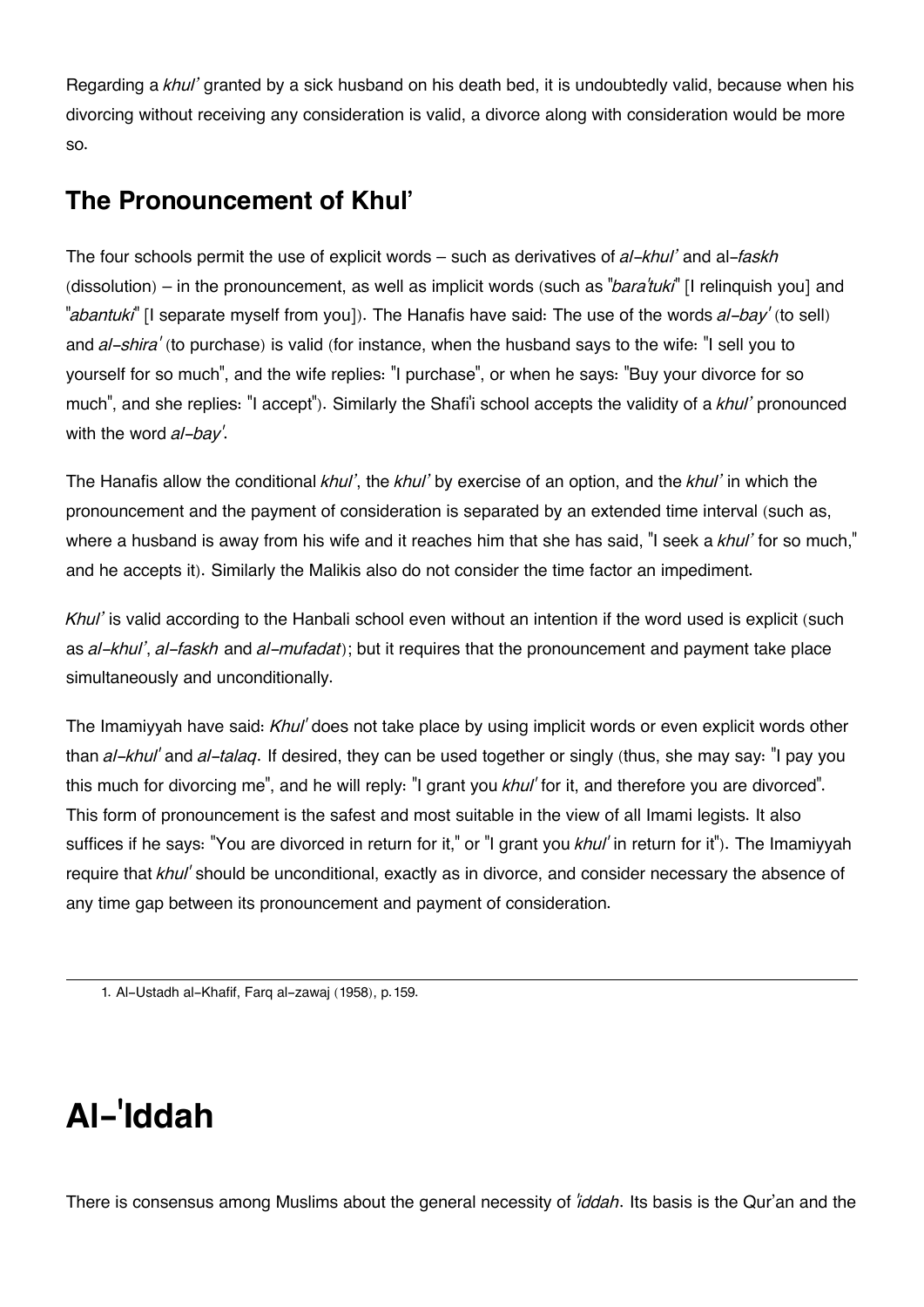Regarding a *khul'* granted by a sick husband on his death bed, it is undoubtedly valid, because when his divorcing without receiving any consideration is valid, a divorce along with consideration would be more so.

## **[The Pronouncement of Khul'](#page--1-0)**

The four schools permit the use of explicit words – such as derivatives of *al-khul'* and al*-faskh* (dissolution) – in the pronouncement, as well as implicit words (such as "*bara'tuki*" [I relinquish you] and "*abantuki*" [I separate myself from you]). The Hanafis have said: The use of the words *al-bay'* (to sell) and *al-shira'* (to purchase) is valid (for instance, when the husband says to the wife: "I sell you to yourself for so much", and the wife replies: "I purchase", or when he says: "Buy your divorce for so much", and she replies: "I accept"). Similarly the Shafi'i school accepts the validity of a *khul'* pronounced with the word *al-bay'*.

The Hanafis allow the conditional *khul'*, the *khul'* by exercise of an option, and the *khul'* in which the pronouncement and the payment of consideration is separated by an extended time interval (such as, where a husband is away from his wife and it reaches him that she has said, "I seek a *khul'* for so much," and he accepts it). Similarly the Malikis also do not consider the time factor an impediment.

*Khul'* is valid according to the Hanbali school even without an intention if the word used is explicit (such as *al-khul'*, *al-faskh* and *al-mufadat*); but it requires that the pronouncement and payment take place simultaneously and unconditionally.

The Imamiyyah have said: *Khul'* does not take place by using implicit words or even explicit words other than *al-khul'* and *al-talaq*. If desired, they can be used together or singly (thus, she may say: "I pay you this much for divorcing me", and he will reply: "I grant you *khul'* for it, and therefore you are divorced". This form of pronouncement is the safest and most suitable in the view of all Imami legists. It also suffices if he says: "You are divorced in return for it," or "I grant you *khul'* in return for it"). The Imamiyyah require that *khul'* should be unconditional, exactly as in divorce, and consider necessary the absence of any time gap between its pronouncement and payment of consideration.

[1.](#page--1-0) Al-Ustadh al-Khafif, Farq al-zawaj (1958), p.159.

# **Al-'Iddah**

There is consensus among Muslims about the general necessity of *'iddah*. Its basis is the Qur'an and the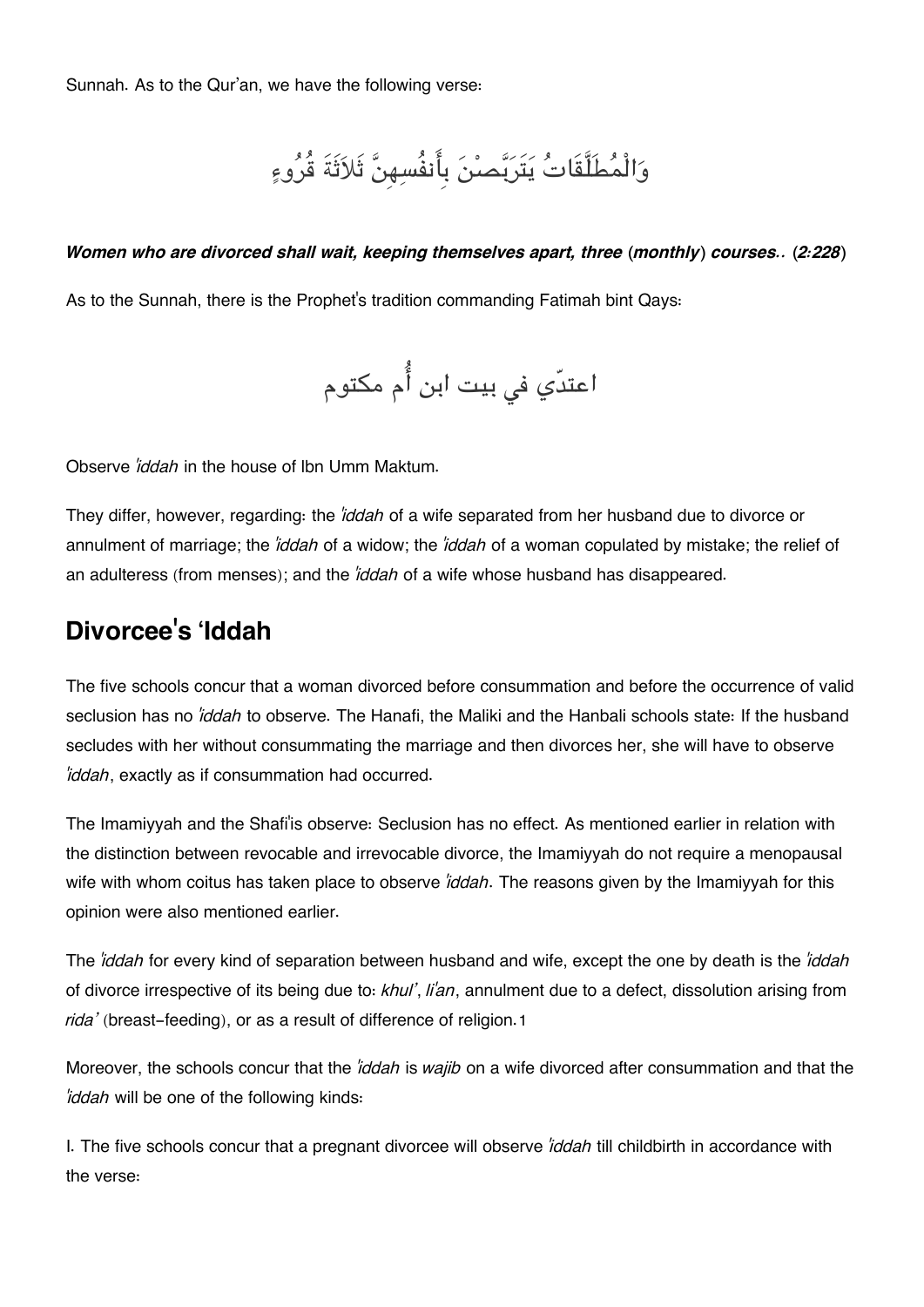Sunnah. As to the Qur'an, we have the following verse:

والْمطَلَّقَات يتَربصن بِانفُسهِن ثَلاثَةَ قُروء

#### *Women who are divorced shall wait, keeping themselves apart, three (monthly) courses.. (2:228)*

As to the Sunnah, there is the Prophet's tradition commanding Fatimah bint Qays:

اعتدّي في بيت ابن أُم مكتوم

Observe *'iddah* in the house of lbn Umm Maktum.

They differ, however, regarding: the *'iddah* of a wife separated from her husband due to divorce or annulment of marriage; the *'iddah* of a widow; the *'iddah* of a woman copulated by mistake; the relief of an adulteress (from menses); and the *'iddah* of a wife whose husband has disappeared.

## **Divorcee['s 'Iddah](#page--1-0)**

The five schools concur that a woman divorced before consummation and before the occurrence of valid seclusion has no *'iddah* to observe. The Hanafi, the Maliki and the Hanbali schools state: If the husband secludes with her without consummating the marriage and then divorces her, she will have to observe *'iddah*, exactly as if consummation had occurred.

The Imamiyyah and the Shafi'is observe: Seclusion has no effect. As mentioned earlier in relation with the distinction between revocable and irrevocable divorce, the Imamiyyah do not require a menopausal wife with whom coitus has taken place to observe *'iddah*. The reasons given by the Imamiyyah for this opinion were also mentioned earlier.

The *'iddah* for every kind of separation between husband and wife, except the one by death is the *'iddah* of divorce irrespective of its being due to: *khul'*, *li'an*, annulment due to a defect, dissolution arising from *rida'* (breast-feeding), or as a result of difference of religion.[1](#page--1-0)

Moreover, the schools concur that the *'iddah* is *wajib* on a wife divorced after consummation and that the *'iddah* will be one of the following kinds:

I. The five schools concur that a pregnant divorcee will observe *'iddah* till childbirth in accordance with the verse: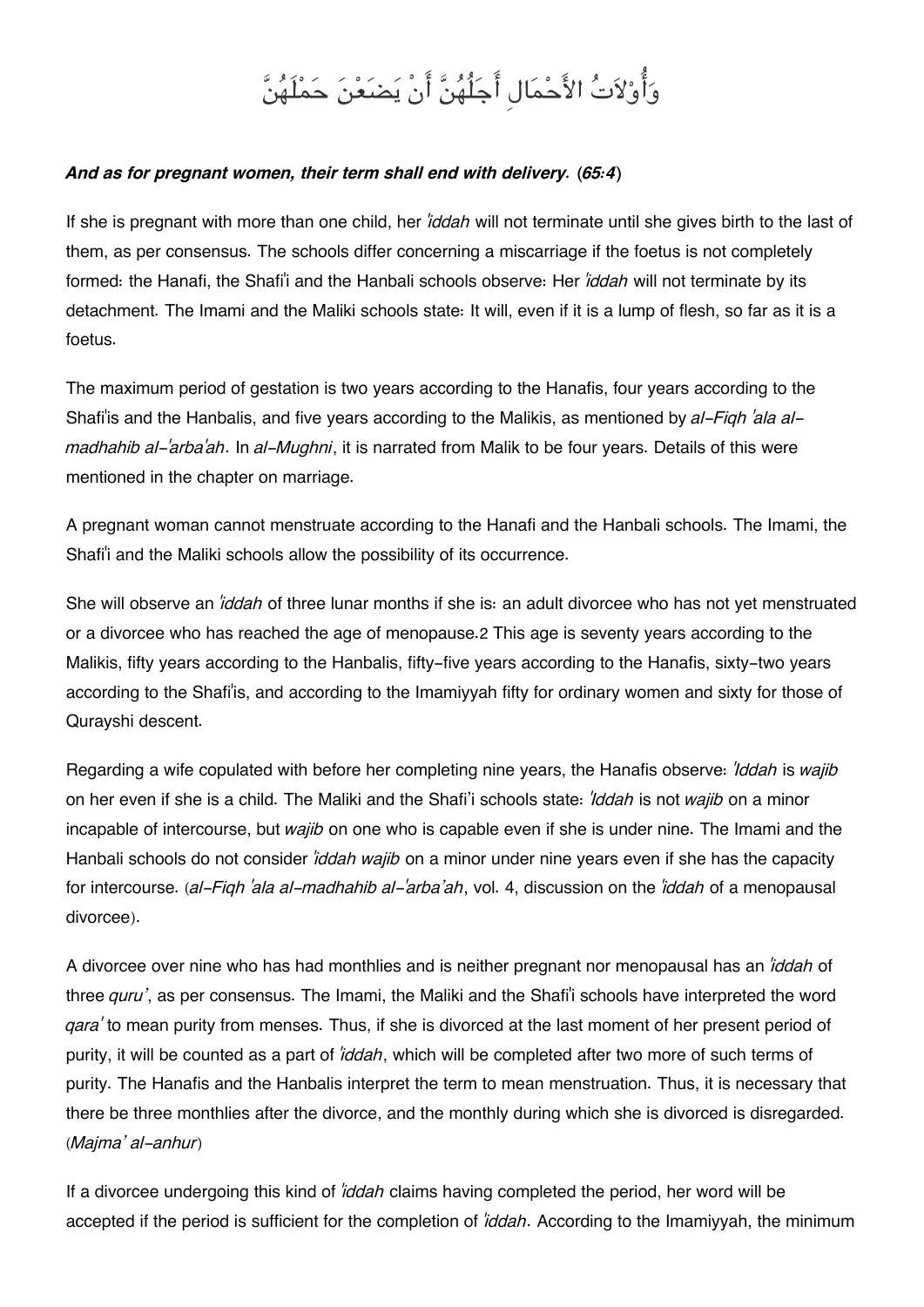# واولات الاحمالِ اجلُهن انْ يضعن حملَهن

#### *And as for pregnant women, their term shall end with delivery. (65:4)*

If she is pregnant with more than one child, her *'iddah* will not terminate until she gives birth to the last of them, as per consensus. The schools differ concerning a miscarriage if the foetus is not completely formed: the Hanafi, the Shafi'i and the Hanbali schools observe: Her *'iddah* will not terminate by its detachment. The Imami and the Maliki schools state: It will, even if it is a lump of flesh, so far as it is a foetus.

The maximum period of gestation is two years according to the Hanafis, four years according to the Shafi'is and the Hanbalis, and five years according to the Malikis, as mentioned by *al-Fiqh 'ala almadhahib al-'arba'ah*. In *al-Mughni*, it is narrated from Malik to be four years. Details of this were mentioned in the chapter on marriage.

A pregnant woman cannot menstruate according to the Hanafi and the Hanbali schools. The Imami, the Shafi'i and the Maliki schools allow the possibility of its occurrence.

She will observe an *'iddah* of three lunar months if she is: an adult divorcee who has not yet menstruated or a divorcee who has reached the age of menopause.[2](#page--1-0) This age is seventy years according to the Malikis, fifty years according to the Hanbalis, fifty-five years according to the Hanafis, sixty-two years according to the Shafi'is, and according to the Imamiyyah fifty for ordinary women and sixty for those of Qurayshi descent.

Regarding a wife copulated with before her completing nine years, the Hanafis observe: *'Iddah* is *wajib* on her even if she is a child. The Maliki and the Shafi'i schools state: *'Iddah* is not *wajib* on a minor incapable of intercourse, but *wajib* on one who is capable even if she is under nine. The Imami and the Hanbali schools do not consider *'iddah wajib* on a minor under nine years even if she has the capacity for intercourse. (*al-Fiqh 'ala al-madhahib al-'arba'ah*, vol. 4, discussion on the *'iddah* of a menopausal divorcee).

A divorcee over nine who has had monthlies and is neither pregnant nor menopausal has an *'iddah* of three *quru'*, as per consensus. The Imami, the Maliki and the Shafi'i schools have interpreted the word *qara'* to mean purity from menses. Thus, if she is divorced at the last moment of her present period of purity, it will be counted as a part of *'iddah*, which will be completed after two more of such terms of purity. The Hanafis and the Hanbalis interpret the term to mean menstruation. Thus, it is necessary that there be three monthlies after the divorce, and the monthly during which she is divorced is disregarded. (*Majma' al-anhur*)

If a divorcee undergoing this kind of *'iddah* claims having completed the period, her word will be accepted if the period is sufficient for the completion of *'iddah*. According to the Imamiyyah, the minimum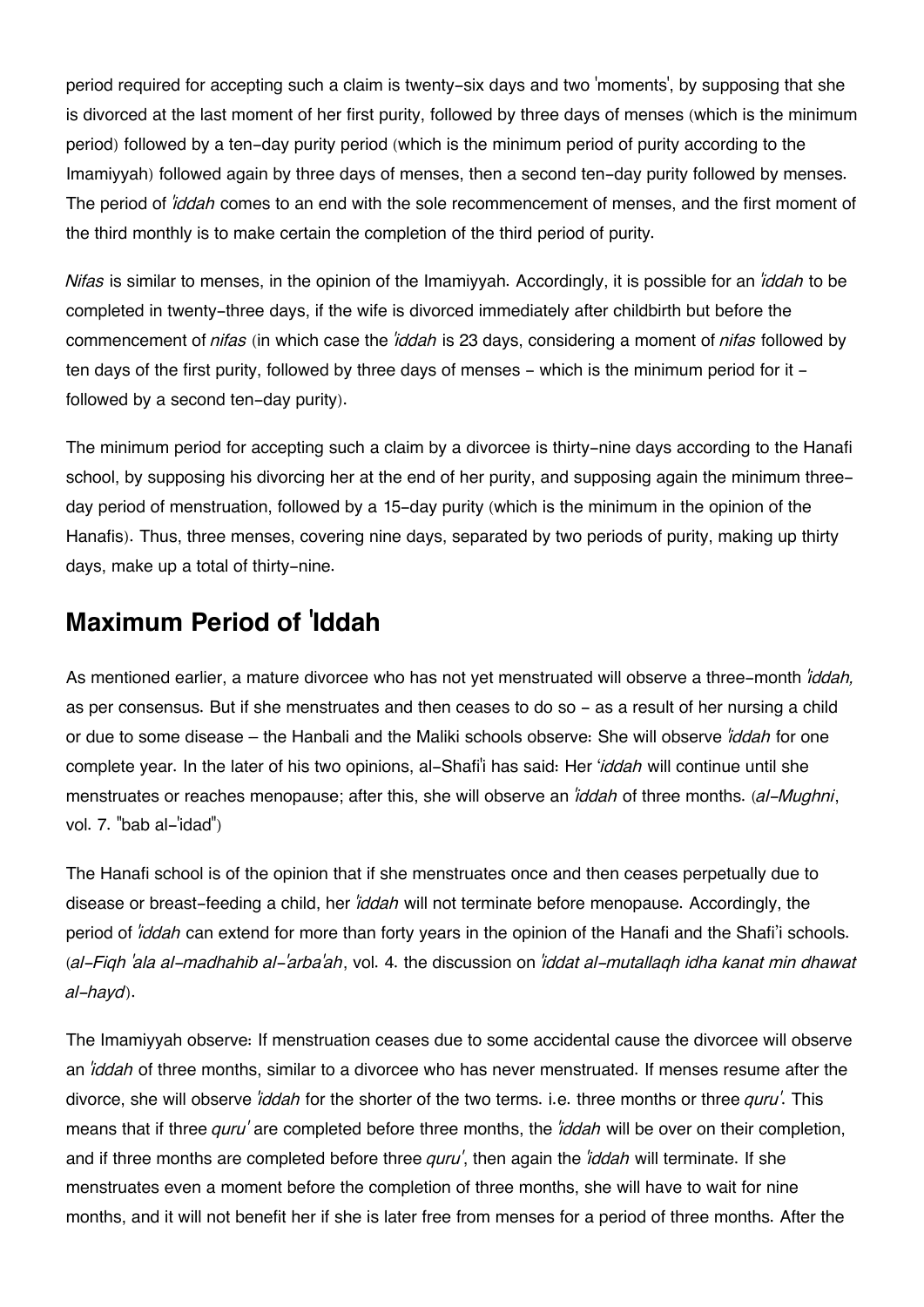period required for accepting such a claim is twenty-six days and two 'moments', by supposing that she is divorced at the last moment of her first purity, followed by three days of menses (which is the minimum period) followed by a ten-day purity period (which is the minimum period of purity according to the Imamiyyah) followed again by three days of menses, then a second ten-day purity followed by menses. The period of *'iddah* comes to an end with the sole recommencement of menses, and the first moment of the third monthly is to make certain the completion of the third period of purity.

*Nifas* is similar to menses, in the opinion of the Imamiyyah. Accordingly, it is possible for an *'iddah* to be completed in twenty-three days, if the wife is divorced immediately after childbirth but before the commencement of *nifas* (in which case the *'iddah* is 23 days, considering a moment of *nifas* followed by ten days of the first purity, followed by three days of menses – which is the minimum period for it – followed by a second ten-day purity).

The minimum period for accepting such a claim by a divorcee is thirty-nine days according to the Hanafi school, by supposing his divorcing her at the end of her purity, and supposing again the minimum threeday period of menstruation, followed by a 15-day purity (which is the minimum in the opinion of the Hanafis). Thus, three menses, covering nine days, separated by two periods of purity, making up thirty days, make up a total of thirty-nine.

## **[Maximum Period of](#page--1-0) 'Iddah**

As mentioned earlier, a mature divorcee who has not yet menstruated will observe a three-month *'iddah,* as per consensus. But if she menstruates and then ceases to do so - as a result of her nursing a child or due to some disease – the Hanbali and the Maliki schools observe: She will observe *'iddah* for one complete year. In the later of his two opinions, al-Shafi'i has said: Her '*iddah* will continue until she menstruates or reaches menopause; after this, she will observe an *'iddah* of three months. (*al-Mughni*, vol. 7. "bab al-'idad")

The Hanafi school is of the opinion that if she menstruates once and then ceases perpetually due to disease or breast-feeding a child, her *'iddah* will not terminate before menopause. Accordingly, the period of *'iddah* can extend for more than forty years in the opinion of the Hanafi and the Shafi'i schools. (*al-Fiqh 'ala al-madhahib al-'arba'ah*, vol. 4. the discussion on *'iddat al-mutallaqh idha kanat min dhawat al-hayd*).

The Imamiyyah observe: If menstruation ceases due to some accidental cause the divorcee will observe an *'iddah* of three months, similar to a divorcee who has never menstruated. If menses resume after the divorce, she will observe *'iddah* for the shorter of the two terms. i.e. three months or three *quru'*. This means that if three *quru'* are completed before three months, the *'iddah* will be over on their completion, and if three months are completed before three *quru'*, then again the *'iddah* will terminate. If she menstruates even a moment before the completion of three months, she will have to wait for nine months, and it will not benefit her if she is later free from menses for a period of three months. After the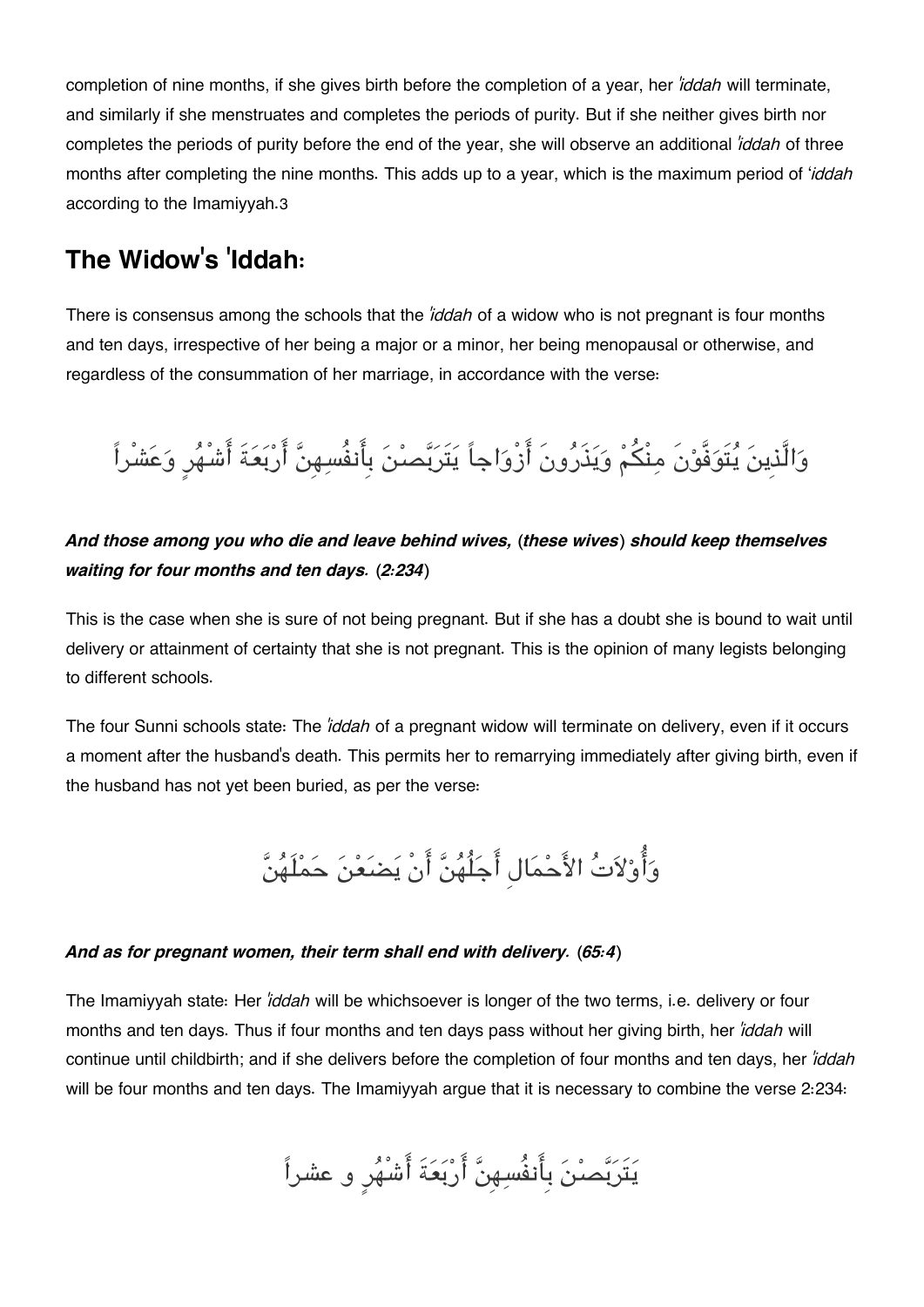completion of nine months, if she gives birth before the completion of a year, her *'iddah* will terminate, and similarly if she menstruates and completes the periods of purity. But if she neither gives birth nor completes the periods of purity before the end of the year, she will observe an additional *'iddah* of three months after completing the nine months. This adds up to a year, which is the maximum period of '*iddah* according to the Imamiyyah.[3](#page--1-0)

## **[The Widow](#page--1-0)'s 'Iddah:**

There is consensus among the schools that the *'iddah* of a widow who is not pregnant is four months and ten days, irrespective of her being a major or a minor, her being menopausal or otherwise, and regardless of the consummation of her marriage, in accordance with the verse:

وَالَّذِينَ يُتَوَفَّوْنَ مِنْكُمْ وَيَذَرُونَ أَزْوَاجاً يَتَرَبَّصنْنَ بِأَنفُسِهِنَّ أَرْبَعَةَ أَشْهُرٍ وَعَشْراً

### *And those among you who die and leave behind wives, (these wives) should keep themselves waiting for four months and ten days. (2:234)*

This is the case when she is sure of not being pregnant. But if she has a doubt she is bound to wait until delivery or attainment of certainty that she is not pregnant. This is the opinion of many legists belonging to different schools.

The four Sunni schools state: The *'iddah* of a pregnant widow will terminate on delivery, even if it occurs a moment after the husband's death. This permits her to remarrying immediately after giving birth, even if the husband has not yet been buried, as per the verse:

واولات الاحمالِ اجلُهن انْ يضعن حملَهن

#### *And as for pregnant women, their term shall end with delivery. (65:4)*

The Imamiyyah state: Her *'iddah* will be whichsoever is longer of the two terms, i.e. delivery or four months and ten days. Thus if four months and ten days pass without her giving birth, her *'iddah* will continue until childbirth; and if she delivers before the completion of four months and ten days, her *'iddah* will be four months and ten days. The Imamiyyah argue that it is necessary to combine the verse 2:234:

يتَربصن بِانفُسهِن اربعةَ اشْهرٍ و عشراً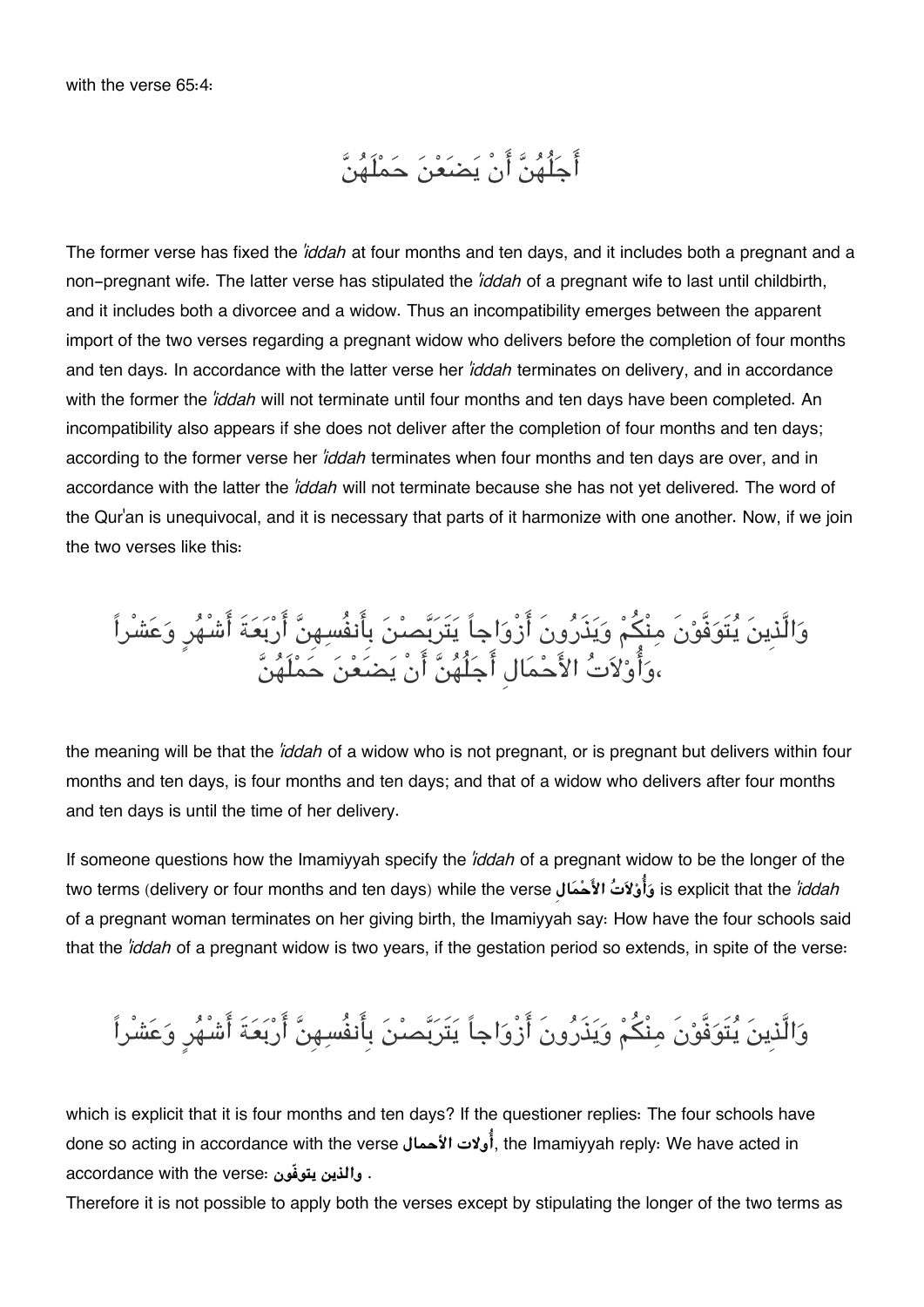# اجلُهن انْ يضعن حملَهن

The former verse has fixed the *'iddah* at four months and ten days, and it includes both a pregnant and a non-pregnant wife. The latter verse has stipulated the *'iddah* of a pregnant wife to last until childbirth, and it includes both a divorcee and a widow. Thus an incompatibility emerges between the apparent import of the two verses regarding a pregnant widow who delivers before the completion of four months and ten days. In accordance with the latter verse her *'iddah* terminates on delivery, and in accordance with the former the *'iddah* will not terminate until four months and ten days have been completed. An incompatibility also appears if she does not deliver after the completion of four months and ten days; according to the former verse her *'iddah* terminates when four months and ten days are over, and in accordance with the latter the *'iddah* will not terminate because she has not yet delivered. The word of the Qur'an is unequivocal, and it is necessary that parts of it harmonize with one another. Now, if we join the two verses like this:

والَّذِين يتَوفَّونَ منْم ويذَرونَ ازْواجاً يتَربصن بِانفُسهِن اربعةَ اشْهرٍ وعشْراً ،واولات الاحمالِ اجلُهن انْ يضعن حملَهن

the meaning will be that the *'iddah* of a widow who is not pregnant, or is pregnant but delivers within four months and ten days, is four months and ten days; and that of a widow who delivers after four months and ten days is until the time of her delivery.

If someone questions how the Imamiyyah specify the *'iddah* of a pregnant widow to be the longer of the two terms (delivery or four months and ten days) while the verse **ِالمحالا تلاواو** is explicit that the *'iddah* of a pregnant woman terminates on her giving birth, the Imamiyyah say: How have the four schools said that the *'iddah* of a pregnant widow is two years, if the gestation period so extends, in spite of the verse:

# وَالَّذِينَ يُتَوَفَّوْنَ مِنْكُمْ وَيَذَرُونَ أَزْوَاجاً يَتَرَبَّصْنَ بِأَنفُسِهِنَّ أَرْبَعَةَ أَشْهُرٍ وَعَشْراً

which is explicit that it is four months and ten days? If the questioner replies: The four schools have done so acting in accordance with the verse **الأحمال ولاتا**, the Imamiyyah reply: We have acted in accordance with the verse: والذين يتوفّون

Therefore it is not possible to apply both the verses except by stipulating the longer of the two terms as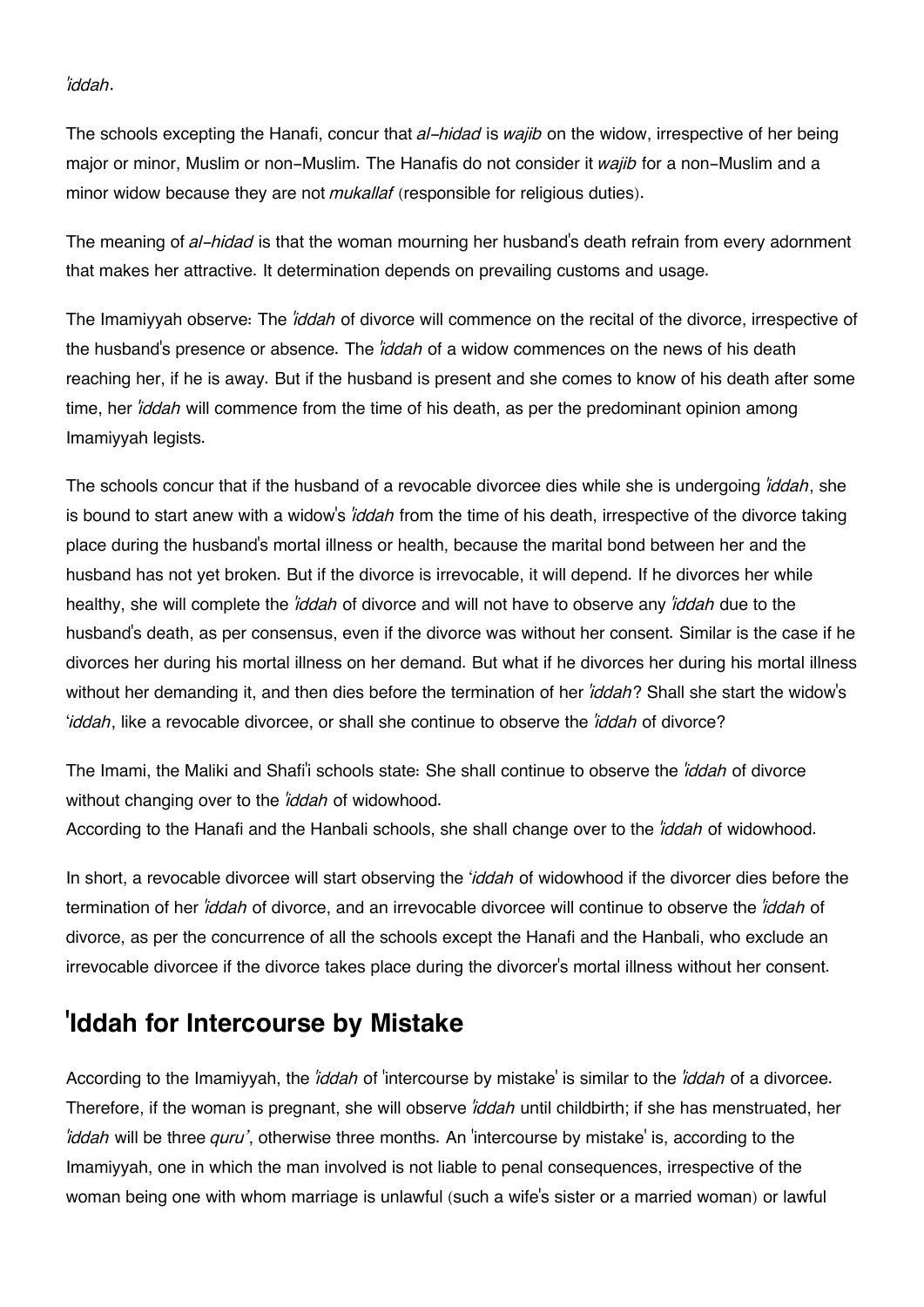#### *'iddah*.

The schools excepting the Hanafi, concur that *al-hidad* is *wajib* on the widow, irrespective of her being major or minor, Muslim or non-Muslim. The Hanafis do not consider it *wajib* for a non-Muslim and a minor widow because they are not *mukallaf* (responsible for religious duties).

The meaning of *al-hidad* is that the woman mourning her husband's death refrain from every adornment that makes her attractive. It determination depends on prevailing customs and usage.

The Imamiyyah observe: The *'iddah* of divorce will commence on the recital of the divorce, irrespective of the husband's presence or absence. The *'iddah* of a widow commences on the news of his death reaching her, if he is away. But if the husband is present and she comes to know of his death after some time, her *'iddah* will commence from the time of his death, as per the predominant opinion among Imamiyyah legists.

The schools concur that if the husband of a revocable divorcee dies while she is undergoing *'iddah*, she is bound to start anew with a widow's *'iddah* from the time of his death, irrespective of the divorce taking place during the husband's mortal illness or health, because the marital bond between her and the husband has not yet broken. But if the divorce is irrevocable, it will depend. If he divorces her while healthy, she will complete the *'iddah* of divorce and will not have to observe any *'iddah* due to the husband's death, as per consensus, even if the divorce was without her consent. Similar is the case if he divorces her during his mortal illness on her demand. But what if he divorces her during his mortal illness without her demanding it, and then dies before the termination of her *'iddah*? Shall she start the widow's '*iddah*, like a revocable divorcee, or shall she continue to observe the *'iddah* of divorce?

The Imami, the Maliki and Shafi'i schools state: She shall continue to observe the *'iddah* of divorce without changing over to the *'iddah* of widowhood.

According to the Hanafi and the Hanbali schools, she shall change over to the *'iddah* of widowhood.

In short, a revocable divorcee will start observing the '*iddah* of widowhood if the divorcer dies before the termination of her *'iddah* of divorce, and an irrevocable divorcee will continue to observe the *'iddah* of divorce, as per the concurrence of all the schools except the Hanafi and the Hanbali, who exclude an irrevocable divorcee if the divorce takes place during the divorcer's mortal illness without her consent.

### **['Iddah for Intercourse by Mistake](#page--1-0)**

According to the Imamiyyah, the *'iddah* of 'intercourse by mistake' is similar to the *'iddah* of a divorcee. Therefore, if the woman is pregnant, she will observe *'iddah* until childbirth; if she has menstruated, her *'iddah* will be three *quru'*, otherwise three months. An 'intercourse by mistake' is, according to the Imamiyyah, one in which the man involved is not liable to penal consequences, irrespective of the woman being one with whom marriage is unlawful (such a wife's sister or a married woman) or lawful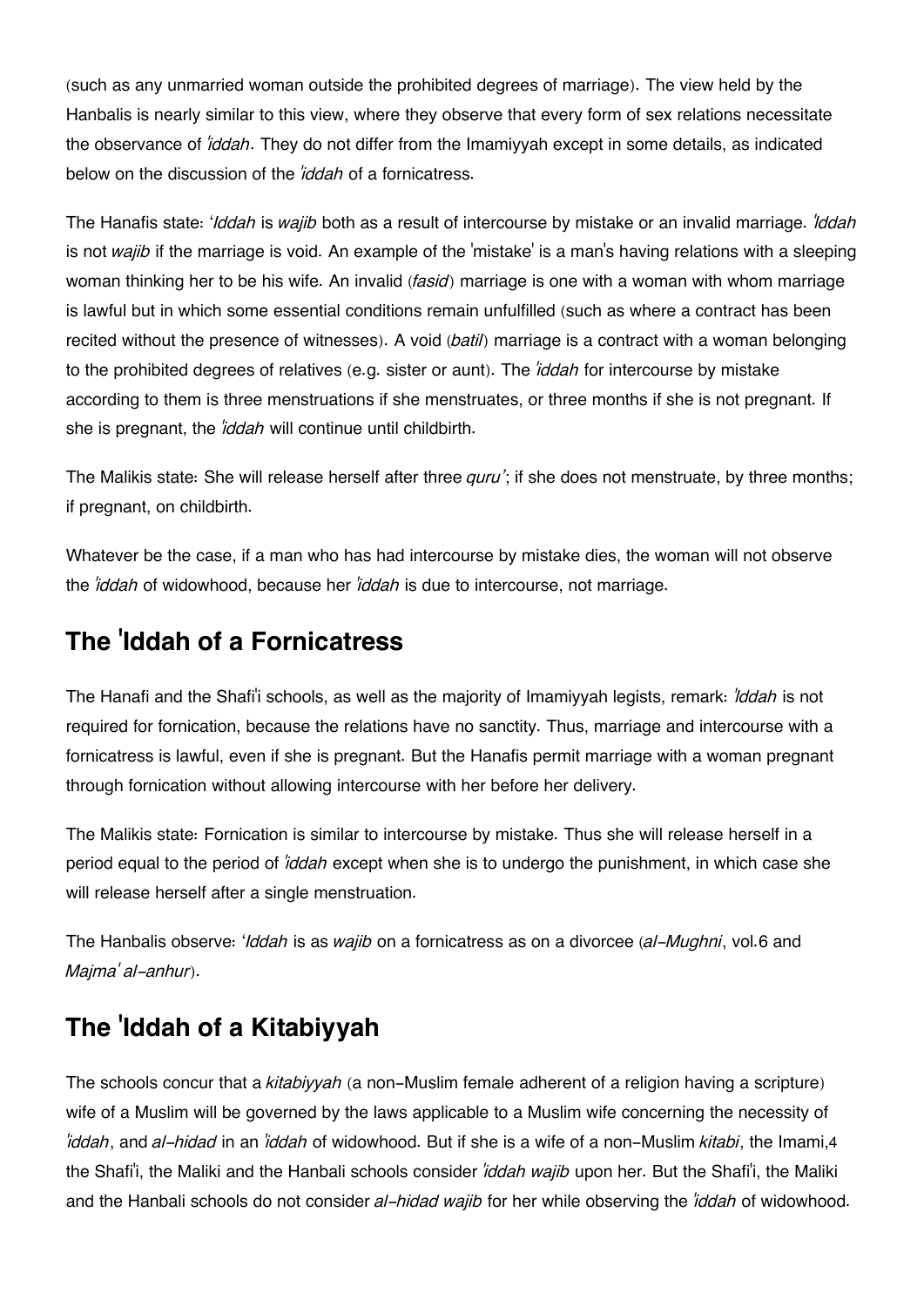(such as any unmarried woman outside the prohibited degrees of marriage). The view held by the Hanbalis is nearly similar to this view, where they observe that every form of sex relations necessitate the observance of *'iddah*. They do not differ from the Imamiyyah except in some details, as indicated below on the discussion of the *'iddah* of a fornicatress.

The Hanafis state: '*Iddah* is *wajib* both as a result of intercourse by mistake or an invalid marriage. *'lddah* is not *wajib* if the marriage is void. An example of the 'mistake' is a man's having relations with a sleeping woman thinking her to be his wife. An invalid (*fasid*) marriage is one with a woman with whom marriage is lawful but in which some essential conditions remain unfulfilled (such as where a contract has been recited without the presence of witnesses). A void (*batil*) marriage is a contract with a woman belonging to the prohibited degrees of relatives (e.g. sister or aunt). The *'iddah* for intercourse by mistake according to them is three menstruations if she menstruates, or three months if she is not pregnant. If she is pregnant, the *'iddah* will continue until childbirth.

The Malikis state: She will release herself after three *quru'*; if she does not menstruate, by three months; if pregnant, on childbirth.

Whatever be the case, if a man who has had intercourse by mistake dies, the woman will not observe the *'iddah* of widowhood, because her *'iddah* is due to intercourse, not marriage.

## **The ['Iddah of a Fornicatress](#page--1-0)**

The Hanafi and the Shafi'i schools, as well as the majority of Imamiyyah legists, remark: *'lddah* is not required for fornication, because the relations have no sanctity. Thus, marriage and intercourse with a fornicatress is lawful, even if she is pregnant. But the Hanafis permit marriage with a woman pregnant through fornication without allowing intercourse with her before her delivery.

The Malikis state: Fornication is similar to intercourse by mistake. Thus she will release herself in a period equal to the period of *'iddah* except when she is to undergo the punishment, in which case she will release herself after a single menstruation.

The Hanbalis observe: '*Iddah* is as *wajib* on a fornicatress as on a divorcee (*al-Mughni*, vol.6 and *Majma' al-anhur*).

## **The ['Iddah of a Kitabiyyah](#page--1-0)**

The schools concur that a *kitabiyyah* (a non-Muslim female adherent of a religion having a scripture) wife of a Muslim will be governed by the laws applicable to a Muslim wife concerning the necessity of *'iddah*, and *al-hidad* in an *'iddah* of widowhood. But if she is a wife of a non-Muslim *kitabi*, the Imami,[4](#page--1-0) the Shafi'i, the Maliki and the Hanbali schools consider *'iddah wajib* upon her. But the Shafi'i, the Maliki and the Hanbali schools do not consider *al-hidad wajib* for her while observing the *'iddah* of widowhood.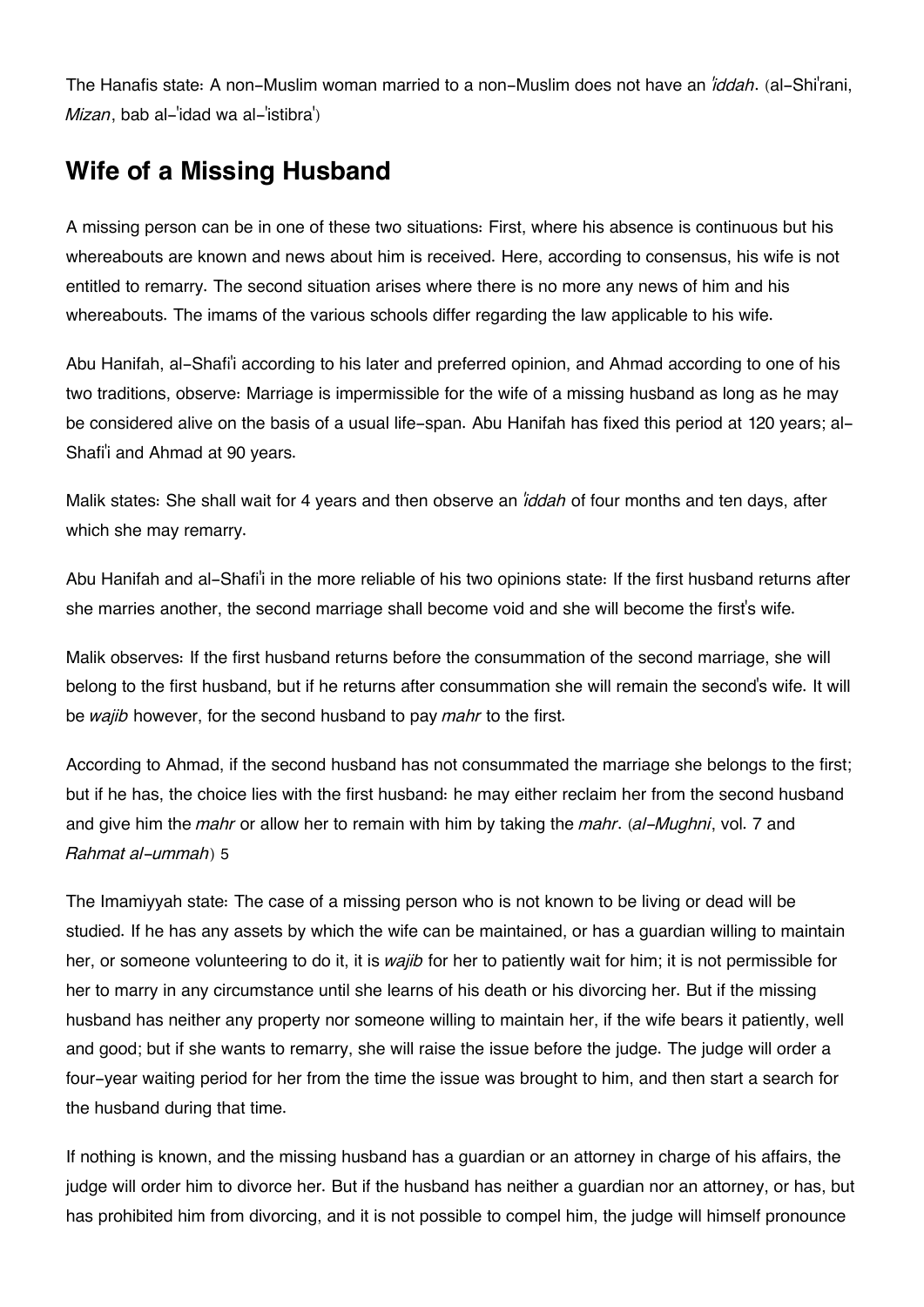The Hanafis state: A non-Muslim woman married to a non-Muslim does not have an *'iddah*. (al-Shi'rani, *Mizan*, bab al-'idad wa al-'istibra')

## **[Wife of a Missing Husband](#page--1-0)**

A missing person can be in one of these two situations: First, where his absence is continuous but his whereabouts are known and news about him is received. Here, according to consensus, his wife is not entitled to remarry. The second situation arises where there is no more any news of him and his whereabouts. The imams of the various schools differ regarding the law applicable to his wife.

Abu Hanifah, al-Shafi'i according to his later and preferred opinion, and Ahmad according to one of his two traditions, observe: Marriage is impermissible for the wife of a missing husband as long as he may be considered alive on the basis of a usual life-span. Abu Hanifah has fixed this period at 120 years; al-Shafi'i and Ahmad at 90 years.

Malik states: She shall wait for 4 years and then observe an *'iddah* of four months and ten days, after which she may remarry.

Abu Hanifah and al-Shafi'i in the more reliable of his two opinions state: If the first husband returns after she marries another, the second marriage shall become void and she will become the first's wife.

Malik observes: If the first husband returns before the consummation of the second marriage, she will belong to the first husband, but if he returns after consummation she will remain the second's wife. It will be *wajib* however, for the second husband to pay *mahr* to the first.

According to Ahmad, if the second husband has not consummated the marriage she belongs to the first; but if he has, the choice lies with the first husband: he may either reclaim her from the second husband and give him the *mahr* or allow her to remain with him by taking the *mahr*. (*al-Mughni*, vol. 7 and *Rahmat al-ummah*) [5](#page--1-0)

The Imamiyyah state: The case of a missing person who is not known to be living or dead will be studied. If he has any assets by which the wife can be maintained, or has a guardian willing to maintain her, or someone volunteering to do it, it is *wajib* for her to patiently wait for him; it is not permissible for her to marry in any circumstance until she learns of his death or his divorcing her. But if the missing husband has neither any property nor someone willing to maintain her, if the wife bears it patiently, well and good; but if she wants to remarry, she will raise the issue before the judge. The judge will order a four-year waiting period for her from the time the issue was brought to him, and then start a search for the husband during that time.

If nothing is known, and the missing husband has a guardian or an attorney in charge of his affairs, the judge will order him to divorce her. But if the husband has neither a guardian nor an attorney, or has, but has prohibited him from divorcing, and it is not possible to compel him, the judge will himself pronounce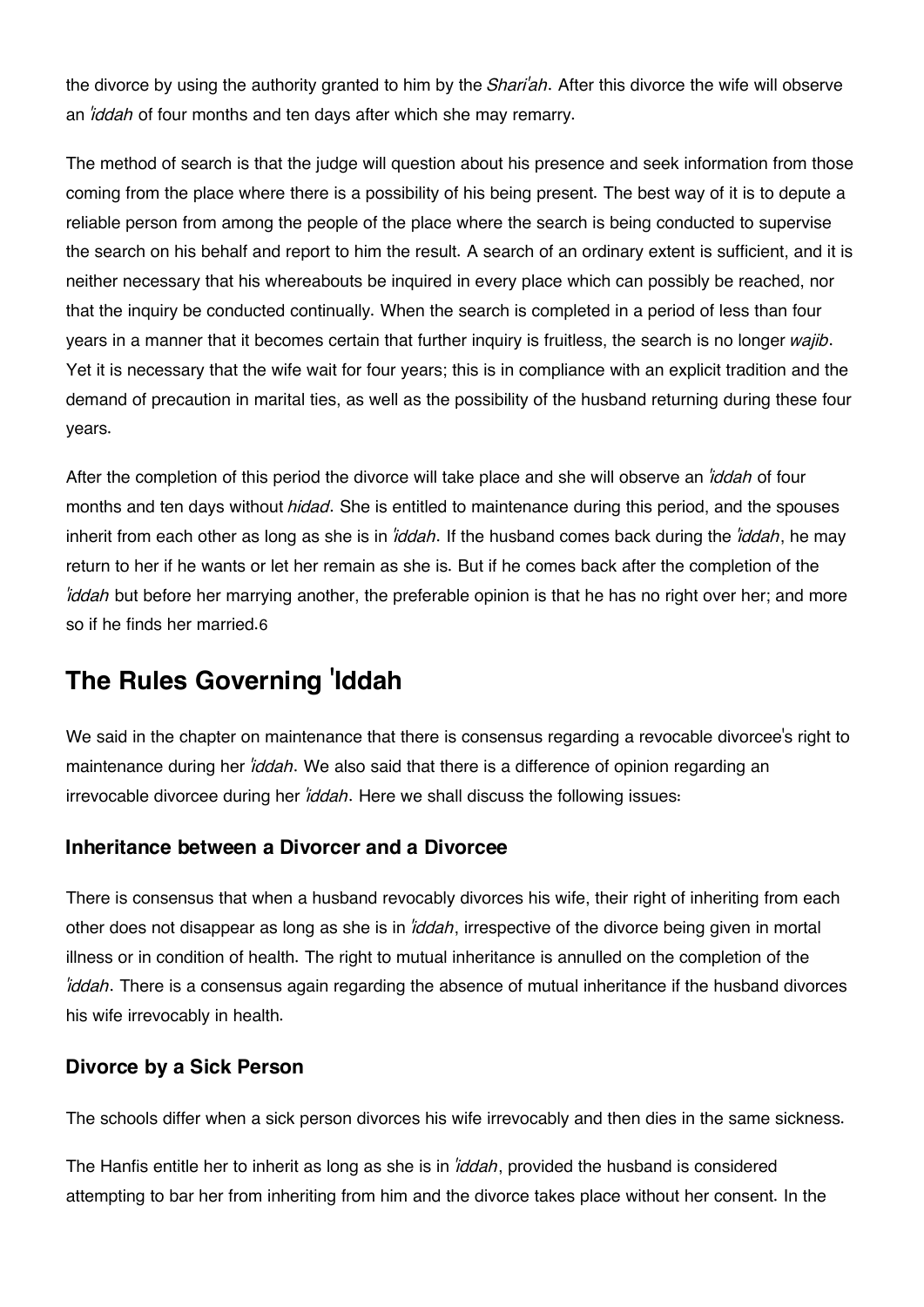the divorce by using the authority granted to him by the *Shari'ah*. After this divorce the wife will observe an *'iddah* of four months and ten days after which she may remarry.

The method of search is that the judge will question about his presence and seek information from those coming from the place where there is a possibility of his being present. The best way of it is to depute a reliable person from among the people of the place where the search is being conducted to supervise the search on his behalf and report to him the result. A search of an ordinary extent is sufficient, and it is neither necessary that his whereabouts be inquired in every place which can possibly be reached, nor that the inquiry be conducted continually. When the search is completed in a period of less than four years in a manner that it becomes certain that further inquiry is fruitless, the search is no longer *wajib*. Yet it is necessary that the wife wait for four years; this is in compliance with an explicit tradition and the demand of precaution in marital ties, as well as the possibility of the husband returning during these four years.

After the completion of this period the divorce will take place and she will observe an *'iddah* of four months and ten days without *hidad*. She is entitled to maintenance during this period, and the spouses inherit from each other as long as she is in *'iddah*. If the husband comes back during the *'iddah*, he may return to her if he wants or let her remain as she is. But if he comes back after the completion of the *'iddah* but before her marrying another, the preferable opinion is that he has no right over her; and more so if he finds her married.[6](#page--1-0)

## **[The Rules Governing](#page--1-0) 'Iddah**

We said in the chapter on maintenance that there is consensus regarding a revocable divorcee's right to maintenance during her *'iddah*. We also said that there is a difference of opinion regarding an irrevocable divorcee during her *'iddah*. Here we shall discuss the following issues:

#### **[Inheritance between a Divorcer and a Divorcee](#page--1-0)**

There is consensus that when a husband revocably divorces his wife, their right of inheriting from each other does not disappear as long as she is in *'iddah*, irrespective of the divorce being given in mortal illness or in condition of health. The right to mutual inheritance is annulled on the completion of the *'iddah*. There is a consensus again regarding the absence of mutual inheritance if the husband divorces his wife irrevocably in health.

### **[Divorce by a Sick Person](#page--1-0)**

The schools differ when a sick person divorces his wife irrevocably and then dies in the same sickness.

The Hanfis entitle her to inherit as long as she is in *'iddah*, provided the husband is considered attempting to bar her from inheriting from him and the divorce takes place without her consent. In the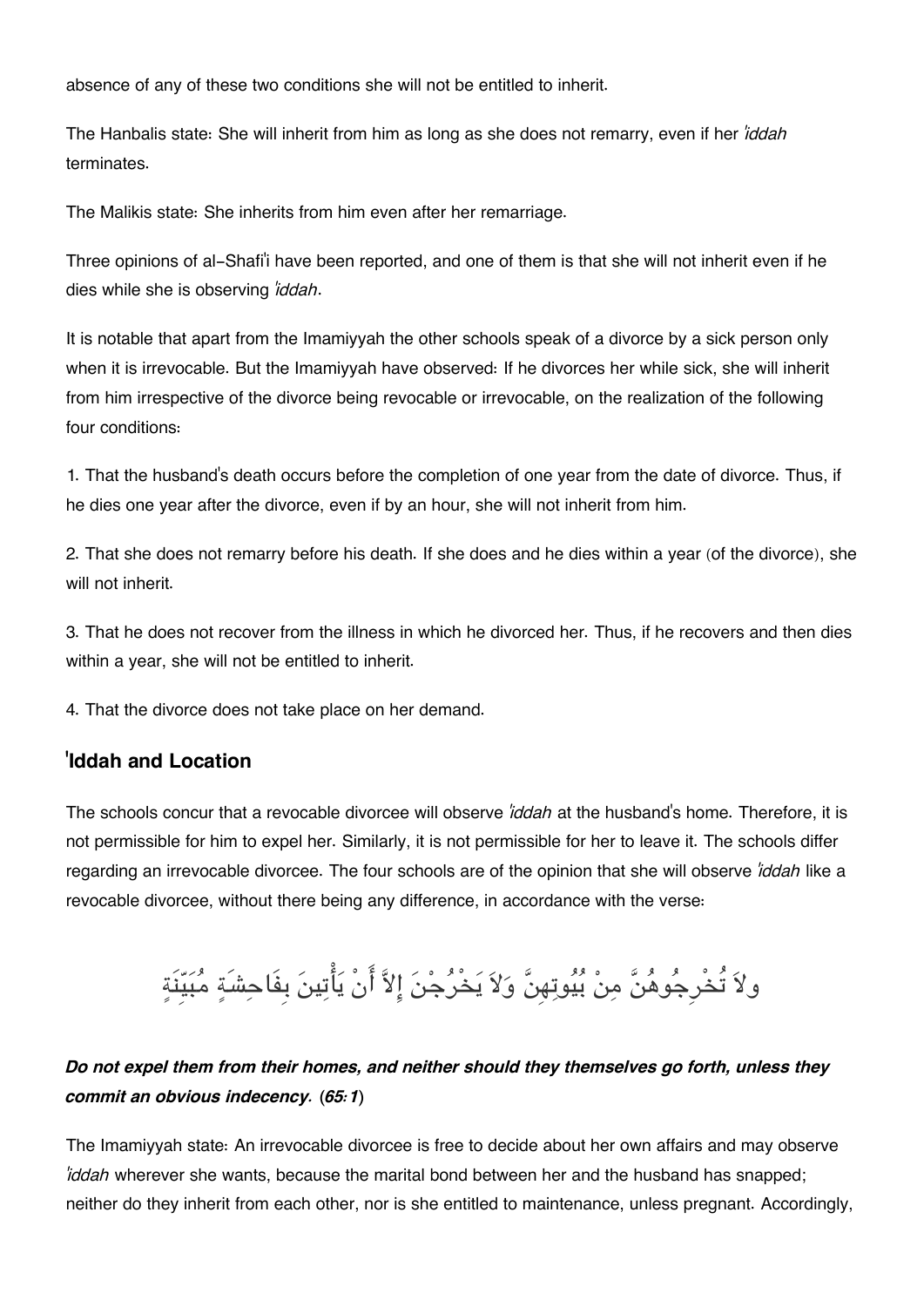absence of any of these two conditions she will not be entitled to inherit.

The Hanbalis state: She will inherit from him as long as she does not remarry, even if her *'iddah* terminates.

The Malikis state: She inherits from him even after her remarriage.

Three opinions of al-Shafi'i have been reported, and one of them is that she will not inherit even if he dies while she is observing *'iddah*.

It is notable that apart from the Imamiyyah the other schools speak of a divorce by a sick person only when it is irrevocable. But the Imamiyyah have observed: If he divorces her while sick, she will inherit from him irrespective of the divorce being revocable or irrevocable, on the realization of the following four conditions:

1. That the husband's death occurs before the completion of one year from the date of divorce. Thus, if he dies one year after the divorce, even if by an hour, she will not inherit from him.

2. That she does not remarry before his death. If she does and he dies within a year (of the divorce), she will not inherit.

3. That he does not recover from the illness in which he divorced her. Thus, if he recovers and then dies within a year, she will not be entitled to inherit.

4. That the divorce does not take place on her demand.

#### **['Iddah and Location](#page--1-0)**

The schools concur that a revocable divorcee will observe *'iddah* at the husband's home. Therefore, it is not permissible for him to expel her. Similarly, it is not permissible for her to leave it. The schools differ regarding an irrevocable divorcee. The four schools are of the opinion that she will observe *'iddah* like a revocable divorcee, without there being any difference, in accordance with the verse:

# ولاَ تُخْرِجُوهُنَّ مِنْ بُيُوتِهِنَّ وَلاَ يَخْرُجْنَ إِلاَّ أَنْ يَأْتِينَ بِفَاحِشَةٍ مُبَيِّنَةٍ

### *Do not expel them from their homes, and neither should they themselves go forth, unless they commit an obvious indecency. (65:1)*

The Imamiyyah state: An irrevocable divorcee is free to decide about her own affairs and may observe *'iddah* wherever she wants, because the marital bond between her and the husband has snapped; neither do they inherit from each other, nor is she entitled to maintenance, unless pregnant. Accordingly,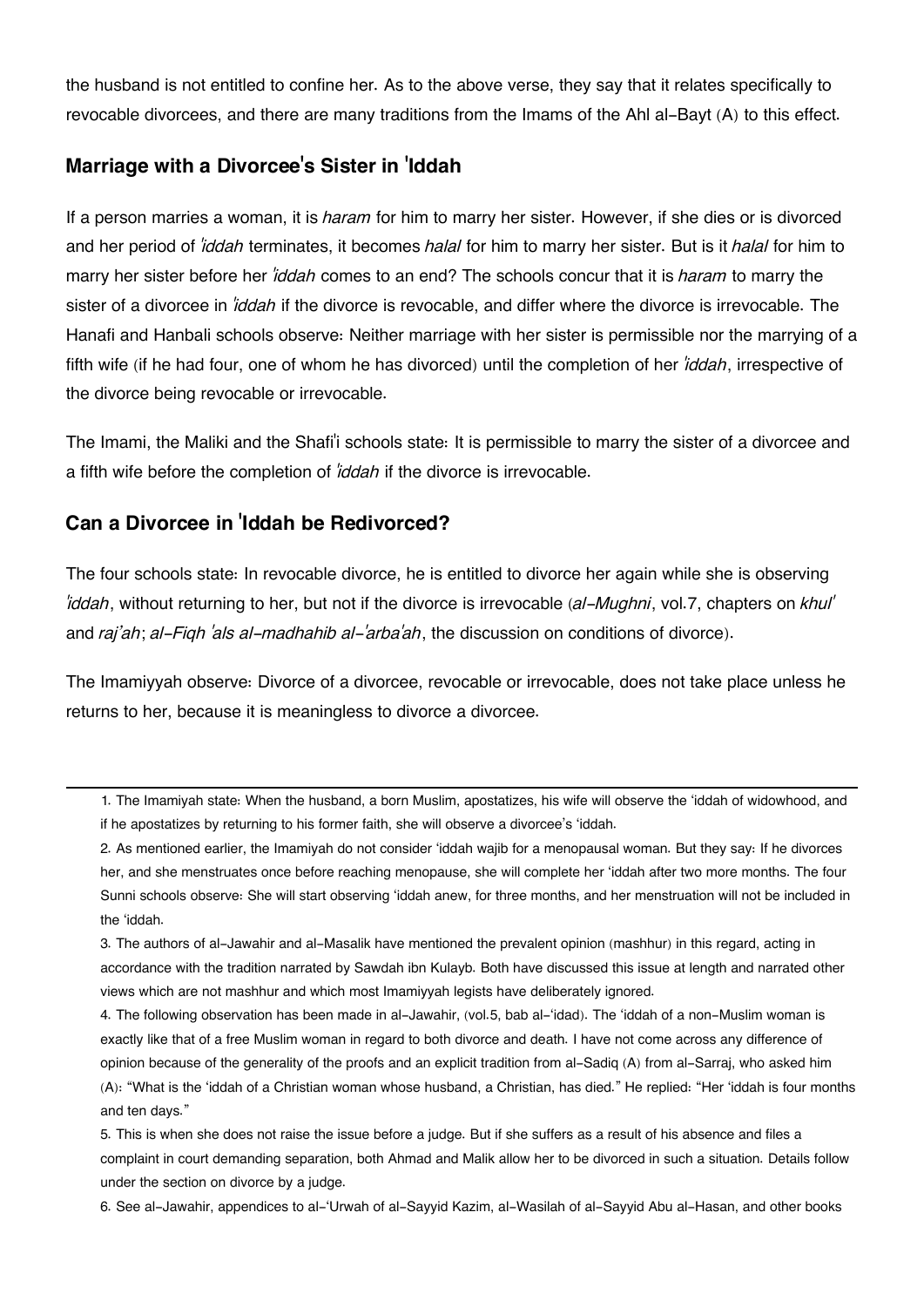the husband is not entitled to confine her. As to the above verse, they say that it relates specifically to revocable divorcees, and there are many traditions from the Imams of the Ahl al-Bayt (A) to this effect.

#### **[Marriage with a Divorcee](#page--1-0)'s Sister in 'Iddah**

If a person marries a woman, it is *haram* for him to marry her sister. However, if she dies or is divorced and her period of *'iddah* terminates, it becomes *halal* for him to marry her sister. But is it *halal* for him to marry her sister before her *'iddah* comes to an end? The schools concur that it is *haram* to marry the sister of a divorcee in *'iddah* if the divorce is revocable, and differ where the divorce is irrevocable. The Hanafi and Hanbali schools observe: Neither marriage with her sister is permissible nor the marrying of a fifth wife (if he had four, one of whom he has divorced) until the completion of her *'iddah*, irrespective of the divorce being revocable or irrevocable.

The Imami, the Maliki and the Shafi'i schools state: It is permissible to marry the sister of a divorcee and a fifth wife before the completion of *'iddah* if the divorce is irrevocable.

#### **Can a Divorcee in ['Iddah be Redivorced?](#page--1-0)**

The four schools state: In revocable divorce, he is entitled to divorce her again while she is observing *'iddah*, without returning to her, but not if the divorce is irrevocable (*al-Mughni*, vol.7, chapters on *khul'* and *raj'ah*; *al-Fiqh 'als al-madhahib al-'arba'ah*, the discussion on conditions of divorce).

The Imamiyyah observe: Divorce of a divorcee, revocable or irrevocable, does not take place unless he returns to her, because it is meaningless to divorce a divorcee.

[6.](#page--1-0) See al-Jawahir, appendices to al-'Urwah of al-Sayyid Kazim, al-Wasilah of al-Sayyid Abu al-Hasan, and other books

[<sup>1.</sup>](#page--1-0) The Imamiyah state: When the husband, a born Muslim, apostatizes, his wife will observe the 'iddah of widowhood, and if he apostatizes by returning to his former faith, she will observe a divorcee's 'iddah.

[<sup>2.</sup>](#page--1-0) As mentioned earlier, the Imamiyah do not consider 'iddah wajib for a menopausal woman. But they say: If he divorces her, and she menstruates once before reaching menopause, she will complete her 'iddah after two more months. The four Sunni schools observe: She will start observing 'iddah anew, for three months, and her menstruation will not be included in the 'iddah.

[<sup>3.</sup>](#page--1-0) The authors of al-Jawahir and al-Masalik have mentioned the prevalent opinion (mashhur) in this regard, acting in accordance with the tradition narrated by Sawdah ibn Kulayb. Both have discussed this issue at length and narrated other views which are not mashhur and which most Imamiyyah legists have deliberately ignored.

[<sup>4.</sup>](#page--1-0) The following observation has been made in al-Jawahir, (vol.5, bab al-'idad). The 'iddah of a non-Muslim woman is exactly like that of a free Muslim woman in regard to both divorce and death. I have not come across any difference of opinion because of the generality of the proofs and an explicit tradition from al-Sadiq (A) from al-Sarraj, who asked him (A): "What is the 'iddah of a Christian woman whose husband, a Christian, has died." He replied: "Her 'iddah is four months and ten days."

[<sup>5.</sup>](#page--1-0) This is when she does not raise the issue before a judge. But if she suffers as a result of his absence and files a complaint in court demanding separation, both Ahmad and Malik allow her to be divorced in such a situation. Details follow under the section on divorce by a judge.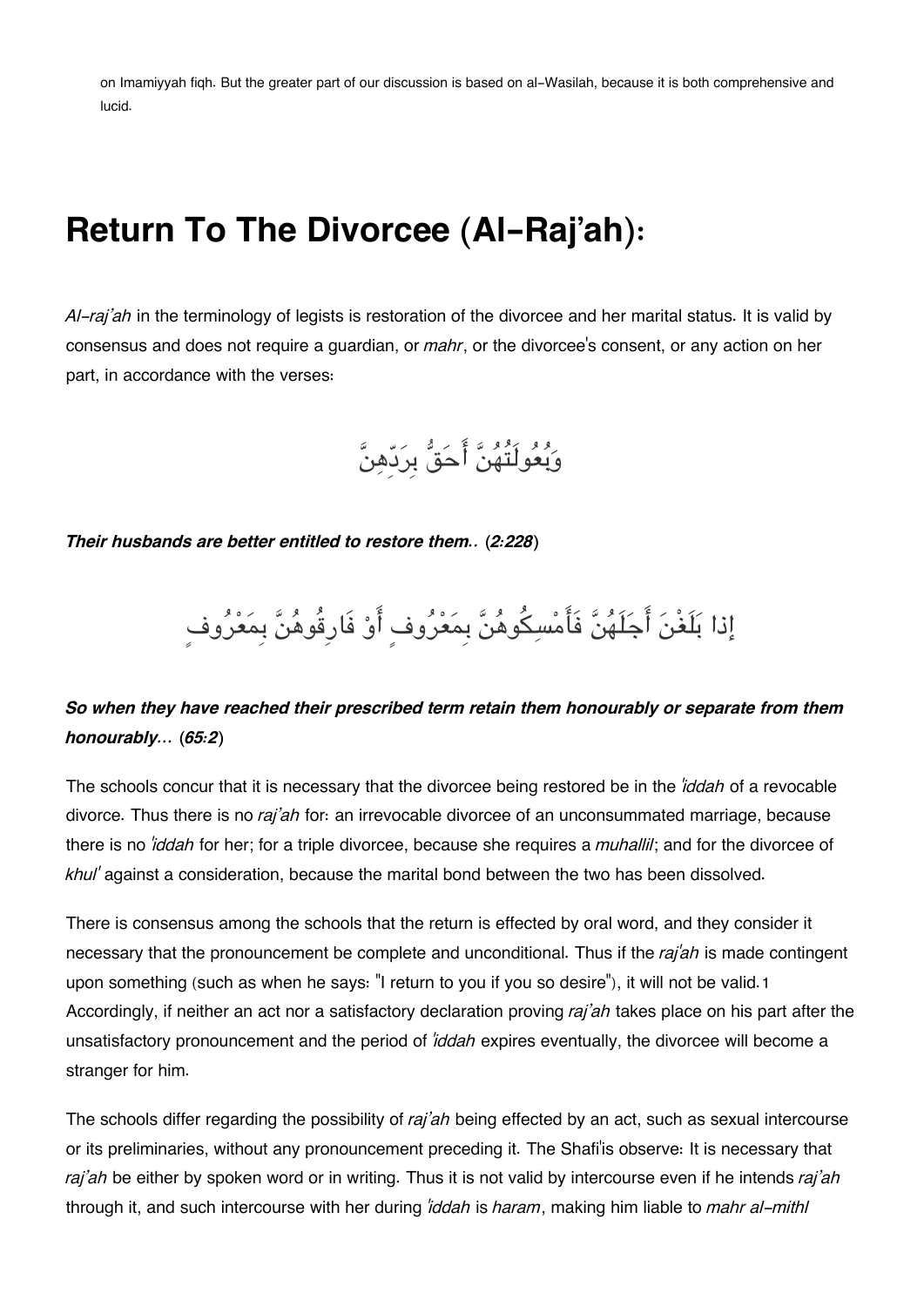on Imamiyyah fiqh. But the greater part of our discussion is based on al-Wasilah, because it is both comprehensive and lucid.

## **Return To The Divorcee (Al-Raj'ah):**

*Al-raj'ah* in the terminology of legists is restoration of the divorcee and her marital status. It is valid by consensus and does not require a guardian, or *mahr*, or the divorcee's consent, or any action on her part, in accordance with the verses:

وَبُعُولَتُهُنَّ أَحَقُّ بِرَدَّهِنَّ

*Their husbands are better entitled to restore them.. (2:228)*

# إِذا بَلَغْنَ أَجَلَهُنَّ فَأَمْسِكُوهُنَّ بِمَعْرُوفٍ أَوْ فَارِقُوهُنَّ بِمَعْرُوفٍ

#### *So when they have reached their prescribed term retain them honourably or separate from them honourably... (65:2)*

The schools concur that it is necessary that the divorcee being restored be in the *'iddah* of a revocable divorce. Thus there is no *raj'ah* for: an irrevocable divorcee of an unconsummated marriage, because there is no *'iddah* for her; for a triple divorcee, because she requires a *muhallil*; and for the divorcee of *khul'* against a consideration, because the marital bond between the two has been dissolved.

There is consensus among the schools that the return is effected by oral word, and they consider it necessary that the pronouncement be complete and unconditional. Thus if the *raj'ah* is made contingent upon something (such as when he says: "I return to you if you so desire"), it will not be valid.[1](#page--1-0) Accordingly, if neither an act nor a satisfactory declaration proving *raj'ah* takes place on his part after the unsatisfactory pronouncement and the period of *'iddah* expires eventually, the divorcee will become a stranger for him.

The schools differ regarding the possibility of *raj'ah* being effected by an act, such as sexual intercourse or its preliminaries, without any pronouncement preceding it. The Shafi'is observe: It is necessary that *raj'ah* be either by spoken word or in writing. Thus it is not valid by intercourse even if he intends *raj'ah* through it, and such intercourse with her during *'iddah* is *haram*, making him liable to *mahr al-mithl*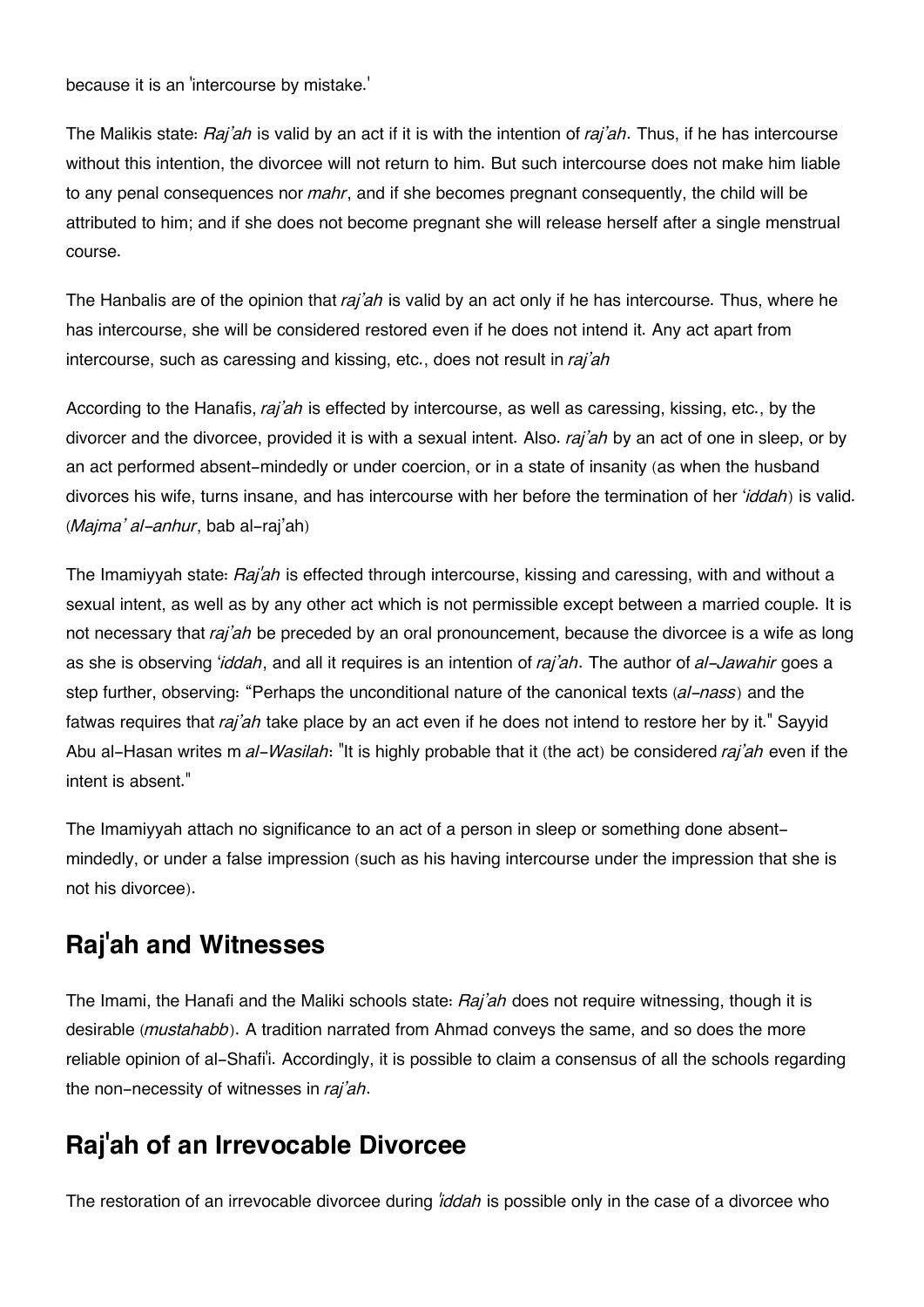because it is an 'intercourse by mistake.'

The Malikis state: *Raj'ah* is valid by an act if it is with the intention of *raj'ah*. Thus, if he has intercourse without this intention, the divorcee will not return to him. But such intercourse does not make him liable to any penal consequences nor *mahr*, and if she becomes pregnant consequently, the child will be attributed to him; and if she does not become pregnant she will release herself after a single menstrual course.

The Hanbalis are of the opinion that *raj'ah* is valid by an act only if he has intercourse. Thus, where he has intercourse, she will be considered restored even if he does not intend it. Any act apart from intercourse, such as caressing and kissing, etc., does not result in *raj'ah*

According to the Hanafis, *raj'ah* is effected by intercourse, as well as caressing, kissing, etc., by the divorcer and the divorcee, provided it is with a sexual intent. Also. *raj'ah* by an act of one in sleep, or by an act performed absent-mindedly or under coercion, or in a state of insanity (as when the husband divorces his wife, turns insane, and has intercourse with her before the termination of her '*iddah*) is valid. (*Majma' al-anhur*, bab al-raj'ah)

The Imamiyyah state: *Raj'ah* is effected through intercourse, kissing and caressing, with and without a sexual intent, as well as by any other act which is not permissible except between a married couple. It is not necessary that *raj'ah* be preceded by an oral pronouncement, because the divorcee is a wife as long as she is observing '*iddah*, and all it requires is an intention of *raj'ah*. The author of *al-Jawahir* goes a step further, observing: "Perhaps the unconditional nature of the canonical texts (*al-nass*) and the fatwas requires that *raj'ah* take place by an act even if he does not intend to restore her by it." Sayyid Abu al-Hasan writes m *al-Wasilah*: "It is highly probable that it (the act) be considered *raj'ah* even if the intent is absent."

The Imamiyyah attach no significance to an act of a person in sleep or something done absentmindedly, or under a false impression (such as his having intercourse under the impression that she is not his divorcee).

## **Raj['ah and Witnesses](#page--1-0)**

The Imami, the Hanafi and the Maliki schools state: *Raj'ah* does not require witnessing, though it is desirable (*mustahabb*). A tradition narrated from Ahmad conveys the same, and so does the more reliable opinion of al-Shafi'i. Accordingly, it is possible to claim a consensus of all the schools regarding the non-necessity of witnesses in *raj'ah*.

## **Raj['ah of an Irrevocable Divorcee](#page--1-0)**

The restoration of an irrevocable divorcee during *'iddah* is possible only in the case of a divorcee who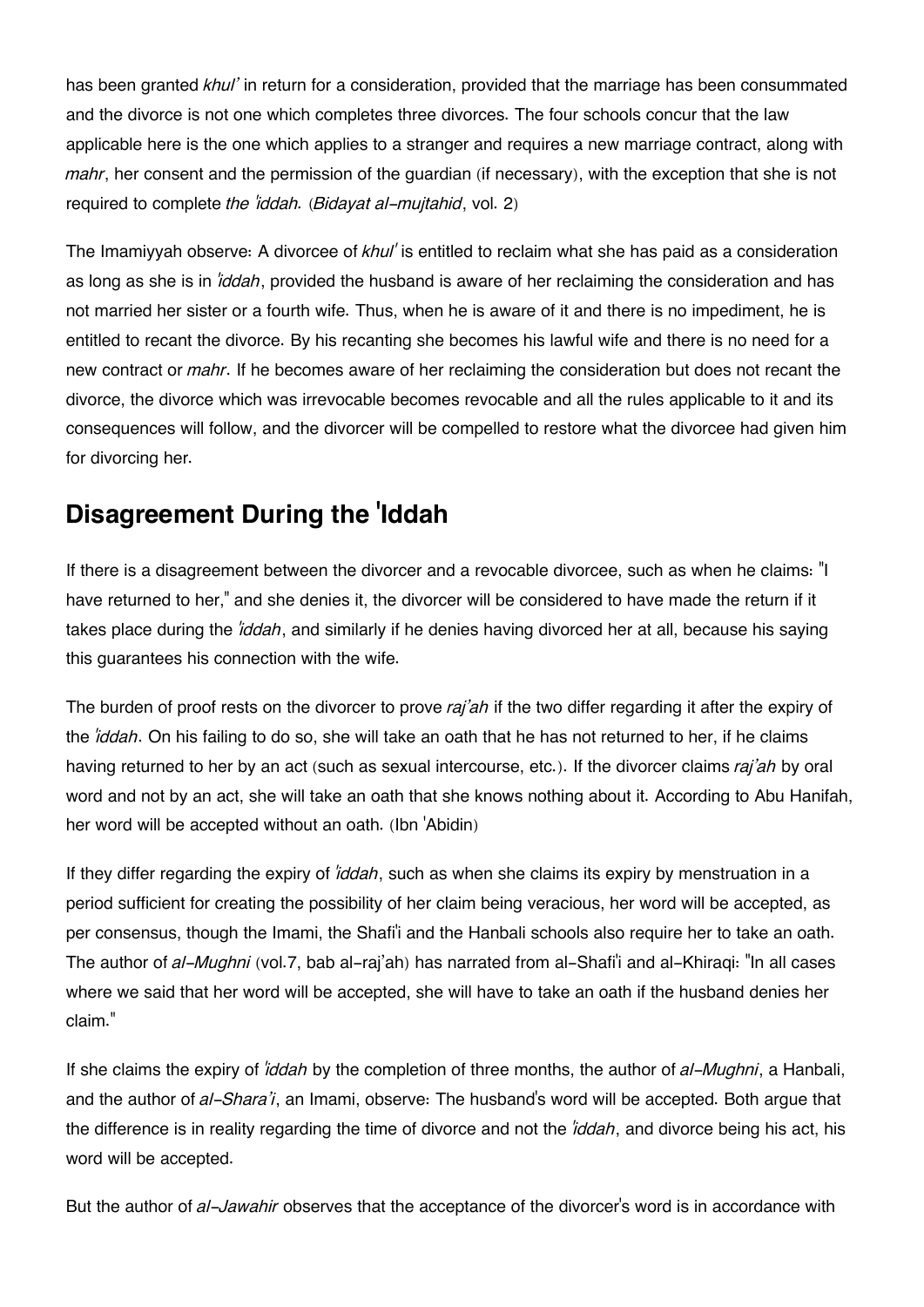has been granted *khul'* in return for a consideration, provided that the marriage has been consummated and the divorce is not one which completes three divorces. The four schools concur that the law applicable here is the one which applies to a stranger and requires a new marriage contract, along with *mahr*, her consent and the permission of the guardian (if necessary), with the exception that she is not required to complete *the 'iddah. (Bidayat al-mujtahid*, vol. 2)

The Imamiyyah observe: A divorcee of *khul'* is entitled to reclaim what she has paid as a consideration as long as she is in *'iddah*, provided the husband is aware of her reclaiming the consideration and has not married her sister or a fourth wife. Thus, when he is aware of it and there is no impediment, he is entitled to recant the divorce. By his recanting she becomes his lawful wife and there is no need for a new contract or *mahr*. If he becomes aware of her reclaiming the consideration but does not recant the divorce, the divorce which was irrevocable becomes revocable and all the rules applicable to it and its consequences will follow, and the divorcer will be compelled to restore what the divorcee had given him for divorcing her.

## **[Disagreement During the](#page--1-0) 'Iddah**

If there is a disagreement between the divorcer and a revocable divorcee, such as when he claims: "I have returned to her," and she denies it, the divorcer will be considered to have made the return if it takes place during the *'iddah*, and similarly if he denies having divorced her at all, because his saying this guarantees his connection with the wife.

The burden of proof rests on the divorcer to prove *raj'ah* if the two differ regarding it after the expiry of the *'iddah*. On his failing to do so, she will take an oath that he has not returned to her, if he claims having returned to her by an act (such as sexual intercourse, etc.). If the divorcer claims *raj'ah* by oral word and not by an act, she will take an oath that she knows nothing about it. According to Abu Hanifah, her word will be accepted without an oath. (Ibn 'Abidin)

If they differ regarding the expiry of *'iddah*, such as when she claims its expiry by menstruation in a period sufficient for creating the possibility of her claim being veracious, her word will be accepted, as per consensus, though the Imami, the Shafi'i and the Hanbali schools also require her to take an oath. The author of *al-Mughni* (vol.7, bab al-raj'ah) has narrated from al-Shafi'i and al-Khiraqi: "In all cases where we said that her word will be accepted, she will have to take an oath if the husband denies her claim."

If she claims the expiry of *'iddah* by the completion of three months, the author of *al-Mughni*, a Hanbali, and the author of *al-Shara'i*, an Imami, observe: The husband's word will be accepted. Both argue that the difference is in reality regarding the time of divorce and not the *'iddah*, and divorce being his act, his word will be accepted.

But the author of *al-Jawahir* observes that the acceptance of the divorcer's word is in accordance with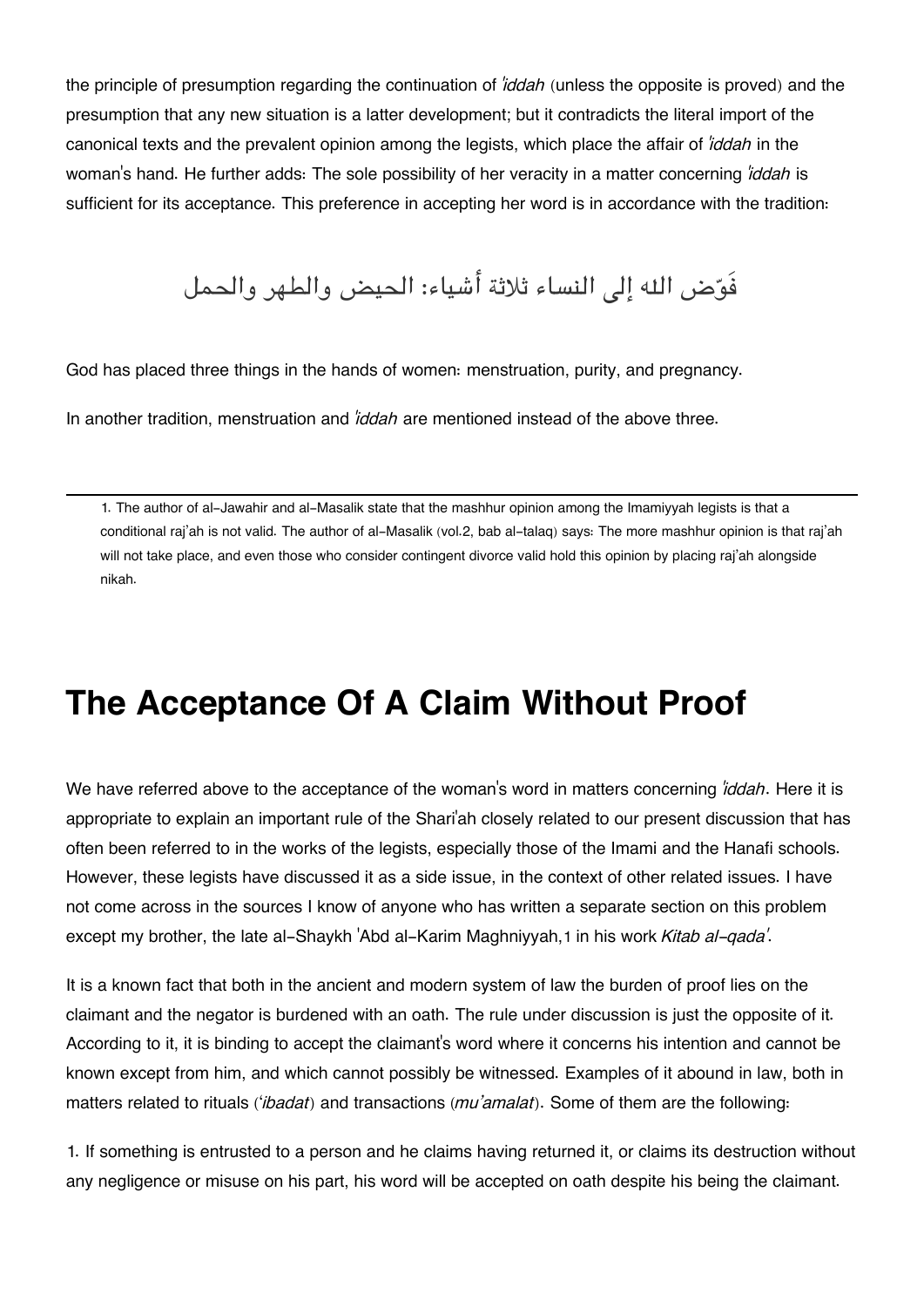the principle of presumption regarding the continuation of *'iddah* (unless the opposite is proved) and the presumption that any new situation is a latter development; but it contradicts the literal import of the canonical texts and the prevalent opinion among the legists, which place the affair of *'iddah* in the woman's hand. He further adds: The sole possibility of her veracity in a matter concerning *'iddah* is sufficient for its acceptance. This preference in accepting her word is in accordance with the tradition:

## فَوض اله إل النساء ثلاثة أشياء: الحيض والطهر والحمل

God has placed three things in the hands of women: menstruation, purity, and pregnancy.

In another tradition, menstruation and *'iddah* are mentioned instead of the above three.

[1.](#page--1-0) The author of al-Jawahir and al-Masalik state that the mashhur opinion among the Imamiyyah legists is that a conditional raj'ah is not valid. The author of al-Masalik (vol.2, bab al-talaq) says: The more mashhur opinion is that raj'ah will not take place, and even those who consider contingent divorce valid hold this opinion by placing raj'ah alongside nikah.

## **The Acceptance Of A Claim Without Proof**

We have referred above to the acceptance of the woman's word in matters concerning *'iddah*. Here it is appropriate to explain an important rule of the Shari'ah closely related to our present discussion that has often been referred to in the works of the legists, especially those of the Imami and the Hanafi schools. However, these legists have discussed it as a side issue, in the context of other related issues. I have not come across in the sources I know of anyone who has written a separate section on this problem except my brother, the late al-Shaykh 'Abd al-Karim Maghniyyah,[1](#page--1-0) in his work *Kitab al-qada'*.

It is a known fact that both in the ancient and modern system of law the burden of proof lies on the claimant and the negator is burdened with an oath. The rule under discussion is just the opposite of it. According to it, it is binding to accept the claimant's word where it concerns his intention and cannot be known except from him, and which cannot possibly be witnessed. Examples of it abound in law, both in matters related to rituals ('*ibadat*) and transactions (*mu'amalat*). Some of them are the following:

1. If something is entrusted to a person and he claims having returned it, or claims its destruction without any negligence or misuse on his part, his word will be accepted on oath despite his being the claimant.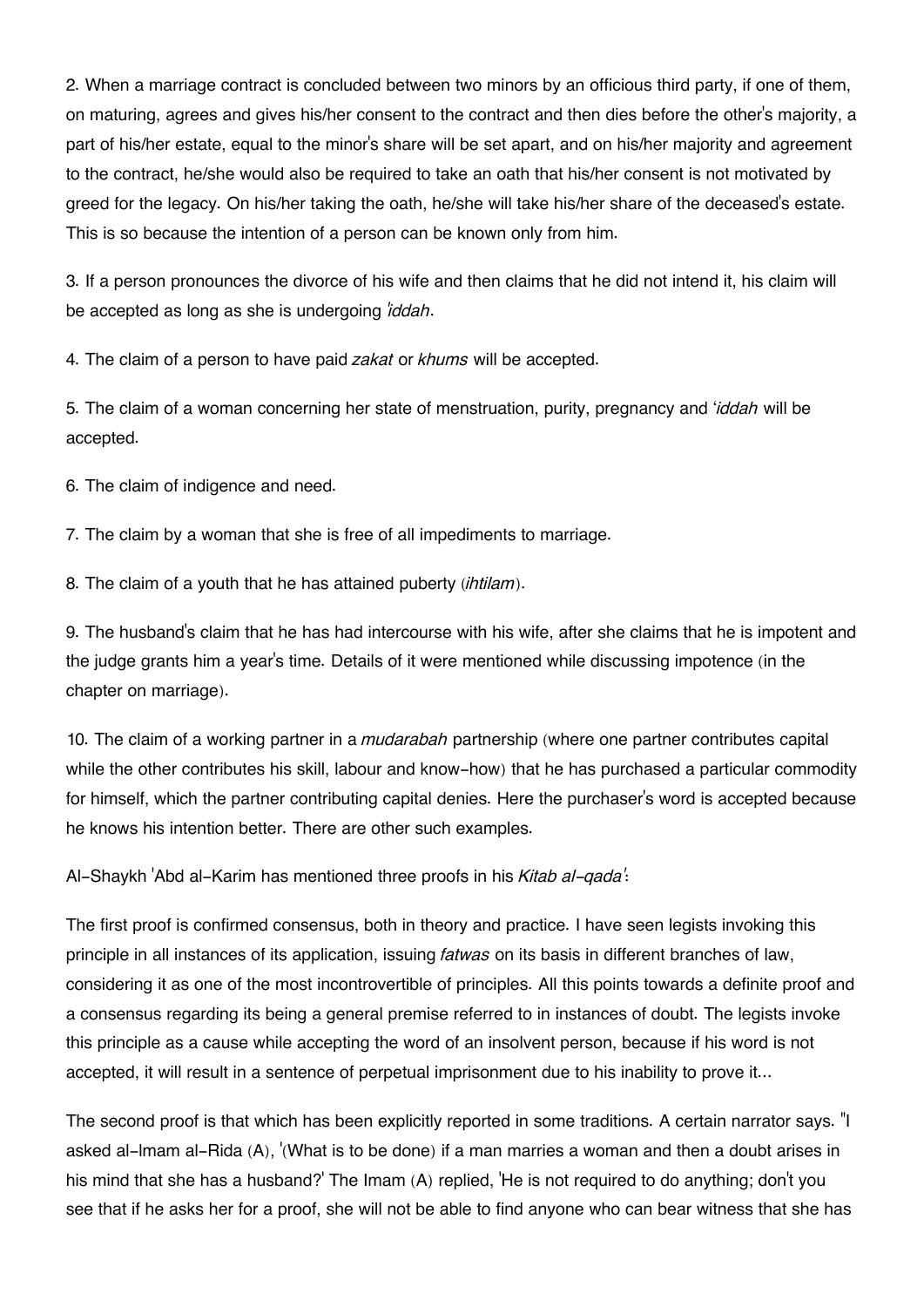2. When a marriage contract is concluded between two minors by an officious third party, if one of them, on maturing, agrees and gives his/her consent to the contract and then dies before the other's majority, a part of his/her estate, equal to the minor's share will be set apart, and on his/her majority and agreement to the contract, he/she would also be required to take an oath that his/her consent is not motivated by greed for the legacy. On his/her taking the oath, he/she will take his/her share of the deceased's estate. This is so because the intention of a person can be known only from him.

3. If a person pronounces the divorce of his wife and then claims that he did not intend it, his claim will be accepted as long as she is undergoing *'iddah*.

4. The claim of a person to have paid *zakat* or *khums* will be accepted.

5. The claim of a woman concerning her state of menstruation, purity, pregnancy and '*iddah* will be accepted.

6. The claim of indigence and need.

7. The claim by a woman that she is free of all impediments to marriage.

8. The claim of a youth that he has attained puberty (*ihtilam*).

9. The husband's claim that he has had intercourse with his wife, after she claims that he is impotent and the judge grants him a year's time. Details of it were mentioned while discussing impotence (in the chapter on marriage).

10. The claim of a working partner in a *mudarabah* partnership (where one partner contributes capital while the other contributes his skill, labour and know-how) that he has purchased a particular commodity for himself, which the partner contributing capital denies. Here the purchaser's word is accepted because he knows his intention better. There are other such examples.

Al-Shaykh 'Abd al-Karim has mentioned three proofs in his *Kitab al-qada'*:

The first proof is confirmed consensus, both in theory and practice. I have seen legists invoking this principle in all instances of its application, issuing *fatwas* on its basis in different branches of law, considering it as one of the most incontrovertible of principles. All this points towards a definite proof and a consensus regarding its being a general premise referred to in instances of doubt. The legists invoke this principle as a cause while accepting the word of an insolvent person, because if his word is not accepted, it will result in a sentence of perpetual imprisonment due to his inability to prove it...

The second proof is that which has been explicitly reported in some traditions. A certain narrator says. "I asked al-lmam al-Rida (A), '(What is to be done) if a man marries a woman and then a doubt arises in his mind that she has a husband?' The Imam (A) replied, 'He is not required to do anything; don't you see that if he asks her for a proof, she will not be able to find anyone who can bear witness that she has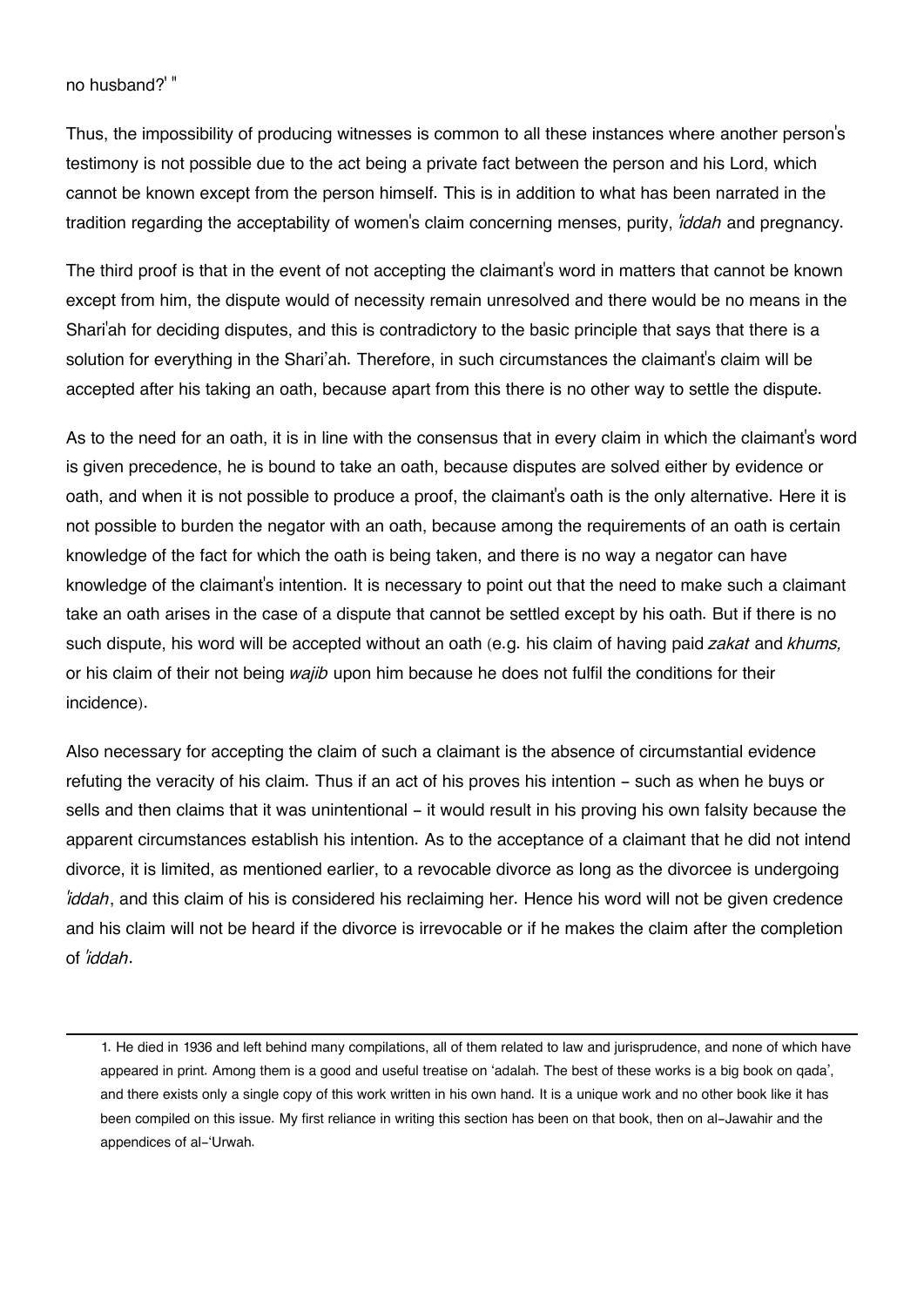#### no husband?' "

Thus, the impossibility of producing witnesses is common to all these instances where another person's testimony is not possible due to the act being a private fact between the person and his Lord, which cannot be known except from the person himself. This is in addition to what has been narrated in the tradition regarding the acceptability of women's claim concerning menses, purity, *'iddah* and pregnancy.

The third proof is that in the event of not accepting the claimant's word in matters that cannot be known except from him, the dispute would of necessity remain unresolved and there would be no means in the Shari'ah for deciding disputes, and this is contradictory to the basic principle that says that there is a solution for everything in the Shari'ah. Therefore, in such circumstances the claimant's claim will be accepted after his taking an oath, because apart from this there is no other way to settle the dispute.

As to the need for an oath, it is in line with the consensus that in every claim in which the claimant's word is given precedence, he is bound to take an oath, because disputes are solved either by evidence or oath, and when it is not possible to produce a proof, the claimant's oath is the only alternative. Here it is not possible to burden the negator with an oath, because among the requirements of an oath is certain knowledge of the fact for which the oath is being taken, and there is no way a negator can have knowledge of the claimant's intention. It is necessary to point out that the need to make such a claimant take an oath arises in the case of a dispute that cannot be settled except by his oath. But if there is no such dispute, his word will be accepted without an oath (e.g. his claim of having paid *zakat* and *khums,* or his claim of their not being *wajib* upon him because he does not fulfil the conditions for their incidence).

Also necessary for accepting the claim of such a claimant is the absence of circumstantial evidence refuting the veracity of his claim. Thus if an act of his proves his intention - such as when he buys or sells and then claims that it was unintentional – it would result in his proving his own falsity because the apparent circumstances establish his intention. As to the acceptance of a claimant that he did not intend divorce, it is limited, as mentioned earlier, to a revocable divorce as long as the divorcee is undergoing *'iddah*, and this claim of his is considered his reclaiming her. Hence his word will not be given credence and his claim will not be heard if the divorce is irrevocable or if he makes the claim after the completion of *'iddah*.

[<sup>1.</sup>](#page--1-0) He died in 1936 and left behind many compilations, all of them related to law and jurisprudence, and none of which have appeared in print. Among them is a good and useful treatise on 'adalah. The best of these works is a big book on qada', and there exists only a single copy of this work written in his own hand. It is a unique work and no other book like it has been compiled on this issue. My first reliance in writing this section has been on that book, then on al-Jawahir and the appendices of al-'Urwah.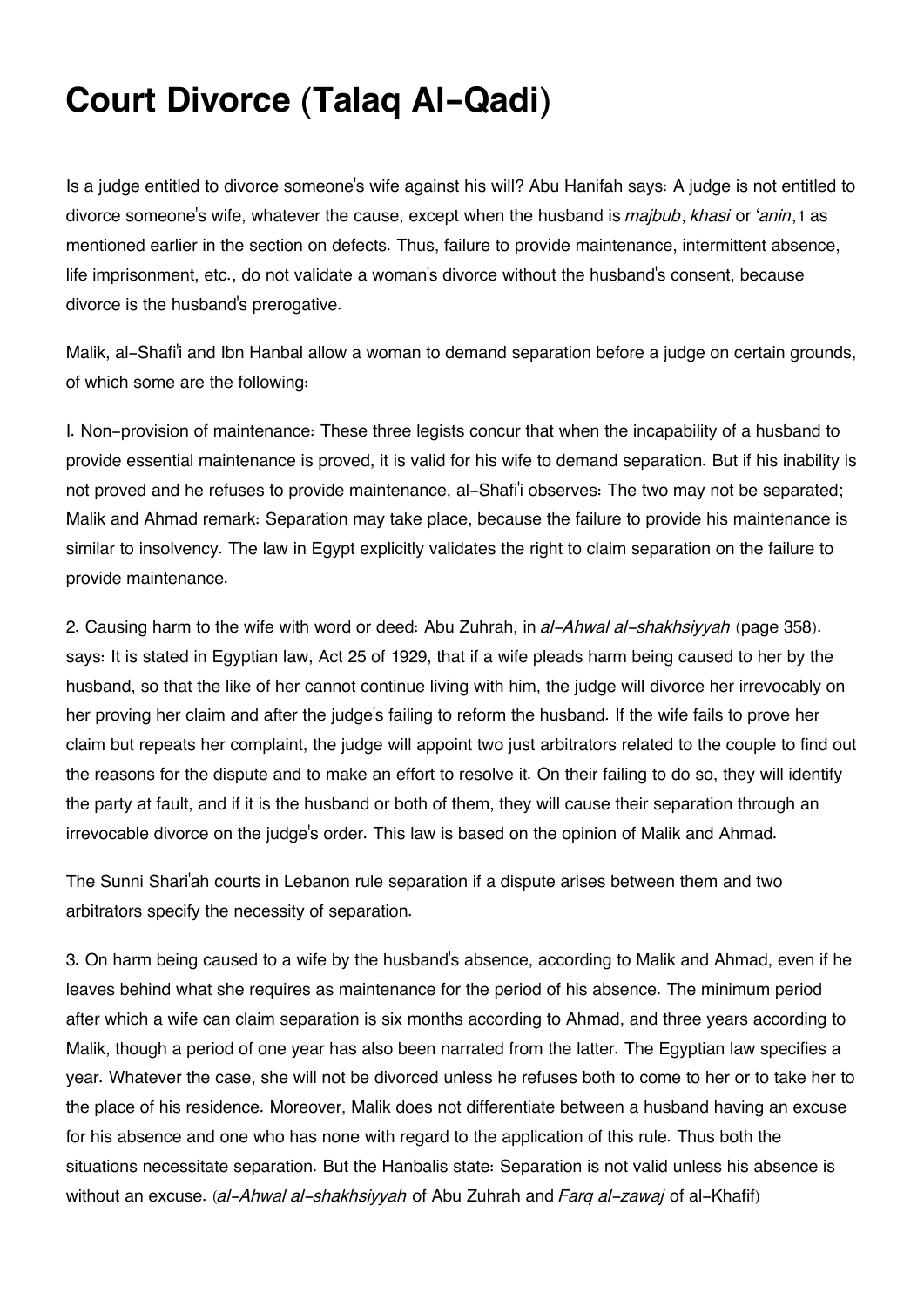## **Court Divorce (Talaq Al-Qadi)**

Is a judge entitled to divorce someone's wife against his will? Abu Hanifah says: A judge is not entitled to divorce someone's wife, whatever the cause, except when the husband is *majbub*, *khasi* or '*anin*,[1](#page--1-0) as mentioned earlier in the section on defects. Thus, failure to provide maintenance, intermittent absence, life imprisonment, etc., do not validate a woman's divorce without the husband's consent, because divorce is the husband's prerogative.

Malik, al-Shafi'i and Ibn Hanbal allow a woman to demand separation before a judge on certain grounds, of which some are the following:

I. Non-provision of maintenance: These three legists concur that when the incapability of a husband to provide essential maintenance is proved, it is valid for his wife to demand separation. But if his inability is not proved and he refuses to provide maintenance, al-Shafi'i observes: The two may not be separated; Malik and Ahmad remark: Separation may take place, because the failure to provide his maintenance is similar to insolvency. The law in Egypt explicitly validates the right to claim separation on the failure to provide maintenance.

2. Causing harm to the wife with word or deed: Abu Zuhrah, in *al-Ahwal al-shakhsiyyah* (page 358). says: It is stated in Egyptian law, Act 25 of 1929, that if a wife pleads harm being caused to her by the husband, so that the like of her cannot continue living with him, the judge will divorce her irrevocably on her proving her claim and after the judge's failing to reform the husband. If the wife fails to prove her claim but repeats her complaint, the judge will appoint two just arbitrators related to the couple to find out the reasons for the dispute and to make an effort to resolve it. On their failing to do so, they will identify the party at fault, and if it is the husband or both of them, they will cause their separation through an irrevocable divorce on the judge's order. This law is based on the opinion of Malik and Ahmad.

The Sunni Shari'ah courts in Lebanon rule separation if a dispute arises between them and two arbitrators specify the necessity of separation.

3. On harm being caused to a wife by the husband's absence, according to Malik and Ahmad, even if he leaves behind what she requires as maintenance for the period of his absence. The minimum period after which a wife can claim separation is six months according to Ahmad, and three years according to Malik, though a period of one year has also been narrated from the latter. The Egyptian law specifies a year. Whatever the case, she will not be divorced unless he refuses both to come to her or to take her to the place of his residence. Moreover, Malik does not differentiate between a husband having an excuse for his absence and one who has none with regard to the application of this rule. Thus both the situations necessitate separation. But the Hanbalis state: Separation is not valid unless his absence is without an excuse. (*al-Ahwal al-shakhsiyyah* of Abu Zuhrah and *Farq al-zawaj* of al-Khafif)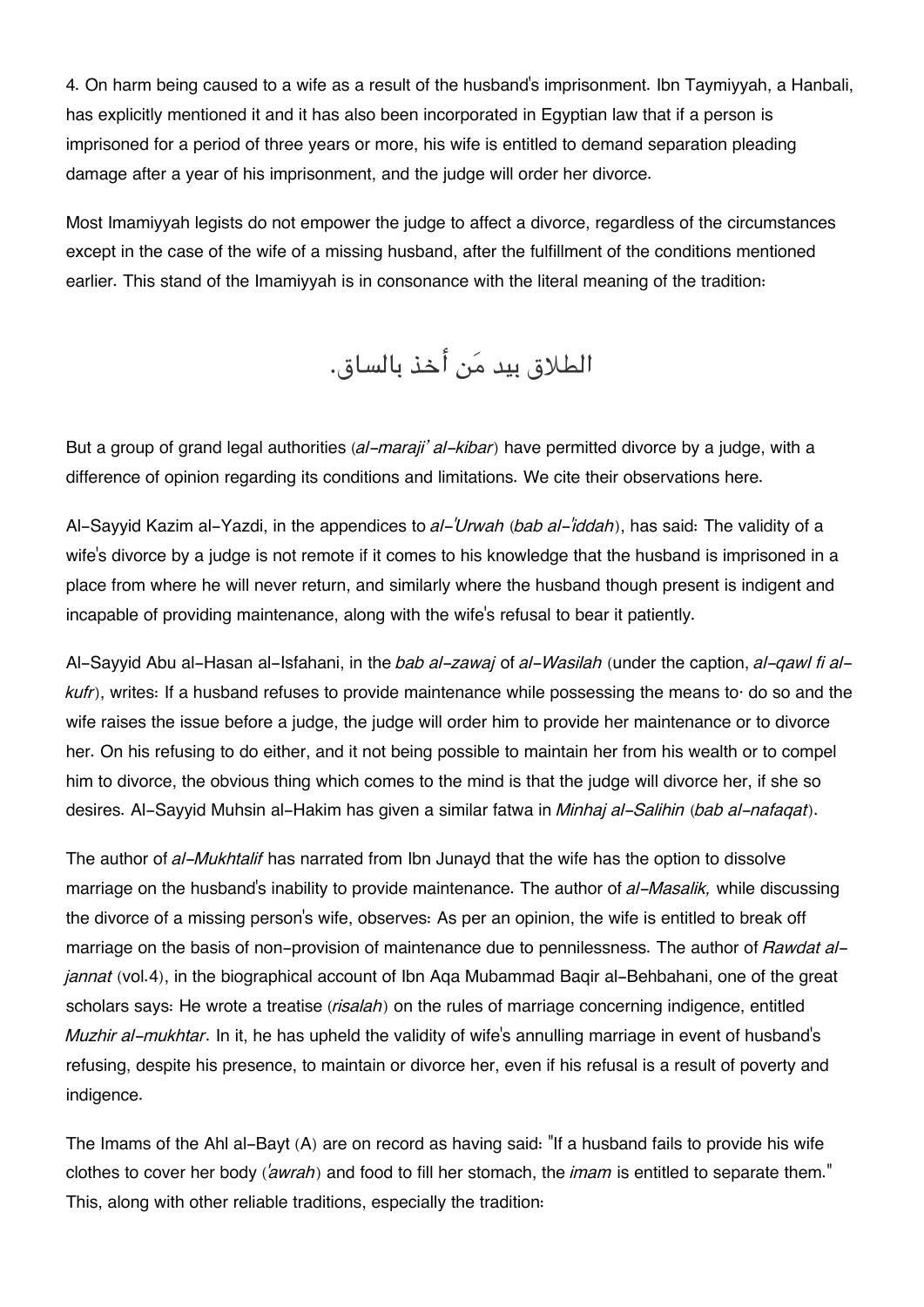4. On harm being caused to a wife as a result of the husband's imprisonment. Ibn Taymiyyah, a Hanbali, has explicitly mentioned it and it has also been incorporated in Egyptian law that if a person is imprisoned for a period of three years or more, his wife is entitled to demand separation pleading damage after a year of his imprisonment, and the judge will order her divorce.

Most Imamiyyah legists do not empower the judge to affect a divorce, regardless of the circumstances except in the case of the wife of a missing husband, after the fulfillment of the conditions mentioned earlier. This stand of the Imamiyyah is in consonance with the literal meaning of the tradition:

الطلاق بيد من أخذ بالساق.

But a group of grand legal authorities (*al-maraji' al-kibar*) have permitted divorce by a judge, with a difference of opinion regarding its conditions and limitations. We cite their observations here.

Al-Sayyid Kazim al-Yazdi, in the appendices to *al-'Urwah* (*bab al-'iddah*), has said: The validity of a wife's divorce by a judge is not remote if it comes to his knowledge that the husband is imprisoned in a place from where he will never return, and similarly where the husband though present is indigent and incapable of providing maintenance, along with the wife's refusal to bear it patiently.

Al-Sayyid Abu al-Hasan al-Isfahani, in the *bab al-zawaj* of *al-Wasilah* (under the caption, *al-qawl fi alkufr*), writes: If a husband refuses to provide maintenance while possessing the means to· do so and the wife raises the issue before a judge, the judge will order him to provide her maintenance or to divorce her. On his refusing to do either, and it not being possible to maintain her from his wealth or to compel him to divorce, the obvious thing which comes to the mind is that the judge will divorce her, if she so desires. Al-Sayyid Muhsin al-Hakim has given a similar fatwa in *Minhaj al-Salihin* (*bab al-nafaqat*).

The author of *al-Mukhtalif* has narrated from Ibn Junayd that the wife has the option to dissolve marriage on the husband's inability to provide maintenance. The author of *al-Masalik,* while discussing the divorce of a missing person's wife, observes: As per an opinion, the wife is entitled to break off marriage on the basis of non-provision of maintenance due to pennilessness. The author of *Rawdat aljannat* (vol.4), in the biographical account of Ibn Aga Mubammad Bagir al-Behbahani, one of the great scholars says: He wrote a treatise (*risalah)* on the rules of marriage concerning indigence, entitled *Muzhir al-mukhtar*. In it, he has upheld the validity of wife's annulling marriage in event of husband's refusing, despite his presence, to maintain or divorce her, even if his refusal is a result of poverty and indigence.

The Imams of the Ahl al-Bayt (A) are on record as having said: "If a husband fails to provide his wife clothes to cover her body (*'awrah*) and food to fill her stomach, the *imam* is entitled to separate them." This, along with other reliable traditions, especially the tradition: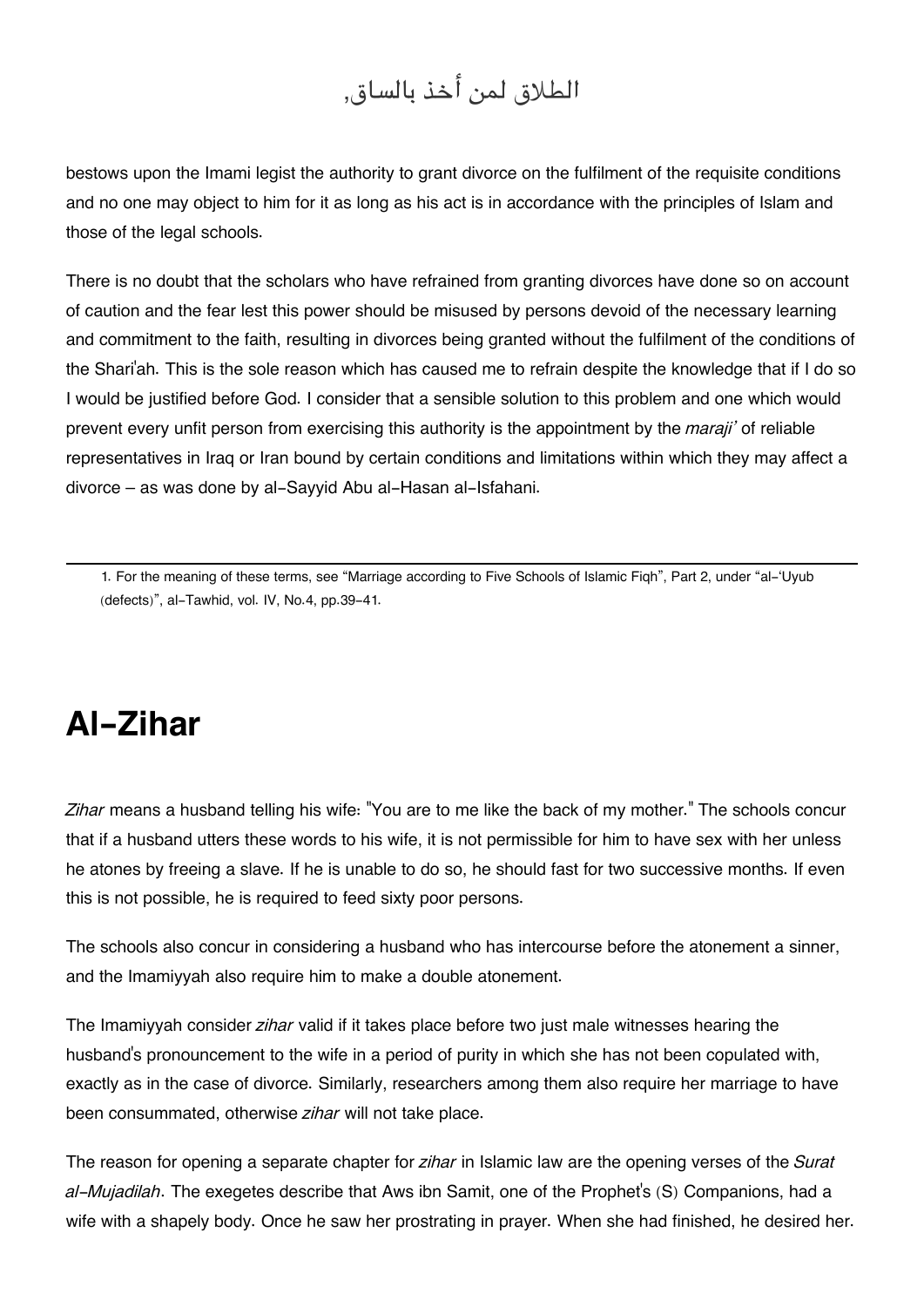## الطلاق لمن أخذ بالساق,

bestows upon the Imami legist the authority to grant divorce on the fulfilment of the requisite conditions and no one may object to him for it as long as his act is in accordance with the principles of Islam and those of the legal schools.

There is no doubt that the scholars who have refrained from granting divorces have done so on account of caution and the fear lest this power should be misused by persons devoid of the necessary learning and commitment to the faith, resulting in divorces being granted without the fulfilment of the conditions of the Shari'ah. This is the sole reason which has caused me to refrain despite the knowledge that if I do so I would be justified before God. I consider that a sensible solution to this problem and one which would prevent every unfit person from exercising this authority is the appointment by the *maraji'* of reliable representatives in Iraq or Iran bound by certain conditions and limitations within which they may affect a divorce – as was done by al-Sayyid Abu al-Hasan al-Isfahani.

[1.](#page--1-0) For the meaning of these terms, see "Marriage according to Five Schools of Islamic Fiqh", Part 2, under "al-'Uyub (defects)", al-Tawhid, vol. IV, No.4, pp.39-41.

## **Al-Zihar**

*Zihar* means a husband telling his wife: "You are to me like the back of my mother." The schools concur that if a husband utters these words to his wife, it is not permissible for him to have sex with her unless he atones by freeing a slave. If he is unable to do so, he should fast for two successive months. If even this is not possible, he is required to feed sixty poor persons.

The schools also concur in considering a husband who has intercourse before the atonement a sinner, and the Imamiyyah also require him to make a double atonement.

The Imamiyyah consider *zihar* valid if it takes place before two just male witnesses hearing the husband's pronouncement to the wife in a period of purity in which she has not been copulated with, exactly as in the case of divorce. Similarly, researchers among them also require her marriage to have been consummated, otherwise *zihar* will not take place.

The reason for opening a separate chapter for *zihar* in Islamic law are the opening verses of the *Surat al-Mujadilah*. The exegetes describe that Aws ibn Samit, one of the Prophet's (S) Companions, had a wife with a shapely body. Once he saw her prostrating in prayer. When she had finished, he desired her.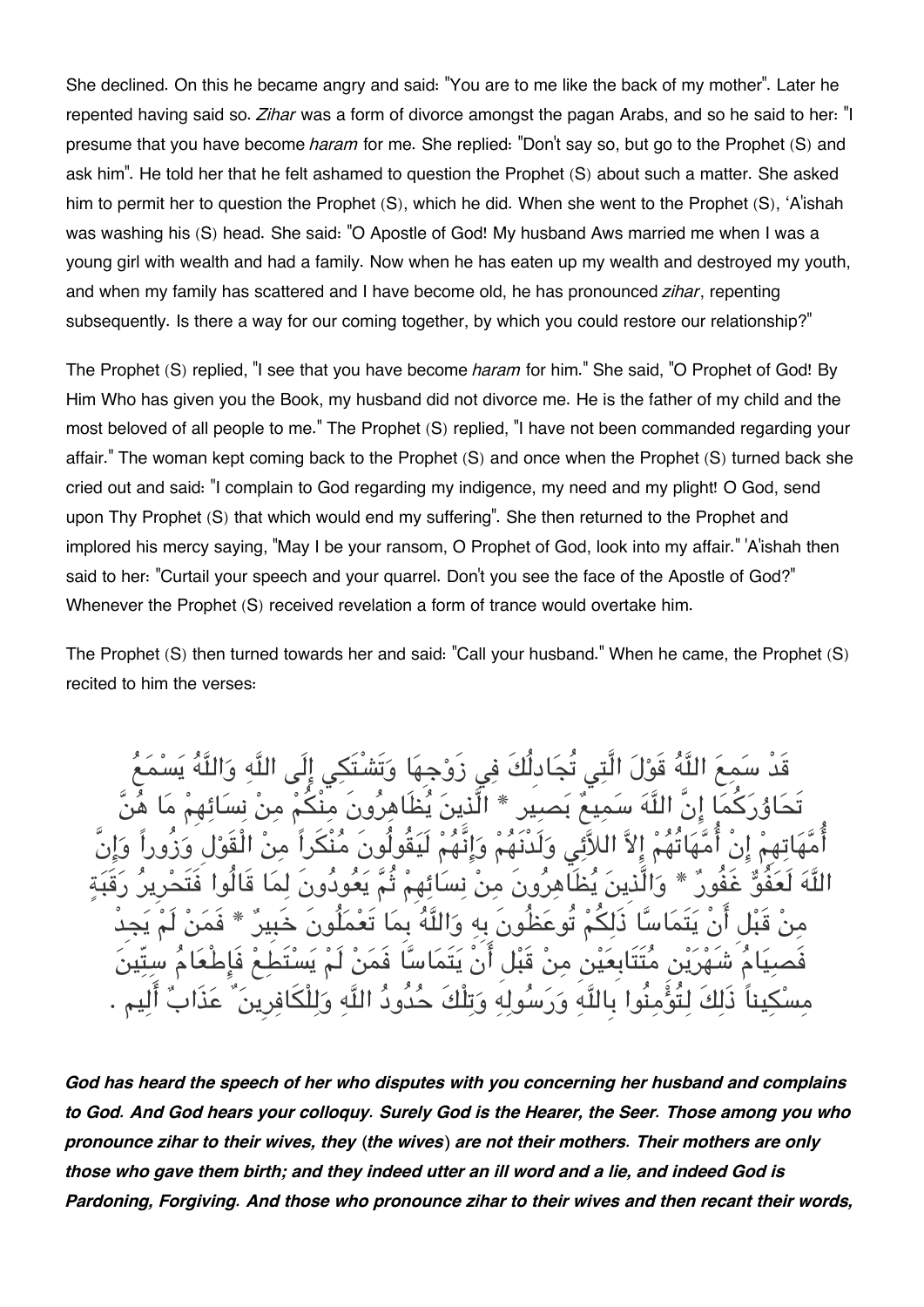She declined. On this he became angry and said: "You are to me like the back of my mother". Later he repented having said so. *Zihar* was a form of divorce amongst the pagan Arabs, and so he said to her: "I presume that you have become *haram* for me. She replied: "Don't say so, but go to the Prophet (S) and ask him". He told her that he felt ashamed to question the Prophet (S) about such a matter. She asked him to permit her to question the Prophet (S), which he did. When she went to the Prophet (S), 'A'ishah was washing his (S) head. She said: "O Apostle of God! My husband Aws married me when I was a young girl with wealth and had a family. Now when he has eaten up my wealth and destroyed my youth, and when my family has scattered and I have become old, he has pronounced *zihar*, repenting subsequently. Is there a way for our coming together, by which you could restore our relationship?"

The Prophet (S) replied, "I see that you have become *haram* for him." She said, "O Prophet of God! By Him Who has given you the Book, my husband did not divorce me. He is the father of my child and the most beloved of all people to me." The Prophet (S) replied, "I have not been commanded regarding your affair." The woman kept coming back to the Prophet (S) and once when the Prophet (S) turned back she cried out and said: "I complain to God regarding my indigence, my need and my plight! O God, send upon Thy Prophet (S) that which would end my suffering". She then returned to the Prophet and implored his mercy saying, "May I be your ransom, O Prophet of God, look into my affair." 'A'ishah then said to her: "Curtail your speech and your quarrel. Don't you see the face of the Apostle of God?" Whenever the Prophet (S) received revelation a form of trance would overtake him.

The Prophet (S) then turned towards her and said: "Call your husband." When he came, the Prophet (S) recited to him the verses:

تحادلك في زوْ تَحَاوُرَكَمَا إِنَّ اللَّهَ سَمِيعٌ بَصبِير \* الَّذِينَ يَظَاهِرُونَ مِنْكُمْ مِنْ نِسَائِهِمْ مَا هَنَّ أُمَّهَاتِهمْ إِنْ أُمَّهَاتُهُمْ إِلاَّ اللاَّئِي وَلَدْنَهُمْ وَإِنَّهُمْ لَيَقُولُونَ مَنْكُراً مِنْ الْقَوْلِ وَزُوراً وَإِنْ اللَّهَ لَعَفُوٌّ غَفُورٌ \* وَالَّذِينَ يَظَاهِرُونَ مِنْ نِسَائِهِمْ ثُمَّ يَعُودُونَ لِمَا قَالُوا فَتَحْرِيرُ رَقَبَةٍ تَوعظُونَ بِه وَالله بِما تَع ن مُتَتَابِعَيْن من قَبْل أَنْ يَتَمَاسا فَمَنْ لتُومْنُوا بِاللّهِ وَرَسُولِه وَتِلْكَ حَدُودُ اللّهِ وَلِلْكَا

*God has heard the speech of her who disputes with you concerning her husband and complains to God. And God hears your colloquy. Surely God is the Hearer, the Seer. Those among you who pronounce zihar to their wives, they (the wives) are not their mothers. Their mothers are only those who gave them birth; and they indeed utter an ill word and a lie, and indeed God is Pardoning, Forgiving. And those who pronounce zihar to their wives and then recant their words,*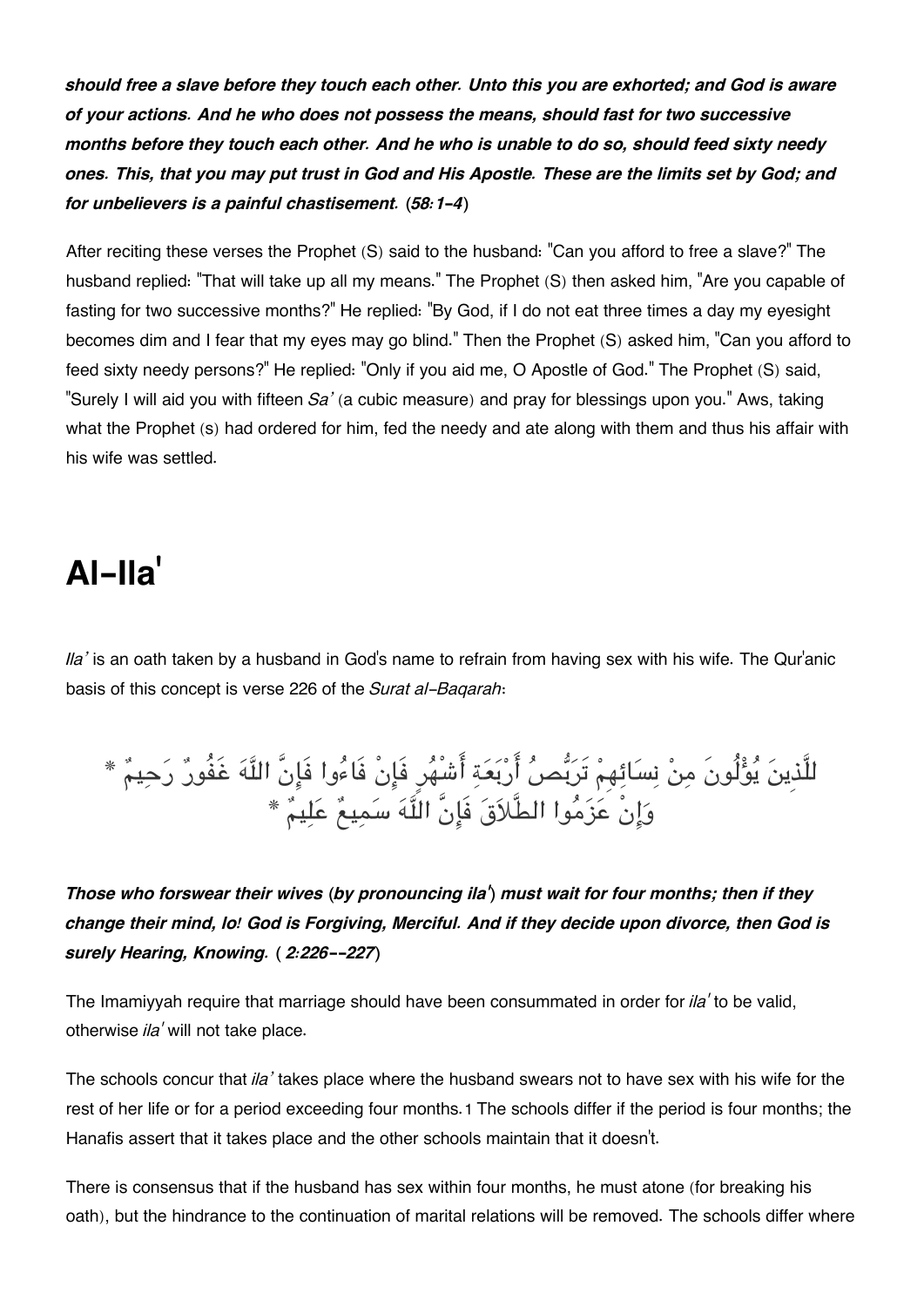*should free a slave before they touch each other. Unto this you are exhorted; and God is aware of your actions. And he who does not possess the means, should fast for two successive months before they touch each other. And he who is unable to do so, should feed sixty needy ones. This, that you may put trust in God and His Apostle. These are the limits set by God; and for unbelievers is a painful chastisement. (58:1-4)*

After reciting these verses the Prophet (S) said to the husband: "Can you afford to free a slave?" The husband replied: "That will take up all my means." The Prophet (S) then asked him, "Are you capable of fasting for two successive months?" He replied: "By God, if I do not eat three times a day my eyesight becomes dim and I fear that my eyes may go blind." Then the Prophet (S) asked him, "Can you afford to feed sixty needy persons?" He replied: "Only if you aid me, O Apostle of God." The Prophet (S) said, "Surely I will aid you with fifteen *Sa'* (a cubic measure) and pray for blessings upon you." Aws, taking what the Prophet (s) had ordered for him, fed the needy and ate along with them and thus his affair with his wife was settled.

## **Al-Ila'**

*Ila'* is an oath taken by a husband in God's name to refrain from having sex with his wife. The Qur'anic basis of this concept is verse 226 of the *Surat al-Baqarah*:

للَّذِينَ يُوْلُونَ مِنْ نِسَائِهِمْ تَرَبُّصُ أَرْبَعَةِ أَشْهُرٍ فَإِنْ فَاءُوا فَإِنَّ اللَّهَ غَفُورٌ رَحِيمٌ \* وَإِنْ عَزَمُوا الطَّلاَقَ فَإِنَّ اللَّهَ سَميعٌ عَليمٌ \*

*Those who forswear their wives (by pronouncing ila') must wait for four months; then if they change their mind, lo! God is Forgiving, Merciful. And if they decide upon divorce, then God is surely Hearing, Knowing. ( 2:226--227)*

The Imamiyyah require that marriage should have been consummated in order for *ila'* to be valid, otherwise *ila'* will not take place.

The schools concur that *ila'* takes place where the husband swears not to have sex with his wife for the rest of her life or for a period exceeding four months.[1](#page--1-0) The schools differ if the period is four months; the Hanafis assert that it takes place and the other schools maintain that it doesn't.

There is consensus that if the husband has sex within four months, he must atone (for breaking his oath), but the hindrance to the continuation of marital relations will be removed. The schools differ where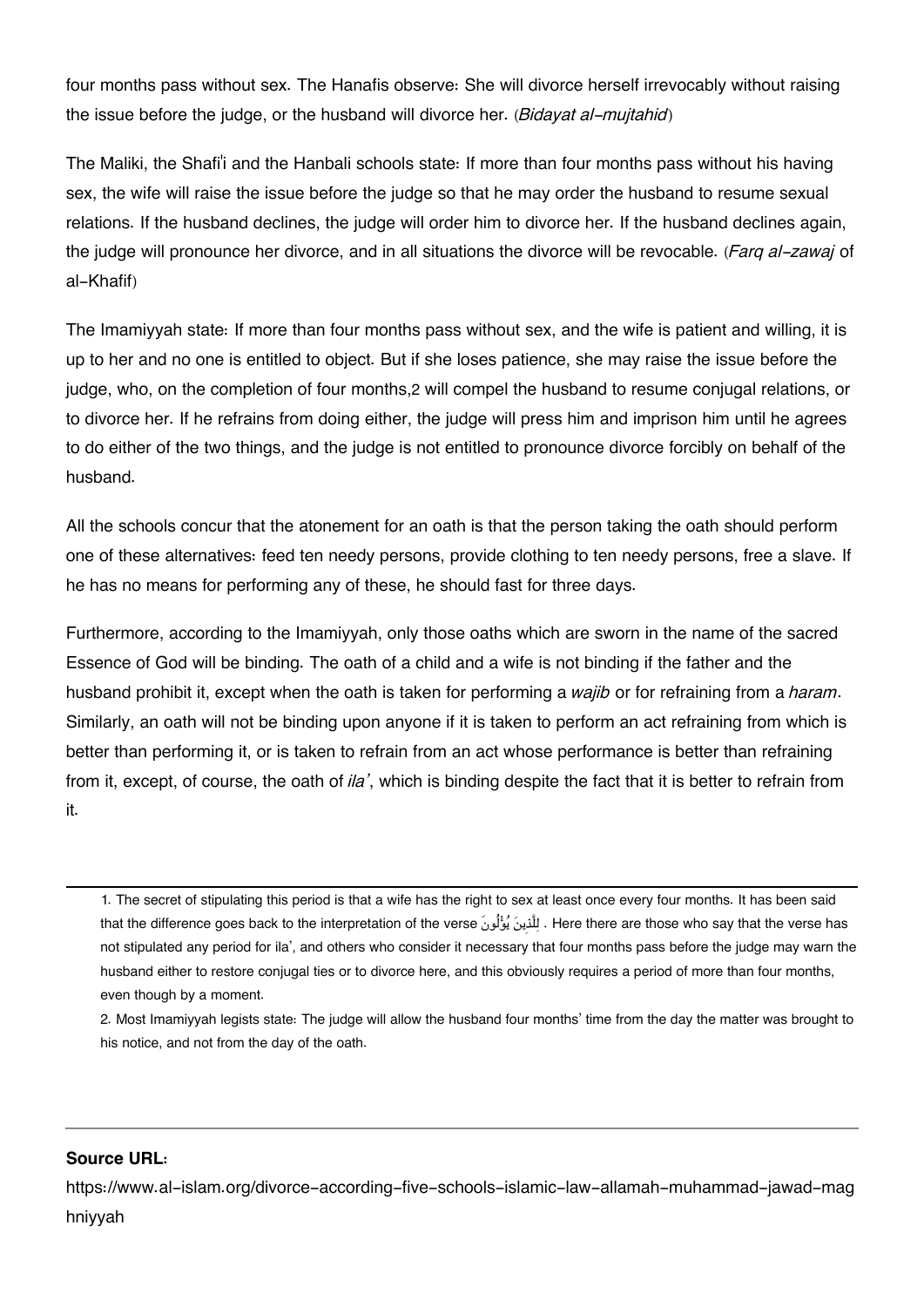four months pass without sex. The Hanafis observe: She will divorce herself irrevocably without raising the issue before the judge, or the husband will divorce her. (*Bidayat al-mujtahid*)

The Maliki, the Shafi'i and the Hanbali schools state: If more than four months pass without his having sex, the wife will raise the issue before the judge so that he may order the husband to resume sexual relations. If the husband declines, the judge will order him to divorce her. If the husband declines again, the judge will pronounce her divorce, and in all situations the divorce will be revocable. (*Farq al-zawaj* of al-Khafif)

The Imamiyyah state: If more than four months pass without sex, and the wife is patient and willing, it is up to her and no one is entitled to object. But if she loses patience, she may raise the issue before the judge, who, on the completion of four months,[2](#page--1-0) will compel the husband to resume conjugal relations, or to divorce her. If he refrains from doing either, the judge will press him and imprison him until he agrees to do either of the two things, and the judge is not entitled to pronounce divorce forcibly on behalf of the husband.

All the schools concur that the atonement for an oath is that the person taking the oath should perform one of these alternatives: feed ten needy persons, provide clothing to ten needy persons, free a slave. If he has no means for performing any of these, he should fast for three days.

Furthermore, according to the Imamiyyah, only those oaths which are sworn in the name of the sacred Essence of God will be binding. The oath of a child and a wife is not binding if the father and the husband prohibit it, except when the oath is taken for performing a *wajib* or for refraining from a *haram*. Similarly, an oath will not be binding upon anyone if it is taken to perform an act refraining from which is better than performing it, or is taken to refrain from an act whose performance is better than refraining from it, except, of course, the oath of *ila'*, which is binding despite the fact that it is better to refrain from it.

[1.](#page--1-0) The secret of stipulating this period is that a wife has the right to sex at least once every four months. It has been said that the difference goes back to the interpretation of the verse َونُلوي ينِلَّذل . Here there are those who say that the verse has not stipulated any period for ila', and others who consider it necessary that four months pass before the judge may warn the husband either to restore conjugal ties or to divorce here, and this obviously requires a period of more than four months, even though by a moment.

[2.](#page--1-0) Most Imamiyyah legists state: The judge will allow the husband four months' time from the day the matter was brought to his notice, and not from the day of the oath.

#### **Source URL:**

https://www.al-islam.org/divorce-according-five-schools-islamic-law-allamah-muhammad-jawad-mag hniyyah